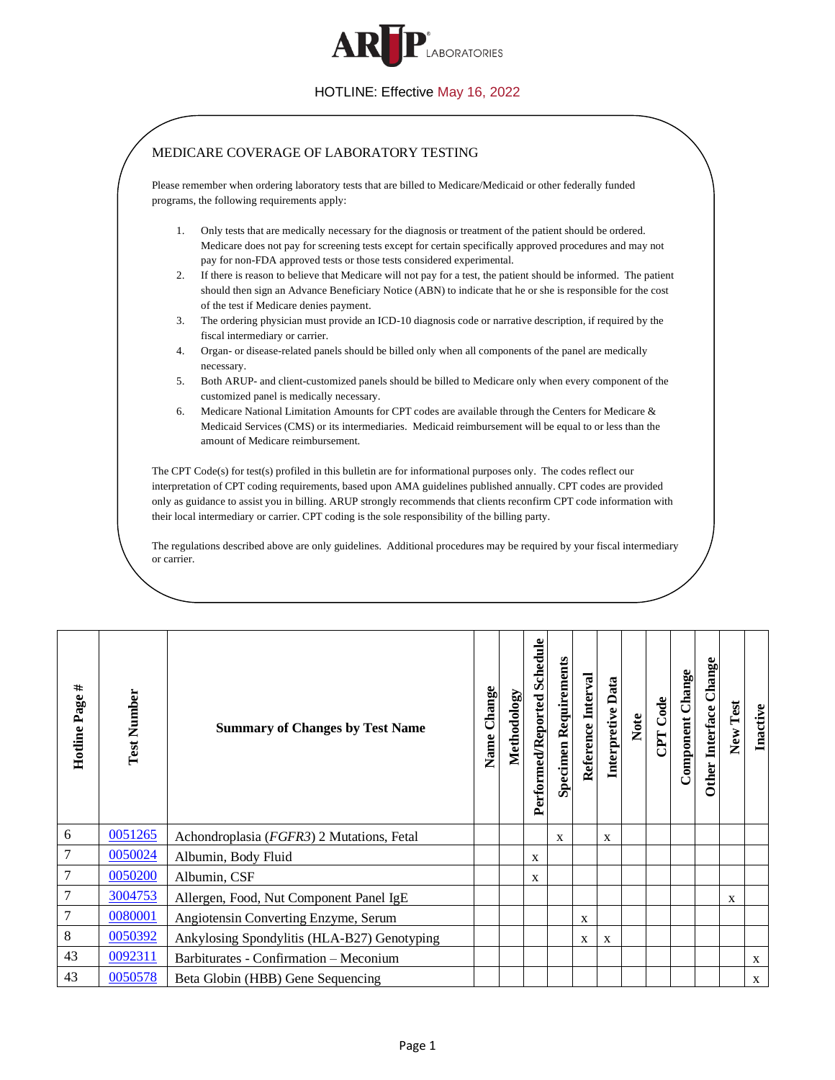

<span id="page-0-7"></span><span id="page-0-6"></span><span id="page-0-5"></span><span id="page-0-4"></span><span id="page-0-3"></span><span id="page-0-2"></span><span id="page-0-1"></span><span id="page-0-0"></span>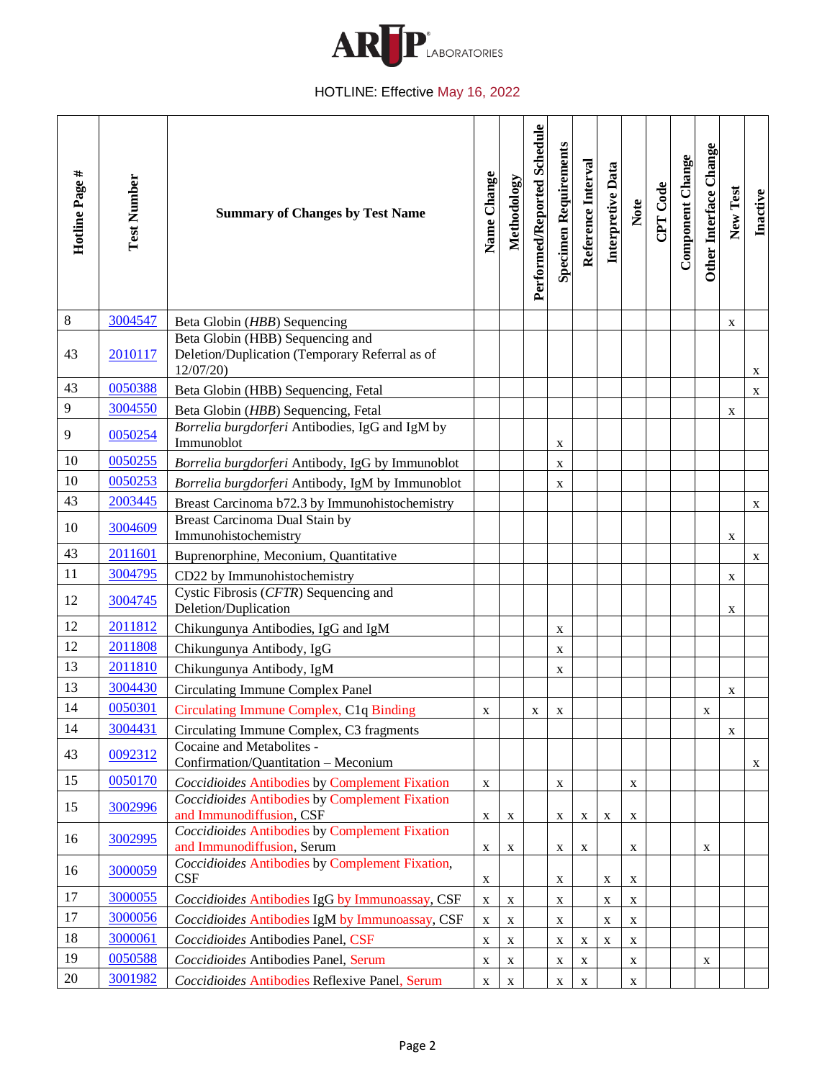

<span id="page-1-27"></span><span id="page-1-26"></span><span id="page-1-25"></span><span id="page-1-24"></span><span id="page-1-23"></span><span id="page-1-22"></span><span id="page-1-21"></span><span id="page-1-20"></span><span id="page-1-19"></span><span id="page-1-18"></span><span id="page-1-17"></span><span id="page-1-16"></span><span id="page-1-15"></span><span id="page-1-14"></span><span id="page-1-13"></span><span id="page-1-12"></span><span id="page-1-11"></span><span id="page-1-10"></span><span id="page-1-9"></span><span id="page-1-8"></span><span id="page-1-7"></span><span id="page-1-6"></span><span id="page-1-5"></span><span id="page-1-4"></span><span id="page-1-3"></span><span id="page-1-2"></span><span id="page-1-1"></span><span id="page-1-0"></span>

| Hotline Page # | <b>Test Number</b> | <b>Summary of Changes by Test Name</b>                                                          | Name Change | Methodology | Performed/Reported Schedule | <b>Specimen Requirements</b> | Reference Interval | Interpretive Data | Note        | CPT Code | Component Change | Other Interface Change | New Test | Inactive     |
|----------------|--------------------|-------------------------------------------------------------------------------------------------|-------------|-------------|-----------------------------|------------------------------|--------------------|-------------------|-------------|----------|------------------|------------------------|----------|--------------|
| $\,8\,$        | 3004547            | Beta Globin (HBB) Sequencing                                                                    |             |             |                             |                              |                    |                   |             |          |                  |                        | X        |              |
| 43             | 2010117            | Beta Globin (HBB) Sequencing and<br>Deletion/Duplication (Temporary Referral as of<br>12/07/20) |             |             |                             |                              |                    |                   |             |          |                  |                        |          | X            |
| 43             | 0050388            | Beta Globin (HBB) Sequencing, Fetal                                                             |             |             |                             |                              |                    |                   |             |          |                  |                        |          | X            |
| $\overline{9}$ | 3004550            | Beta Globin (HBB) Sequencing, Fetal                                                             |             |             |                             |                              |                    |                   |             |          |                  |                        | X        |              |
| 9              | 0050254            | Borrelia burgdorferi Antibodies, IgG and IgM by<br>Immunoblot                                   |             |             |                             | $\mathbf X$                  |                    |                   |             |          |                  |                        |          |              |
| 10             | 0050255            | Borrelia burgdorferi Antibody, IgG by Immunoblot                                                |             |             |                             | $\mathbf X$                  |                    |                   |             |          |                  |                        |          |              |
| 10             | 0050253            | Borrelia burgdorferi Antibody, IgM by Immunoblot                                                |             |             |                             | X                            |                    |                   |             |          |                  |                        |          |              |
| 43             | 2003445            | Breast Carcinoma b72.3 by Immunohistochemistry                                                  |             |             |                             |                              |                    |                   |             |          |                  |                        |          | $\mathbf{X}$ |
| 10             | 3004609            | Breast Carcinoma Dual Stain by<br>Immunohistochemistry                                          |             |             |                             |                              |                    |                   |             |          |                  |                        | X        |              |
| 43             | 2011601            | Buprenorphine, Meconium, Quantitative                                                           |             |             |                             |                              |                    |                   |             |          |                  |                        |          | X            |
| 11             | 3004795            | CD22 by Immunohistochemistry                                                                    |             |             |                             |                              |                    |                   |             |          |                  |                        | X        |              |
| 12             | 3004745            | Cystic Fibrosis (CFTR) Sequencing and<br>Deletion/Duplication                                   |             |             |                             |                              |                    |                   |             |          |                  |                        | X        |              |
| 12             | 2011812            | Chikungunya Antibodies, IgG and IgM                                                             |             |             |                             | X                            |                    |                   |             |          |                  |                        |          |              |
| 12             | 2011808            | Chikungunya Antibody, IgG                                                                       |             |             |                             | X                            |                    |                   |             |          |                  |                        |          |              |
| 13             | 2011810            | Chikungunya Antibody, IgM                                                                       |             |             |                             | X                            |                    |                   |             |          |                  |                        |          |              |
| 13             | 3004430            | <b>Circulating Immune Complex Panel</b>                                                         |             |             |                             |                              |                    |                   |             |          |                  |                        | X        |              |
| 14             | 0050301            | Circulating Immune Complex, C1q Binding                                                         | X           |             | X                           | X                            |                    |                   |             |          |                  | X                      |          |              |
| 14             | 3004431            | Circulating Immune Complex, C3 fragments                                                        |             |             |                             |                              |                    |                   |             |          |                  |                        | X        |              |
| 43             | 0092312            | Cocaine and Metabolites -<br>Confirmation/Quantitation - Meconium                               |             |             |                             |                              |                    |                   |             |          |                  |                        |          | X            |
| 15             | 0050170            | <b>Coccidioides Antibodies by Complement Fixation</b>                                           | $\mathbf X$ |             |                             | $\mathbf X$                  |                    |                   | X           |          |                  |                        |          |              |
| 15             | 3002996            | <b>Coccidioides Antibodies by Complement Fixation</b><br>and Immunodiffusion, CSF               | X           | X           |                             | X                            | X                  | X                 | $\mathbf X$ |          |                  |                        |          |              |
| 16             | 3002995            | <b>Coccidioides Antibodies by Complement Fixation</b><br>and Immunodiffusion, Serum             | X           | X           |                             | X                            | $\mathbf X$        |                   | X           |          |                  | X                      |          |              |
| 16             | 3000059            | Coccidioides Antibodies by Complement Fixation,<br>CSF                                          | X           |             |                             | X                            |                    | X                 | $\mathbf X$ |          |                  |                        |          |              |
| 17             | 3000055            | Coccidioides Antibodies IgG by Immunoassay, CSF                                                 | X           | X           |                             | $\mathbf X$                  |                    | X                 | $\mathbf X$ |          |                  |                        |          |              |
| 17             | 3000056            | Coccidioides Antibodies IgM by Immunoassay, CSF                                                 | X           | $\mathbf X$ |                             | $\mathbf X$                  |                    | X                 | X           |          |                  |                        |          |              |
| 18             | 3000061            | Coccidioides Antibodies Panel, CSF                                                              | X           | X           |                             | X                            | $\mathbf X$        | X                 | $\mathbf X$ |          |                  |                        |          |              |
| 19             | 0050588            | Coccidioides Antibodies Panel, Serum                                                            | X           | X           |                             | X                            | X                  |                   | X           |          |                  | X                      |          |              |
| 20             | 3001982            | Coccidioides Antibodies Reflexive Panel, Serum                                                  | X           | X           |                             | X                            | X                  |                   | X           |          |                  |                        |          |              |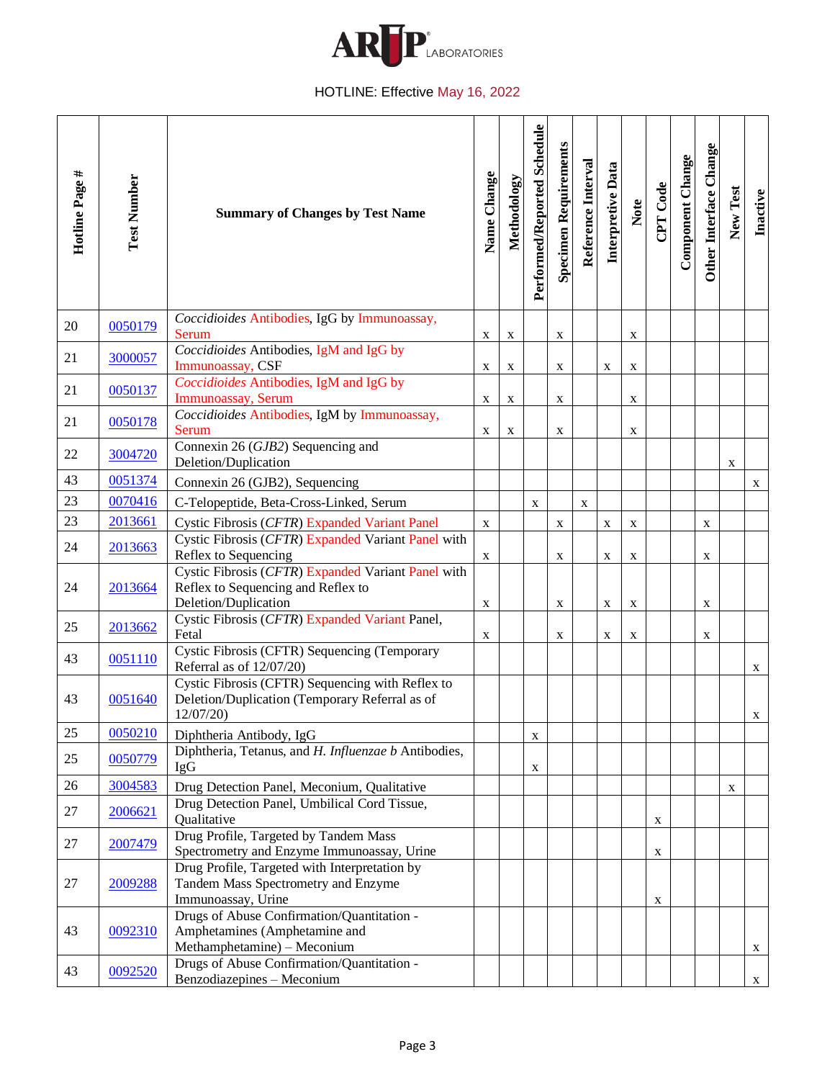

<span id="page-2-20"></span><span id="page-2-19"></span><span id="page-2-18"></span><span id="page-2-17"></span><span id="page-2-16"></span><span id="page-2-15"></span><span id="page-2-14"></span><span id="page-2-13"></span><span id="page-2-12"></span><span id="page-2-11"></span><span id="page-2-10"></span><span id="page-2-9"></span><span id="page-2-8"></span><span id="page-2-7"></span><span id="page-2-6"></span><span id="page-2-5"></span><span id="page-2-4"></span><span id="page-2-3"></span><span id="page-2-2"></span><span id="page-2-1"></span><span id="page-2-0"></span>

| Hotline Page # | <b>Test Number</b> | <b>Summary of Changes by Test Name</b>                                                                           | Name Change | Methodology | Performed/Reported Schedule | <b>Specimen Requirements</b> | Reference Interval | Interpretive Data | Note        | CPT Code    | Component Change | Other Interface Change | New Test    | Inactive       |
|----------------|--------------------|------------------------------------------------------------------------------------------------------------------|-------------|-------------|-----------------------------|------------------------------|--------------------|-------------------|-------------|-------------|------------------|------------------------|-------------|----------------|
| 20             | 0050179            | Coccidioides Antibodies, IgG by Immunoassay,<br><b>Serum</b>                                                     | X           | X           |                             | X                            |                    |                   | X           |             |                  |                        |             |                |
| 21             | 3000057            | Coccidioides Antibodies, IgM and IgG by<br>Immunoassay, CSF                                                      | X           | X           |                             | X                            |                    | X                 | $\mathbf X$ |             |                  |                        |             |                |
| 21             | 0050137            | Coccidioides Antibodies, IgM and IgG by<br>Immunoassay, Serum                                                    | X           | X           |                             | $\mathbf X$                  |                    |                   | $\mathbf X$ |             |                  |                        |             |                |
| 21             | 0050178            | Coccidioides Antibodies, IgM by Immunoassay,<br>Serum                                                            | X           | X           |                             | X                            |                    |                   | X           |             |                  |                        |             |                |
| 22             | 3004720            | Connexin 26 (GJB2) Sequencing and<br>Deletion/Duplication                                                        |             |             |                             |                              |                    |                   |             |             |                  |                        | $\mathbf X$ |                |
| 43             | 0051374            | Connexin 26 (GJB2), Sequencing                                                                                   |             |             |                             |                              |                    |                   |             |             |                  |                        |             | X              |
| 23             | 0070416            | C-Telopeptide, Beta-Cross-Linked, Serum                                                                          |             |             | X                           |                              | X                  |                   |             |             |                  |                        |             |                |
| 23             | 2013661            | Cystic Fibrosis (CFTR) Expanded Variant Panel                                                                    | $\mathbf X$ |             |                             | $\mathbf X$                  |                    | X                 | $\mathbf X$ |             |                  | $\mathbf X$            |             |                |
| 24             | 2013663            | Cystic Fibrosis (CFTR) Expanded Variant Panel with<br>Reflex to Sequencing                                       | $\mathbf X$ |             |                             | $\mathbf X$                  |                    | X                 | $\mathbf X$ |             |                  | X                      |             |                |
| 24             | 2013664            | Cystic Fibrosis (CFTR) Expanded Variant Panel with<br>Reflex to Sequencing and Reflex to<br>Deletion/Duplication | X           |             |                             | $\mathbf X$                  |                    | X                 | $\mathbf X$ |             |                  | X                      |             |                |
| 25             | 2013662            | Cystic Fibrosis (CFTR) Expanded Variant Panel,<br>Fetal                                                          | X           |             |                             | X                            |                    | X                 | X           |             |                  | X                      |             |                |
| 43             | 0051110            | Cystic Fibrosis (CFTR) Sequencing (Temporary<br>Referral as of 12/07/20)                                         |             |             |                             |                              |                    |                   |             |             |                  |                        |             | X              |
| 43             | 0051640            | Cystic Fibrosis (CFTR) Sequencing with Reflex to<br>Deletion/Duplication (Temporary Referral as of<br>12/07/20)  |             |             |                             |                              |                    |                   |             |             |                  |                        |             | X              |
| $25\,$         | 0050210            | Diphtheria Antibody, IgG                                                                                         |             |             | $\mathbf X$                 |                              |                    |                   |             |             |                  |                        |             |                |
| 25             | 0050779            | Diphtheria, Tetanus, and H. Influenzae b Antibodies,<br><b>IgG</b>                                               |             |             | X                           |                              |                    |                   |             |             |                  |                        |             |                |
| 26             | 3004583            | Drug Detection Panel, Meconium, Qualitative                                                                      |             |             |                             |                              |                    |                   |             |             |                  |                        | X           |                |
| 27             | 2006621            | Drug Detection Panel, Umbilical Cord Tissue,<br>Qualitative                                                      |             |             |                             |                              |                    |                   |             | X           |                  |                        |             |                |
| 27             | 2007479            | Drug Profile, Targeted by Tandem Mass<br>Spectrometry and Enzyme Immunoassay, Urine                              |             |             |                             |                              |                    |                   |             | $\mathbf X$ |                  |                        |             |                |
| 27             | 2009288            | Drug Profile, Targeted with Interpretation by<br>Tandem Mass Spectrometry and Enzyme<br>Immunoassay, Urine       |             |             |                             |                              |                    |                   |             | X           |                  |                        |             |                |
| 43             | 0092310            | Drugs of Abuse Confirmation/Quantitation -<br>Amphetamines (Amphetamine and<br>Methamphetamine) - Meconium       |             |             |                             |                              |                    |                   |             |             |                  |                        |             | $\mathbf{X}$   |
| 43             | 0092520            | Drugs of Abuse Confirmation/Quantitation -<br>Benzodiazepines - Meconium                                         |             |             |                             |                              |                    |                   |             |             |                  |                        |             | $\mathbf{X}^-$ |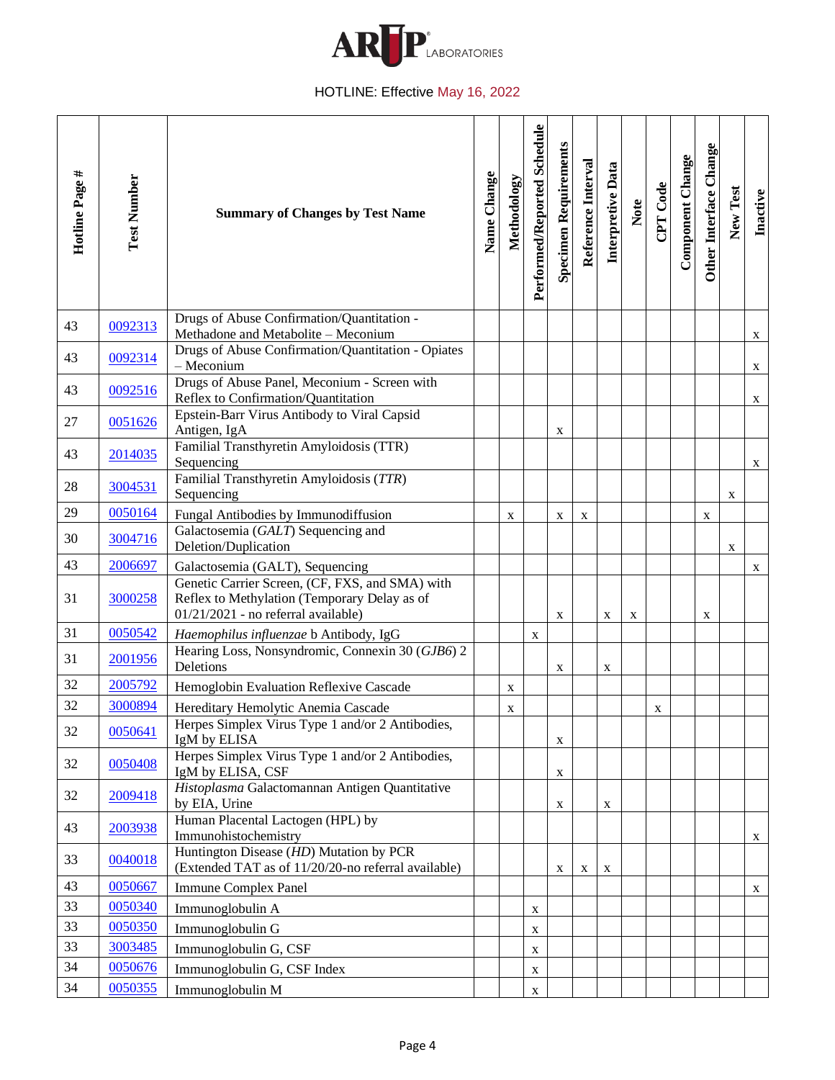

<span id="page-3-24"></span><span id="page-3-23"></span><span id="page-3-22"></span><span id="page-3-21"></span><span id="page-3-20"></span><span id="page-3-19"></span><span id="page-3-18"></span><span id="page-3-17"></span><span id="page-3-16"></span><span id="page-3-15"></span><span id="page-3-14"></span><span id="page-3-13"></span><span id="page-3-12"></span><span id="page-3-11"></span><span id="page-3-10"></span><span id="page-3-9"></span><span id="page-3-8"></span><span id="page-3-7"></span><span id="page-3-6"></span><span id="page-3-5"></span><span id="page-3-4"></span><span id="page-3-3"></span><span id="page-3-2"></span><span id="page-3-1"></span><span id="page-3-0"></span>

| Hotline Page # | <b>Test Number</b> | <b>Summary of Changes by Test Name</b>                                                                                                 | Name Change | Methodology | Performed/Reported Schedule | <b>Specimen Requirements</b> | Reference Interval | Interpretive Data | Note        | CPT Code | Component Change | Other Interface Change | New Test    | Inactive |
|----------------|--------------------|----------------------------------------------------------------------------------------------------------------------------------------|-------------|-------------|-----------------------------|------------------------------|--------------------|-------------------|-------------|----------|------------------|------------------------|-------------|----------|
| 43             | 0092313            | Drugs of Abuse Confirmation/Quantitation -<br>Methadone and Metabolite - Meconium                                                      |             |             |                             |                              |                    |                   |             |          |                  |                        |             | X        |
| 43             | 0092314            | Drugs of Abuse Confirmation/Quantitation - Opiates<br>$-$ Meconium                                                                     |             |             |                             |                              |                    |                   |             |          |                  |                        |             | X        |
| 43             | 0092516            | Drugs of Abuse Panel, Meconium - Screen with<br>Reflex to Confirmation/Quantitation                                                    |             |             |                             |                              |                    |                   |             |          |                  |                        |             | X        |
| 27             | 0051626            | Epstein-Barr Virus Antibody to Viral Capsid<br>Antigen, IgA                                                                            |             |             |                             | X                            |                    |                   |             |          |                  |                        |             |          |
| 43             | 2014035            | Familial Transthyretin Amyloidosis (TTR)<br>Sequencing                                                                                 |             |             |                             |                              |                    |                   |             |          |                  |                        |             | X        |
| 28             | 3004531            | Familial Transthyretin Amyloidosis (TTR)<br>Sequencing                                                                                 |             |             |                             |                              |                    |                   |             |          |                  |                        | X           |          |
| 29             | 0050164            | Fungal Antibodies by Immunodiffusion                                                                                                   |             | X           |                             | X                            | X                  |                   |             |          |                  | $\mathbf X$            |             |          |
| 30             | 3004716            | Galactosemia (GALT) Sequencing and<br>Deletion/Duplication                                                                             |             |             |                             |                              |                    |                   |             |          |                  |                        | $\mathbf X$ |          |
| 43             | 2006697            | Galactosemia (GALT), Sequencing                                                                                                        |             |             |                             |                              |                    |                   |             |          |                  |                        |             | X        |
| 31             | 3000258            | Genetic Carrier Screen, (CF, FXS, and SMA) with<br>Reflex to Methylation (Temporary Delay as of<br>01/21/2021 - no referral available) |             |             |                             | $\mathbf X$                  |                    | X                 | $\mathbf X$ |          |                  | X                      |             |          |
| 31             | 0050542            | Haemophilus influenzae b Antibody, IgG                                                                                                 |             |             | $\mathbf X$                 |                              |                    |                   |             |          |                  |                        |             |          |
| 31             | 2001956            | Hearing Loss, Nonsyndromic, Connexin 30 (GJB6) 2<br>Deletions                                                                          |             |             |                             | X                            |                    | X                 |             |          |                  |                        |             |          |
| 32             | 2005792            | Hemoglobin Evaluation Reflexive Cascade                                                                                                |             | X           |                             |                              |                    |                   |             |          |                  |                        |             |          |
| 32             | 3000894            | Hereditary Hemolytic Anemia Cascade                                                                                                    |             | X           |                             |                              |                    |                   |             | X        |                  |                        |             |          |
| 32             | 0050641            | Herpes Simplex Virus Type 1 and/or 2 Antibodies,<br>IgM by ELISA                                                                       |             |             |                             | $\mathbf X$                  |                    |                   |             |          |                  |                        |             |          |
| 32             | 0050408            | Herpes Simplex Virus Type 1 and/or 2 Antibodies,<br>IgM by ELISA, CSF                                                                  |             |             |                             | X                            |                    |                   |             |          |                  |                        |             |          |
| 32             | 2009418            | Histoplasma Galactomannan Antigen Quantitative<br>by EIA, Urine                                                                        |             |             |                             | X                            |                    | X                 |             |          |                  |                        |             |          |
| 43             | 2003938            | Human Placental Lactogen (HPL) by<br>Immunohistochemistry                                                                              |             |             |                             |                              |                    |                   |             |          |                  |                        |             | X        |
| 33             | 0040018            | Huntington Disease (HD) Mutation by PCR<br>(Extended TAT as of 11/20/20-no referral available)                                         |             |             |                             | X                            | $\mathbf X$        | X                 |             |          |                  |                        |             |          |
| 43             | 0050667            | Immune Complex Panel                                                                                                                   |             |             |                             |                              |                    |                   |             |          |                  |                        |             | X.       |
| 33             | 0050340            | Immunoglobulin A                                                                                                                       |             |             | X                           |                              |                    |                   |             |          |                  |                        |             |          |
| 33             | 0050350            | Immunoglobulin G                                                                                                                       |             |             | X                           |                              |                    |                   |             |          |                  |                        |             |          |
| 33             | 3003485            | Immunoglobulin G, CSF                                                                                                                  |             |             | $\mathbf X$                 |                              |                    |                   |             |          |                  |                        |             |          |
| 34             | 0050676            | Immunoglobulin G, CSF Index                                                                                                            |             |             | X                           |                              |                    |                   |             |          |                  |                        |             |          |
| 34             | 0050355            | Immunoglobulin M                                                                                                                       |             |             | $\mathbf X$                 |                              |                    |                   |             |          |                  |                        |             |          |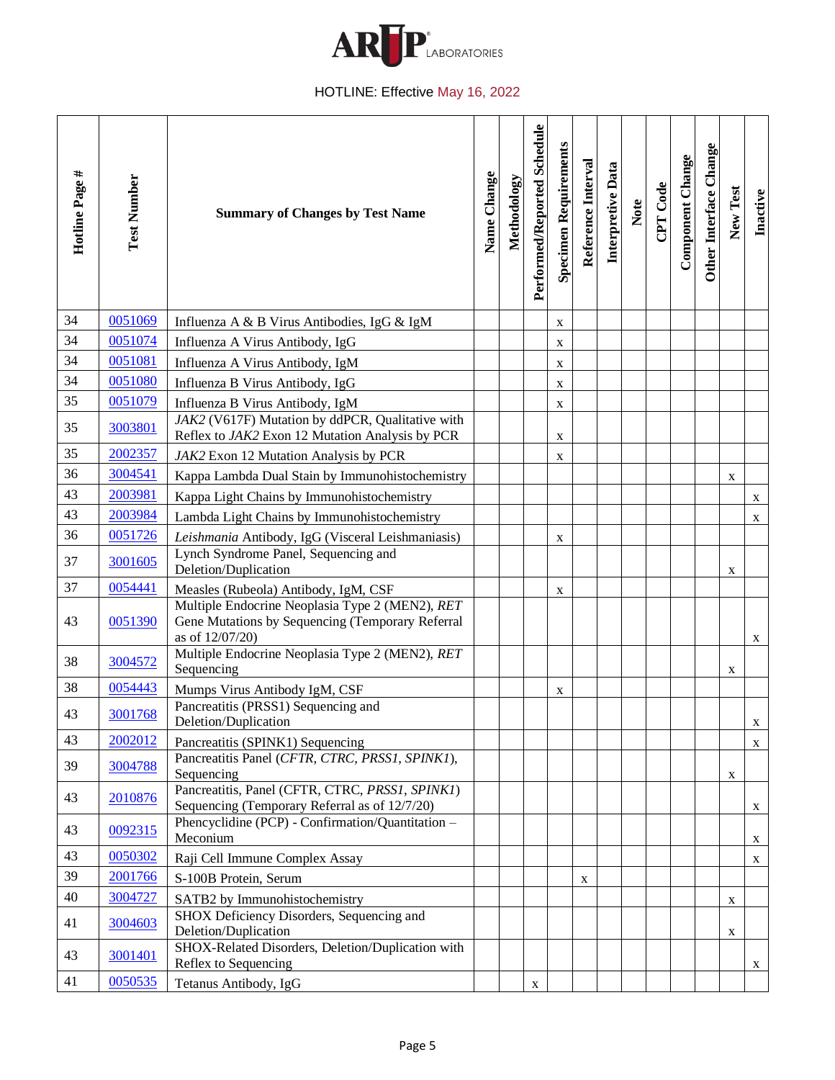

<span id="page-4-26"></span><span id="page-4-25"></span><span id="page-4-24"></span><span id="page-4-23"></span><span id="page-4-22"></span><span id="page-4-21"></span><span id="page-4-20"></span><span id="page-4-19"></span><span id="page-4-18"></span><span id="page-4-17"></span><span id="page-4-16"></span><span id="page-4-15"></span><span id="page-4-14"></span><span id="page-4-13"></span><span id="page-4-12"></span><span id="page-4-11"></span><span id="page-4-10"></span><span id="page-4-9"></span><span id="page-4-8"></span><span id="page-4-7"></span><span id="page-4-6"></span><span id="page-4-5"></span><span id="page-4-4"></span><span id="page-4-3"></span><span id="page-4-2"></span><span id="page-4-1"></span><span id="page-4-0"></span>

| Hotline Page # | <b>Test Number</b> | <b>Summary of Changes by Test Name</b>                                                                                                                                    | Name Change | Methodology | Performed/Reported Schedule | <b>Specimen Requirements</b> | Reference Interval | Interpretive Data | Note | CPT Code | Component Change | Other Interface Change | New Test    | Inactive |
|----------------|--------------------|---------------------------------------------------------------------------------------------------------------------------------------------------------------------------|-------------|-------------|-----------------------------|------------------------------|--------------------|-------------------|------|----------|------------------|------------------------|-------------|----------|
| 34             | 0051069            | Influenza A & B Virus Antibodies, IgG & IgM                                                                                                                               |             |             |                             | X                            |                    |                   |      |          |                  |                        |             |          |
| 34             | 0051074            | Influenza A Virus Antibody, IgG                                                                                                                                           |             |             |                             | X                            |                    |                   |      |          |                  |                        |             |          |
| 34             | 0051081            | Influenza A Virus Antibody, IgM                                                                                                                                           |             |             |                             | X                            |                    |                   |      |          |                  |                        |             |          |
| 34             | 0051080            | Influenza B Virus Antibody, IgG                                                                                                                                           |             |             |                             | $\mathbf X$                  |                    |                   |      |          |                  |                        |             |          |
| 35             | 0051079            | Influenza B Virus Antibody, IgM                                                                                                                                           |             |             |                             | X                            |                    |                   |      |          |                  |                        |             |          |
| 35             | 3003801            | JAK2 (V617F) Mutation by ddPCR, Qualitative with<br>Reflex to JAK2 Exon 12 Mutation Analysis by PCR                                                                       |             |             |                             | X                            |                    |                   |      |          |                  |                        |             |          |
| 35             | 2002357            | JAK2 Exon 12 Mutation Analysis by PCR                                                                                                                                     |             |             |                             | X                            |                    |                   |      |          |                  |                        |             |          |
| 36             | 3004541            | Kappa Lambda Dual Stain by Immunohistochemistry                                                                                                                           |             |             |                             |                              |                    |                   |      |          |                  |                        | X           |          |
| 43             | 2003981            | Kappa Light Chains by Immunohistochemistry                                                                                                                                |             |             |                             |                              |                    |                   |      |          |                  |                        |             | X        |
| 43             | 2003984            | Lambda Light Chains by Immunohistochemistry                                                                                                                               |             |             |                             |                              |                    |                   |      |          |                  |                        |             | X        |
| 36             | 0051726            | Leishmania Antibody, IgG (Visceral Leishmaniasis)                                                                                                                         |             |             |                             | X                            |                    |                   |      |          |                  |                        |             |          |
| 37             | 3001605            | Lynch Syndrome Panel, Sequencing and<br>Deletion/Duplication                                                                                                              |             |             |                             |                              |                    |                   |      |          |                  |                        | X           |          |
| 37             | 0054441            | Measles (Rubeola) Antibody, IgM, CSF                                                                                                                                      |             |             |                             | X                            |                    |                   |      |          |                  |                        |             |          |
| 43             | 0051390            | Multiple Endocrine Neoplasia Type 2 (MEN2), RET<br>Gene Mutations by Sequencing (Temporary Referral<br>as of 12/07/20)<br>Multiple Endocrine Neoplasia Type 2 (MEN2), RET |             |             |                             |                              |                    |                   |      |          |                  |                        |             | X        |
| 38             | 3004572            | Sequencing                                                                                                                                                                |             |             |                             |                              |                    |                   |      |          |                  |                        | $\mathbf X$ |          |
| 38             | 0054443            | Mumps Virus Antibody IgM, CSF                                                                                                                                             |             |             |                             | X                            |                    |                   |      |          |                  |                        |             |          |
| 43             | 3001768            | Pancreatitis (PRSS1) Sequencing and<br>Deletion/Duplication                                                                                                               |             |             |                             |                              |                    |                   |      |          |                  |                        |             | X        |
| 43             | 2002012            | Pancreatitis (SPINK1) Sequencing                                                                                                                                          |             |             |                             |                              |                    |                   |      |          |                  |                        |             | X        |
| 39             | 3004788            | Pancreatitis Panel (CFTR, CTRC, PRSS1, SPINK1),<br>Sequencing                                                                                                             |             |             |                             |                              |                    |                   |      |          |                  |                        | X           |          |
| 43             | 2010876            | Pancreatitis, Panel (CFTR, CTRC, PRSS1, SPINK1)<br>Sequencing (Temporary Referral as of 12/7/20)                                                                          |             |             |                             |                              |                    |                   |      |          |                  |                        |             | X        |
| 43             | 0092315            | Phencyclidine (PCP) - Confirmation/Quantitation -<br>Meconium                                                                                                             |             |             |                             |                              |                    |                   |      |          |                  |                        |             | X        |
| 43             | 0050302            | Raji Cell Immune Complex Assay                                                                                                                                            |             |             |                             |                              |                    |                   |      |          |                  |                        |             | X        |
| 39             | 2001766            | S-100B Protein, Serum                                                                                                                                                     |             |             |                             |                              | X                  |                   |      |          |                  |                        |             |          |
| 40             | 3004727            | SATB2 by Immunohistochemistry                                                                                                                                             |             |             |                             |                              |                    |                   |      |          |                  |                        | $\mathbf X$ |          |
| 41             | 3004603            | SHOX Deficiency Disorders, Sequencing and<br>Deletion/Duplication                                                                                                         |             |             |                             |                              |                    |                   |      |          |                  |                        | $\mathbf X$ |          |
| 43             | 3001401            | SHOX-Related Disorders, Deletion/Duplication with<br>Reflex to Sequencing                                                                                                 |             |             |                             |                              |                    |                   |      |          |                  |                        |             | X        |
| 41             | 0050535            | Tetanus Antibody, IgG                                                                                                                                                     |             |             | X                           |                              |                    |                   |      |          |                  |                        |             |          |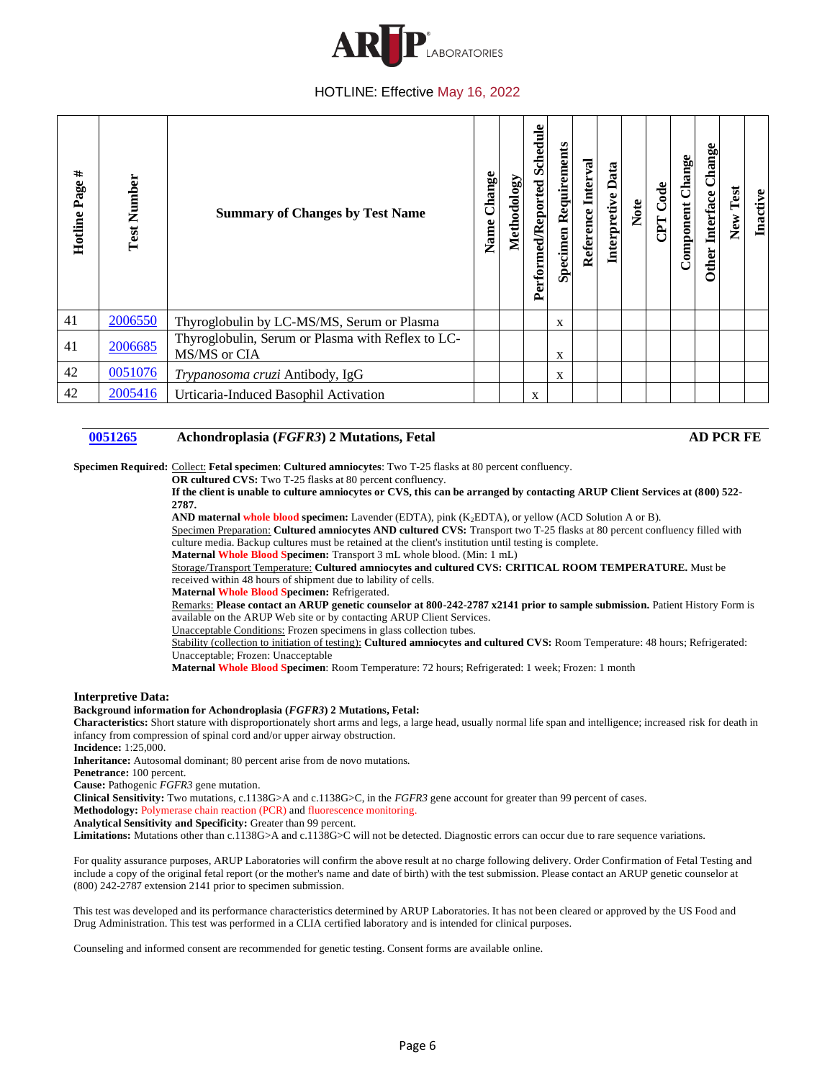

| Hotline Page # | <b>Test Number</b> | <b>Summary of Changes by Test Name</b>                            | Change<br>Name | Methodology | <b>Schedule</b><br>Performed/Reported | <b>Specimen Requirements</b> | Reference Interval | Interpretive Data | Note | CPT Code | Component Change | Change<br>Interface<br>Other | New Test | Inactive |
|----------------|--------------------|-------------------------------------------------------------------|----------------|-------------|---------------------------------------|------------------------------|--------------------|-------------------|------|----------|------------------|------------------------------|----------|----------|
| 41             | 2006550            | Thyroglobulin by LC-MS/MS, Serum or Plasma                        |                |             |                                       | $\mathbf{x}$                 |                    |                   |      |          |                  |                              |          |          |
| 41             | 2006685            | Thyroglobulin, Serum or Plasma with Reflex to LC-<br>MS/MS or CIA |                |             |                                       | X                            |                    |                   |      |          |                  |                              |          |          |
| 42             | 0051076            | Trypanosoma cruzi Antibody, IgG                                   |                |             |                                       | X                            |                    |                   |      |          |                  |                              |          |          |
| 42             | 2005416            | Urticaria-Induced Basophil Activation                             |                |             | X                                     |                              |                    |                   |      |          |                  |                              |          |          |

## <span id="page-5-4"></span><span id="page-5-3"></span><span id="page-5-2"></span><span id="page-5-1"></span><span id="page-5-0"></span>**[0051265](#page-0-0) Achondroplasia (***FGFR3***) 2 Mutations, Fetal AD PCR FE**

**Specimen Required:** Collect: **Fetal specimen**: **Cultured amniocytes**: Two T-25 flasks at 80 percent confluency.

**OR cultured CVS:** Two T-25 flasks at 80 percent confluency.

**If the client is unable to culture amniocytes or CVS, this can be arranged by contacting ARUP Client Services at (800) 522- 2787.** 

**AND maternal whole blood specimen:** Lavender (EDTA), pink (K2EDTA), or yellow (ACD Solution A or B).

Specimen Preparation: **Cultured amniocytes AND cultured CVS:** Transport two T-25 flasks at 80 percent confluency filled with culture media. Backup cultures must be retained at the client's institution until testing is complete.

**Maternal Whole Blood Specimen:** Transport 3 mL whole blood. (Min: 1 mL)

Storage/Transport Temperature: **Cultured amniocytes and cultured CVS: CRITICAL ROOM TEMPERATURE.** Must be received within 48 hours of shipment due to lability of cells.

**Maternal Whole Blood Specimen:** Refrigerated.

Remarks: Please contact an ARUP genetic counselor at 800-242-2787 x2141 prior to sample submission. Patient History Form is available on the ARUP Web site or by contacting ARUP Client Services.

Unacceptable Conditions: Frozen specimens in glass collection tubes.

Stability (collection to initiation of testing): **Cultured amniocytes and cultured CVS:** Room Temperature: 48 hours; Refrigerated: Unacceptable; Frozen: Unacceptable

**Maternal Whole Blood Specimen**: Room Temperature: 72 hours; Refrigerated: 1 week; Frozen: 1 month

#### **Interpretive Data:**

**Background information for Achondroplasia (***FGFR3***) 2 Mutations, Fetal:**

**Characteristics:** Short stature with disproportionately short arms and legs, a large head, usually normal life span and intelligence; increased risk for death in infancy from compression of spinal cord and/or upper airway obstruction.

**Incidence:** 1:25,000.

**Inheritance:** Autosomal dominant; 80 percent arise from de novo mutations.

**Penetrance:** 100 percent.

**Cause:** Pathogenic *FGFR3* gene mutation.

**Clinical Sensitivity:** Two mutations, c.1138G>A and c.1138G>C, in the *FGFR3* gene account for greater than 99 percent of cases.

**Methodology:** Polymerase chain reaction (PCR) and fluorescence monitoring.

**Analytical Sensitivity and Specificity:** Greater than 99 percent.

Limitations: Mutations other than c.1138G>A and c.1138G>C will not be detected. Diagnostic errors can occur due to rare sequence variations.

For quality assurance purposes, ARUP Laboratories will confirm the above result at no charge following delivery. Order Confirmation of Fetal Testing and include a copy of the original fetal report (or the mother's name and date of birth) with the test submission. Please contact an ARUP genetic counselor at (800) 242-2787 extension 2141 prior to specimen submission.

This test was developed and its performance characteristics determined by ARUP Laboratories. It has not been cleared or approved by the US Food and Drug Administration. This test was performed in a CLIA certified laboratory and is intended for clinical purposes.

Counseling and informed consent are recommended for genetic testing. Consent forms are available online.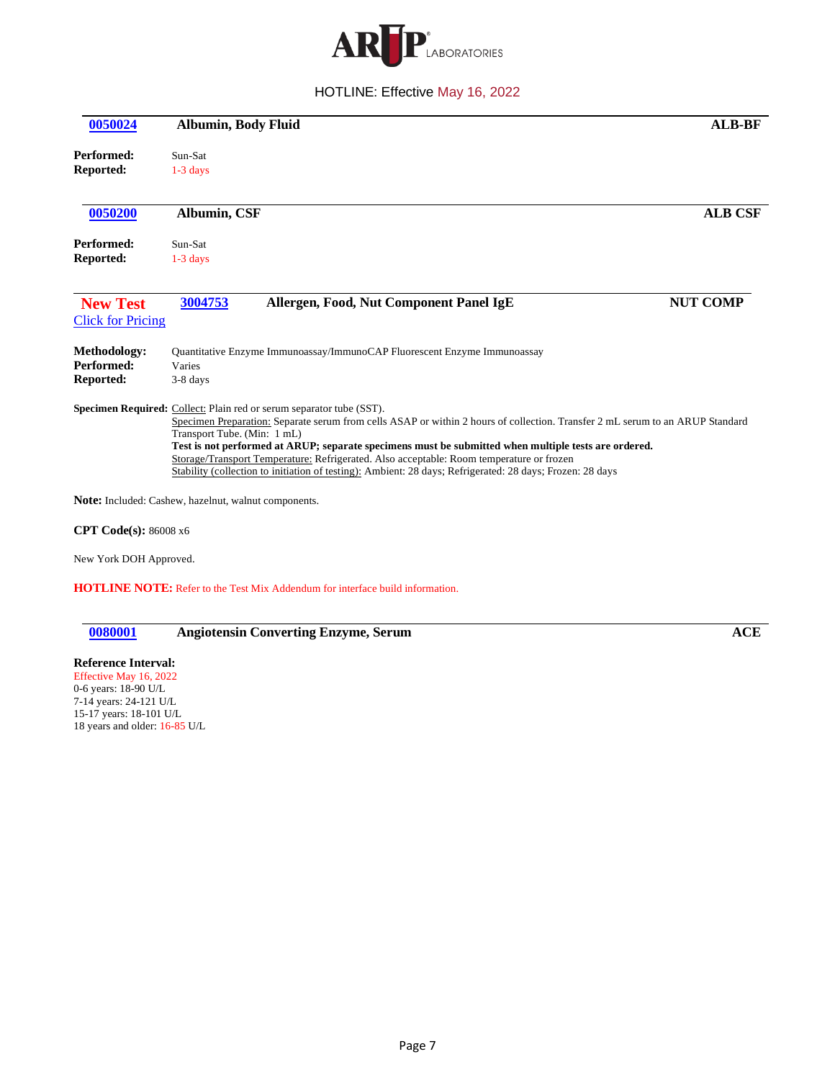

<span id="page-6-2"></span><span id="page-6-1"></span><span id="page-6-0"></span>

| 0050024                                     | <b>Albumin, Body Fluid</b>                                                                                                                                                                                                                                                                                                                                                                                                                                                                                                                            | <b>ALB-BF</b>   |
|---------------------------------------------|-------------------------------------------------------------------------------------------------------------------------------------------------------------------------------------------------------------------------------------------------------------------------------------------------------------------------------------------------------------------------------------------------------------------------------------------------------------------------------------------------------------------------------------------------------|-----------------|
| Performed:<br><b>Reported:</b>              | Sun-Sat<br>$1-3$ days                                                                                                                                                                                                                                                                                                                                                                                                                                                                                                                                 |                 |
| 0050200                                     | <b>Albumin, CSF</b>                                                                                                                                                                                                                                                                                                                                                                                                                                                                                                                                   | <b>ALB CSF</b>  |
| Performed:<br><b>Reported:</b>              | Sun-Sat<br>$1-3$ days                                                                                                                                                                                                                                                                                                                                                                                                                                                                                                                                 |                 |
| <b>New Test</b><br><b>Click for Pricing</b> | Allergen, Food, Nut Component Panel IgE<br>3004753                                                                                                                                                                                                                                                                                                                                                                                                                                                                                                    | <b>NUT COMP</b> |
| Methodology:<br>Performed:<br>Reported:     | Quantitative Enzyme Immunoassay/ImmunoCAP Fluorescent Enzyme Immunoassay<br>Varies<br>3-8 days                                                                                                                                                                                                                                                                                                                                                                                                                                                        |                 |
|                                             | Specimen Required: Collect: Plain red or serum separator tube (SST).<br>Specimen Preparation: Separate serum from cells ASAP or within 2 hours of collection. Transfer 2 mL serum to an ARUP Standard<br>Transport Tube. (Min: 1 mL)<br>Test is not performed at ARUP; separate specimens must be submitted when multiple tests are ordered.<br>Storage/Transport Temperature: Refrigerated. Also acceptable: Room temperature or frozen<br>Stability (collection to initiation of testing): Ambient: 28 days; Refrigerated: 28 days; Frozen: 28 days |                 |
|                                             | <b>Note:</b> Included: Cashew, hazelnut, walnut components.                                                                                                                                                                                                                                                                                                                                                                                                                                                                                           |                 |
| <b>CPT Code(s): 86008 x6</b>                |                                                                                                                                                                                                                                                                                                                                                                                                                                                                                                                                                       |                 |
| New York DOH Approved.                      |                                                                                                                                                                                                                                                                                                                                                                                                                                                                                                                                                       |                 |

**HOTLINE NOTE:** Refer to the Test Mix Addendum for interface build information.

<span id="page-6-3"></span>**[0080001](#page-0-4) Angiotensin Converting Enzyme, Serum ACE**

**Reference Interval:** Effective May 16, 2022 0-6 years: 18-90 U/L 7-14 years: 24-121 U/L 15-17 years: 18-101 U/L 18 years and older: 16-85 U/L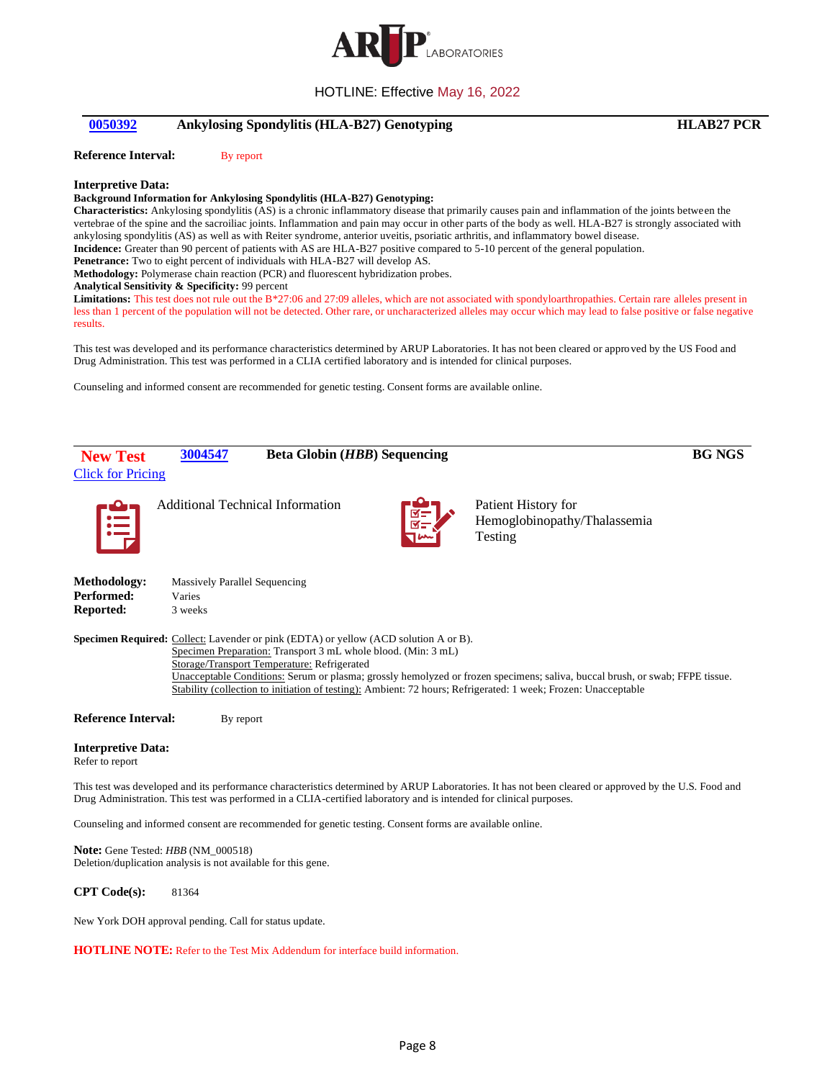

# <span id="page-7-0"></span>**[0050392](#page-0-5) Ankylosing Spondylitis (HLA-B27) Genotyping HLAB27 PCR**

**Reference Interval:** By report

#### **Interpretive Data:**

#### **Background Information for Ankylosing Spondylitis (HLA-B27) Genotyping:**

**Characteristics:** Ankylosing spondylitis (AS) is a chronic inflammatory disease that primarily causes pain and inflammation of the joints between the vertebrae of the spine and the sacroiliac joints. Inflammation and pain may occur in other parts of the body as well. HLA-B27 is strongly associated with ankylosing spondylitis (AS) as well as with Reiter syndrome, anterior uveitis, psoriatic arthritis, and inflammatory bowel disease. **Incidence:** Greater than 90 percent of patients with AS are HLA-B27 positive compared to 5-10 percent of the general population.

**Penetrance:** Two to eight percent of individuals with HLA-B27 will develop AS.

**Methodology:** Polymerase chain reaction (PCR) and fluorescent hybridization probes.

#### **Analytical Sensitivity & Specificity:** 99 percent

Limitations: This test does not rule out the B\*27:06 and 27:09 alleles, which are not associated with spondyloarthropathies. Certain rare alleles present in less than 1 percent of the population will not be detected. Other rare, or uncharacterized alleles may occur which may lead to false positive or false negative results.

This test was developed and its performance characteristics determined by ARUP Laboratories. It has not been cleared or approved by the US Food and Drug Administration. This test was performed in a CLIA certified laboratory and is intended for clinical purposes.

Counseling and informed consent are recommended for genetic testing. Consent forms are available online.

<span id="page-7-1"></span>

Refer to report

This test was developed and its performance characteristics determined by ARUP Laboratories. It has not been cleared or approved by the U.S. Food and Drug Administration. This test was performed in a CLIA-certified laboratory and is intended for clinical purposes.

Counseling and informed consent are recommended for genetic testing. Consent forms are available online.

**Note:** Gene Tested: *HBB* (NM\_000518) Deletion/duplication analysis is not available for this gene.

**CPT Code(s):** 81364

New York DOH approval pending. Call for status update.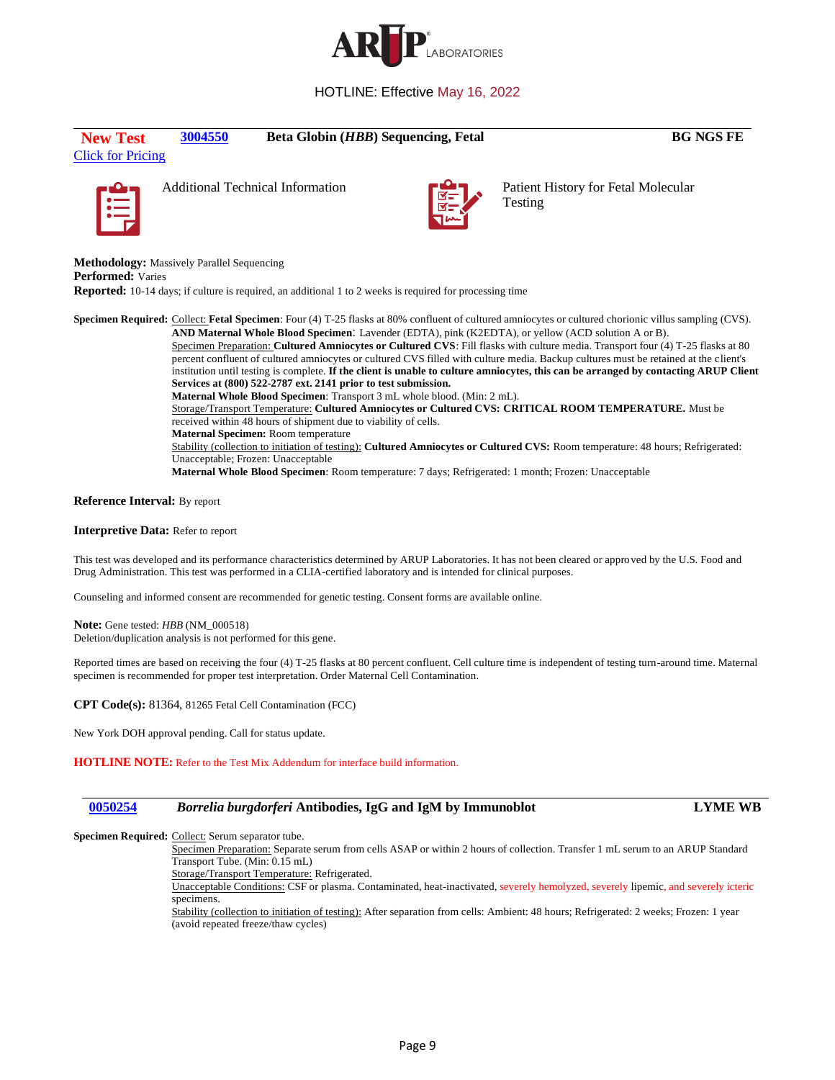

# **New Test [3004550](#page-1-1) Beta Globin (***HBB***) Sequencing, Fetal <b>BG NGS FE**

[Click for Pricing](https://connect.aruplab.com/Pricing/TestPrice/3004550/D05162022)





<span id="page-8-0"></span>Additional Technical Information **Patient Patient History for Fetal Molecular** Testing

**Methodology:** Massively Parallel Sequencing **Performed:** Varies

**Reported:** 10-14 days; if culture is required, an additional 1 to 2 weeks is required for processing time

**Specimen Required:** Collect: **Fetal Specimen**: Four (4) T-25 flasks at 80% confluent of cultured amniocytes or cultured chorionic villus sampling (CVS). **AND Maternal Whole Blood Specimen**: Lavender (EDTA), pink (K2EDTA), or yellow (ACD solution A or B). Specimen Preparation: **Cultured Amniocytes or Cultured CVS**: Fill flasks with culture media. Transport four (4) T-25 flasks at 80 percent confluent of cultured amniocytes or cultured CVS filled with culture media. Backup cultures must be retained at the client's institution until testing is complete. **If the client is unable to culture amniocytes, this can be arranged by contacting ARUP Client Services at (800) 522-2787 ext. 2141 prior to test submission. Maternal Whole Blood Specimen**: Transport 3 mL whole blood. (Min: 2 mL). Storage/Transport Temperature: **Cultured Amniocytes or Cultured CVS: CRITICAL ROOM TEMPERATURE.** Must be received within 48 hours of shipment due to viability of cells. **Maternal Specimen:** Room temperature Stability (collection to initiation of testing): **Cultured Amniocytes or Cultured CVS:** Room temperature: 48 hours; Refrigerated: Unacceptable; Frozen: Unacceptable

**Maternal Whole Blood Specimen**: Room temperature: 7 days; Refrigerated: 1 month; Frozen: Unacceptable

### **Reference Interval:** By report

#### **Interpretive Data:** Refer to report

This test was developed and its performance characteristics determined by ARUP Laboratories. It has not been cleared or approved by the U.S. Food and Drug Administration. This test was performed in a CLIA-certified laboratory and is intended for clinical purposes.

Counseling and informed consent are recommended for genetic testing. Consent forms are available online.

**Note:** Gene tested: *HBB* (NM\_000518) Deletion/duplication analysis is not performed for this gene.

Reported times are based on receiving the four (4) T-25 flasks at 80 percent confluent. Cell culture time is independent of testing turn-around time. Maternal specimen is recommended for proper test interpretation. Order Maternal Cell Contamination.

**CPT Code(s):** 81364, 81265 Fetal Cell Contamination (FCC)

New York DOH approval pending. Call for status update.

**HOTLINE NOTE:** Refer to the Test Mix Addendum for interface build information.

## <span id="page-8-1"></span>**[0050254](#page-1-2)** *Borrelia burgdorferi* **Antibodies, IgG and IgM by Immunoblot LYME WB**

Specimen Required: Collect: Serum separator tube.

Specimen Preparation: Separate serum from cells ASAP or within 2 hours of collection. Transfer 1 mL serum to an ARUP Standard Transport Tube. (Min: 0.15 mL)

Storage/Transport Temperature: Refrigerated.

Unacceptable Conditions: CSF or plasma. Contaminated, heat-inactivated, severely hemolyzed, severely lipemic, and severely icteric specimens.

Stability (collection to initiation of testing): After separation from cells: Ambient: 48 hours; Refrigerated: 2 weeks; Frozen: 1 year (avoid repeated freeze/thaw cycles)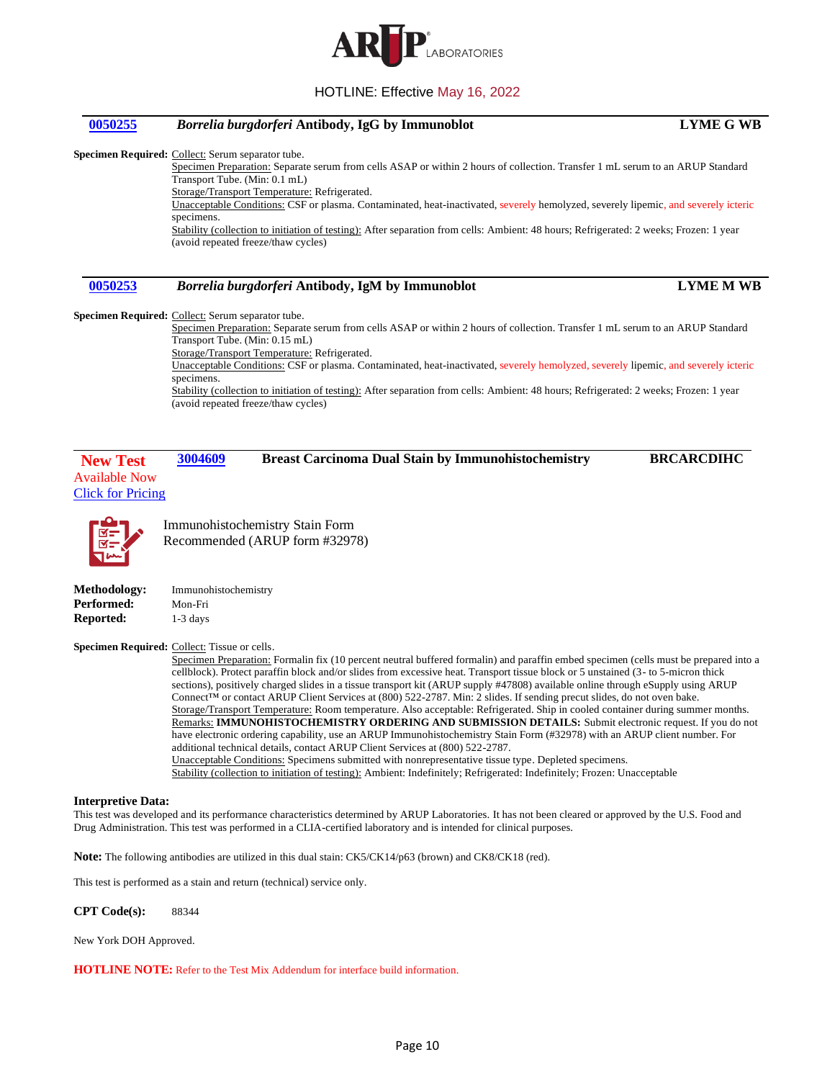

# <span id="page-9-0"></span>**[0050255](#page-1-3)** *Borrelia burgdorferi* **Antibody, IgG by Immunoblot LYME G WB Specimen Required:** Collect: Serum separator tube. Specimen Preparation: Separate serum from cells ASAP or within 2 hours of collection. Transfer 1 mL serum to an ARUP Standard Transport Tube. (Min: 0.1 mL) Storage/Transport Temperature: Refrigerated. Unacceptable Conditions: CSF or plasma. Contaminated, heat-inactivated, severely hemolyzed, severely lipemic, and severely icteric specimens. Stability (collection to initiation of testing): After separation from cells: Ambient: 48 hours; Refrigerated: 2 weeks; Frozen: 1 year (avoid repeated freeze/thaw cycles) **[0050253](#page-1-4)** *Borrelia burgdorferi* **Antibody, IgM by Immunoblot LYME M WB**

<span id="page-9-1"></span>**Specimen Required:** Collect: Serum separator tube.

Specimen Preparation: Separate serum from cells ASAP or within 2 hours of collection. Transfer 1 mL serum to an ARUP Standard Transport Tube. (Min: 0.15 mL)

Storage/Transport Temperature: Refrigerated.

Unacceptable Conditions: CSF or plasma. Contaminated, heat-inactivated, severely hemolyzed, severely lipemic, and severely icteric specimens.

<span id="page-9-2"></span>Stability (collection to initiation of testing): After separation from cells: Ambient: 48 hours; Refrigerated: 2 weeks; Frozen: 1 year (avoid repeated freeze/thaw cycles)

**New Test [3004609](#page-1-5) Breast Carcinoma Dual Stain by Immunohistochemistry BRCARCDIHC**



Available Now [Click for Pricing](https://connect.aruplab.com/Pricing/TestPrice/3004609)

> Immunohistochemistry Stain Form Recommended (ARUP form #32978)

| <b>Methodology:</b> | Immunohistochemistry |
|---------------------|----------------------|
| Performed:          | Mon-Fri              |
| Reported:           | $1-3$ days           |

**Specimen Required:** Collect: Tissue or cells.

Specimen Preparation: Formalin fix (10 percent neutral buffered formalin) and paraffin embed specimen (cells must be prepared into a cellblock). Protect paraffin block and/or slides from excessive heat. Transport tissue block or 5 unstained (3- to 5-micron thick sections), positively charged slides in a tissue transport kit (ARUP supply #47808) available online through eSupply using ARUP Connect™ or contact ARUP Client Services at (800) 522-2787. Min: 2 slides. If sending precut slides, do not oven bake. Storage/Transport Temperature: Room temperature. Also acceptable: Refrigerated. Ship in cooled container during summer months. Remarks: **IMMUNOHISTOCHEMISTRY ORDERING AND SUBMISSION DETAILS:** Submit electronic request. If you do not have electronic ordering capability, use an ARUP Immunohistochemistry Stain Form (#32978) with an ARUP client number. For additional technical details, contact ARUP Client Services at (800) 522-2787.

Unacceptable Conditions: Specimens submitted with nonrepresentative tissue type. Depleted specimens.

Stability (collection to initiation of testing): Ambient: Indefinitely; Refrigerated: Indefinitely; Frozen: Unacceptable

#### **Interpretive Data:**

This test was developed and its performance characteristics determined by ARUP Laboratories. It has not been cleared or approved by the U.S. Food and Drug Administration. This test was performed in a CLIA-certified laboratory and is intended for clinical purposes.

**Note:** The following antibodies are utilized in this dual stain: CK5/CK14/p63 (brown) and CK8/CK18 (red).

This test is performed as a stain and return (technical) service only.

**CPT Code(s):** 88344

New York DOH Approved.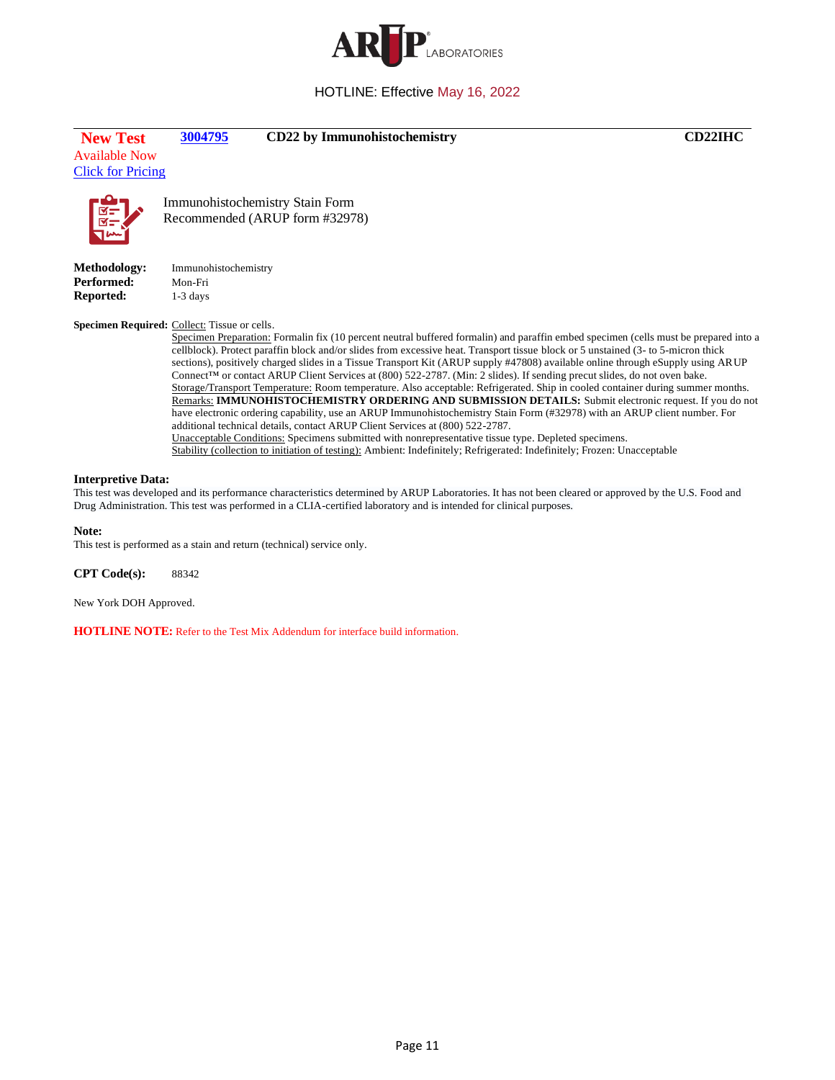

<span id="page-10-0"></span>

| <b>New Test</b><br><b>Available Now</b><br><b>Click for Pricing</b> | 3004795                                      | CD22 by Immunohistochemistry                                           |                                                                                                                                                                                                                                                                                                                                                                                                                                                                                                                                                                                                 | <b>CD22IHC</b>                                                                                                                                                                                                                                                                                                                                                                                                                                                                                                                                                                                                                                    |
|---------------------------------------------------------------------|----------------------------------------------|------------------------------------------------------------------------|-------------------------------------------------------------------------------------------------------------------------------------------------------------------------------------------------------------------------------------------------------------------------------------------------------------------------------------------------------------------------------------------------------------------------------------------------------------------------------------------------------------------------------------------------------------------------------------------------|---------------------------------------------------------------------------------------------------------------------------------------------------------------------------------------------------------------------------------------------------------------------------------------------------------------------------------------------------------------------------------------------------------------------------------------------------------------------------------------------------------------------------------------------------------------------------------------------------------------------------------------------------|
| _a<br>  ¤=<br>  ¤='                                                 |                                              | Immunohistochemistry Stain Form<br>Recommended (ARUP form #32978)      |                                                                                                                                                                                                                                                                                                                                                                                                                                                                                                                                                                                                 |                                                                                                                                                                                                                                                                                                                                                                                                                                                                                                                                                                                                                                                   |
| <b>Methodology:</b>                                                 | Immunohistochemistry                         |                                                                        |                                                                                                                                                                                                                                                                                                                                                                                                                                                                                                                                                                                                 |                                                                                                                                                                                                                                                                                                                                                                                                                                                                                                                                                                                                                                                   |
| <b>Performed:</b>                                                   | Mon-Fri                                      |                                                                        |                                                                                                                                                                                                                                                                                                                                                                                                                                                                                                                                                                                                 |                                                                                                                                                                                                                                                                                                                                                                                                                                                                                                                                                                                                                                                   |
| Reported:                                                           | $1-3$ days                                   |                                                                        |                                                                                                                                                                                                                                                                                                                                                                                                                                                                                                                                                                                                 |                                                                                                                                                                                                                                                                                                                                                                                                                                                                                                                                                                                                                                                   |
|                                                                     | Specimen Required: Collect: Tissue or cells. |                                                                        | cellblock). Protect paraffin block and/or slides from excessive heat. Transport tissue block or 5 unstained (3- to 5-micron thick<br>Connect <sup>TM</sup> or contact ARUP Client Services at (800) 522-2787. (Min: 2 slides). If sending precut slides, do not oven bake.<br>additional technical details, contact ARUP Client Services at (800) 522-2787.<br>Unacceptable Conditions: Specimens submitted with nonrepresentative tissue type. Depleted specimens.<br>Stability (collection to initiation of testing): Ambient: Indefinitely; Refrigerated: Indefinitely; Frozen: Unacceptable | Specimen Preparation: Formalin fix (10 percent neutral buffered formalin) and paraffin embed specimen (cells must be prepared into a<br>sections), positively charged slides in a Tissue Transport Kit (ARUP supply #47808) available online through eSupply using ARUP<br>Storage/Transport Temperature: Room temperature. Also acceptable: Refrigerated. Ship in cooled container during summer months.<br>Remarks: IMMUNOHISTOCHEMISTRY ORDERING AND SUBMISSION DETAILS: Submit electronic request. If you do not<br>have electronic ordering capability, use an ARUP Immunohistochemistry Stain Form (#32978) with an ARUP client number. For |
| <b>Interpretive Data:</b>                                           |                                              |                                                                        | Drug Administration. This test was performed in a CLIA-certified laboratory and is intended for clinical purposes.                                                                                                                                                                                                                                                                                                                                                                                                                                                                              | This test was developed and its performance characteristics determined by ARUP Laboratories. It has not been cleared or approved by the U.S. Food and                                                                                                                                                                                                                                                                                                                                                                                                                                                                                             |
| Note:                                                               |                                              | This test is performed as a stain and return (technical) service only. |                                                                                                                                                                                                                                                                                                                                                                                                                                                                                                                                                                                                 |                                                                                                                                                                                                                                                                                                                                                                                                                                                                                                                                                                                                                                                   |
| <b>CPT</b> Code(s):                                                 | 88342                                        |                                                                        |                                                                                                                                                                                                                                                                                                                                                                                                                                                                                                                                                                                                 |                                                                                                                                                                                                                                                                                                                                                                                                                                                                                                                                                                                                                                                   |
|                                                                     |                                              |                                                                        |                                                                                                                                                                                                                                                                                                                                                                                                                                                                                                                                                                                                 |                                                                                                                                                                                                                                                                                                                                                                                                                                                                                                                                                                                                                                                   |

New York DOH Approved.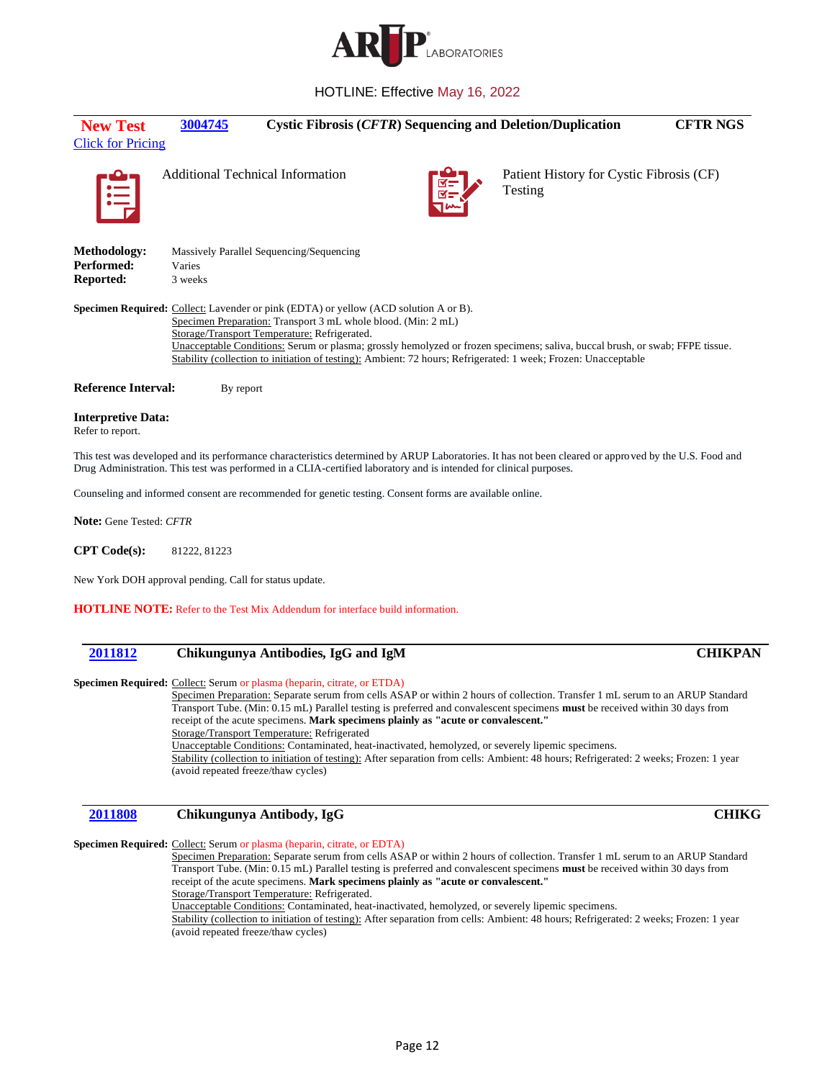

<span id="page-11-0"></span>

| <b>New Test</b><br><b>Click for Pricing</b>   | 3004745                                 |                                                                                                                                                                                                              | <b>Cystic Fibrosis (CFTR) Sequencing and Deletion/Duplication</b>                                                                                                                                                                              | <b>CFTR NGS</b> |
|-----------------------------------------------|-----------------------------------------|--------------------------------------------------------------------------------------------------------------------------------------------------------------------------------------------------------------|------------------------------------------------------------------------------------------------------------------------------------------------------------------------------------------------------------------------------------------------|-----------------|
| 闫                                             | <b>Additional Technical Information</b> |                                                                                                                                                                                                              | Patient History for Cystic Fibrosis (CF)<br>Testing                                                                                                                                                                                            |                 |
| Methodology:<br>Performed:<br>Reported:       | Varies<br>3 weeks                       | Massively Parallel Sequencing/Sequencing                                                                                                                                                                     |                                                                                                                                                                                                                                                |                 |
|                                               |                                         | <b>Specimen Required:</b> Collect: Lavender or pink (EDTA) or yellow (ACD solution A or B).<br>Specimen Preparation: Transport 3 mL whole blood. (Min: 2 mL)<br>Storage/Transport Temperature: Refrigerated. | Unacceptable Conditions: Serum or plasma; grossly hemolyzed or frozen specimens; saliva, buccal brush, or swab; FFPE tissue.<br>Stability (collection to initiation of testing): Ambient: 72 hours; Refrigerated: 1 week; Frozen: Unacceptable |                 |
| <b>Reference Interval:</b>                    | By report                               |                                                                                                                                                                                                              |                                                                                                                                                                                                                                                |                 |
| <b>Interpretive Data:</b><br>Refer to report. |                                         |                                                                                                                                                                                                              |                                                                                                                                                                                                                                                |                 |
|                                               |                                         | Drug Administration. This test was performed in a CLIA-certified laboratory and is intended for clinical purposes.                                                                                           | This test was developed and its performance characteristics determined by ARUP Laboratories. It has not been cleared or approved by the U.S. Food and                                                                                          |                 |
|                                               |                                         | Counseling and informed consent are recommended for genetic testing. Consent forms are available online.                                                                                                     |                                                                                                                                                                                                                                                |                 |
| <b>Note:</b> Gene Tested: CFTR                |                                         |                                                                                                                                                                                                              |                                                                                                                                                                                                                                                |                 |
| CPT Code(s):                                  | 81222, 81223                            |                                                                                                                                                                                                              |                                                                                                                                                                                                                                                |                 |

New York DOH approval pending. Call for status update.

**HOTLINE NOTE:** Refer to the Test Mix Addendum for interface build information.

## <span id="page-11-1"></span>**[2011812](#page-1-8) Chikungunya Antibodies, IgG and IgM CHIKPAN**

#### **Specimen Required:** Collect: Serum or plasma (heparin, citrate, or ETDA)

Specimen Preparation: Separate serum from cells ASAP or within 2 hours of collection. Transfer 1 mL serum to an ARUP Standard Transport Tube. (Min: 0.15 mL) Parallel testing is preferred and convalescent specimens **must** be received within 30 days from receipt of the acute specimens. **Mark specimens plainly as "acute or convalescent."** Storage/Transport Temperature: Refrigerated Unacceptable Conditions: Contaminated, heat-inactivated, hemolyzed, or severely lipemic specimens.

Stability (collection to initiation of testing): After separation from cells: Ambient: 48 hours; Refrigerated: 2 weeks; Frozen: 1 year (avoid repeated freeze/thaw cycles)

# <span id="page-11-2"></span>**[2011808](#page-1-9) Chikungunya Antibody, IgG CHIKG**

### **Specimen Required:** Collect: Serum or plasma (heparin, citrate, or EDTA)

Specimen Preparation: Separate serum from cells ASAP or within 2 hours of collection. Transfer 1 mL serum to an ARUP Standard Transport Tube. (Min: 0.15 mL) Parallel testing is preferred and convalescent specimens **must** be received within 30 days from receipt of the acute specimens. **Mark specimens plainly as "acute or convalescent."** Storage/Transport Temperature: Refrigerated.

Unacceptable Conditions: Contaminated, heat-inactivated, hemolyzed, or severely lipemic specimens.

Stability (collection to initiation of testing): After separation from cells: Ambient: 48 hours; Refrigerated: 2 weeks; Frozen: 1 year (avoid repeated freeze/thaw cycles)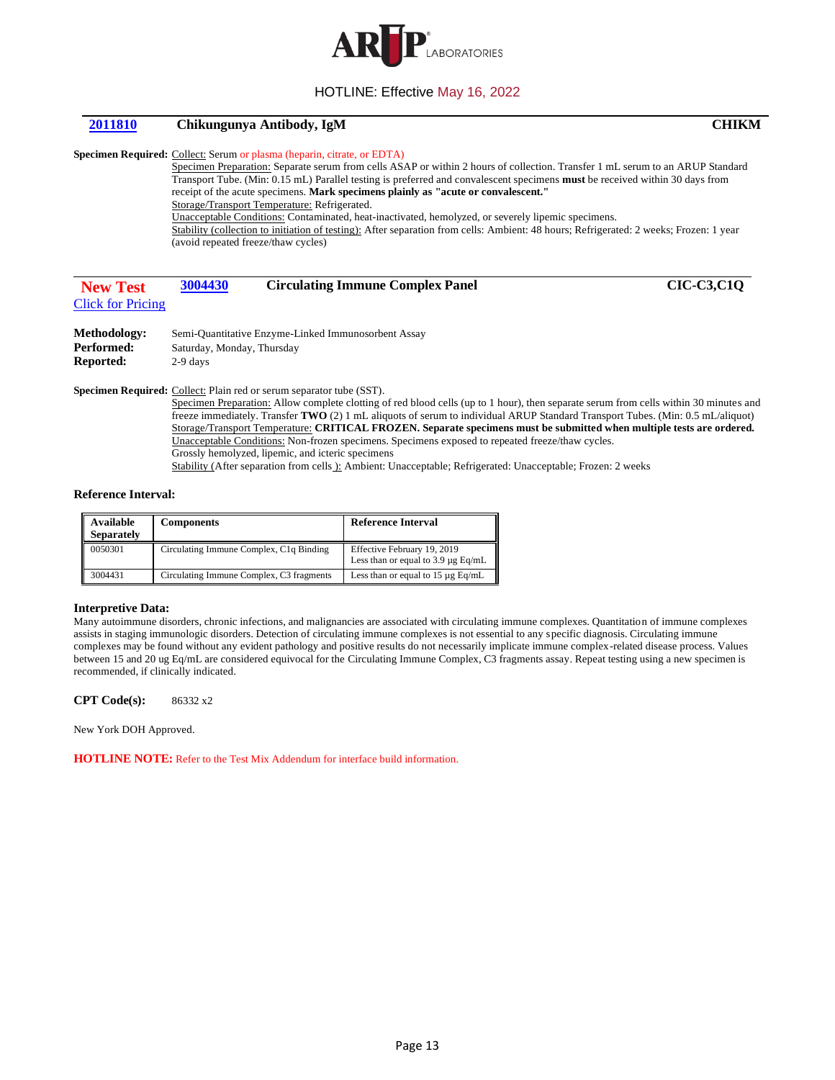

## <span id="page-12-0"></span>**[2011810](#page-1-10) Chikungunya Antibody, IgM CHIKM**

#### **Specimen Required:** Collect: Serum or plasma (heparin, citrate, or EDTA)

Specimen Preparation: Separate serum from cells ASAP or within 2 hours of collection. Transfer 1 mL serum to an ARUP Standard Transport Tube. (Min: 0.15 mL) Parallel testing is preferred and convalescent specimens **must** be received within 30 days from receipt of the acute specimens. **Mark specimens plainly as "acute or convalescent."** Storage/Transport Temperature: Refrigerated. Unacceptable Conditions: Contaminated, heat-inactivated, hemolyzed, or severely lipemic specimens. Stability (collection to initiation of testing): After separation from cells: Ambient: 48 hours; Refrigerated: 2 weeks; Frozen: 1 year

<span id="page-12-1"></span>(avoid repeated freeze/thaw cycles)

| <b>New Test</b>          | 3004430 | <b>Circulating Immune Complex Panel</b> | <b>CIC-C3,C1Q</b> |
|--------------------------|---------|-----------------------------------------|-------------------|
| <b>Click for Pricing</b> |         |                                         |                   |
| _ _ _ _ _                |         |                                         |                   |

| Methodology: | Semi-Quantitative Enzyme-Linked Immunosorbent Assay |
|--------------|-----------------------------------------------------|
| Performed:   | Saturday, Monday, Thursday                          |
| Reported:    | $2-9$ days                                          |

Specimen Required: Collect: Plain red or serum separator tube (SST).

Specimen Preparation: Allow complete clotting of red blood cells (up to 1 hour), then separate serum from cells within 30 minutes and freeze immediately. Transfer **TWO** (2) 1 mL aliquots of serum to individual ARUP Standard Transport Tubes. (Min: 0.5 mL/aliquot) Storage/Transport Temperature: **CRITICAL FROZEN. Separate specimens must be submitted when multiple tests are ordered.** Unacceptable Conditions: Non-frozen specimens. Specimens exposed to repeated freeze/thaw cycles. Grossly hemolyzed, lipemic, and icteric specimens Stability (After separation from cells ): Ambient: Unacceptable; Refrigerated: Unacceptable; Frozen: 2 weeks

#### **Reference Interval:**

| Available<br><b>Separately</b> | <b>Components</b>                                    | <b>Reference Interval</b>                                              |
|--------------------------------|------------------------------------------------------|------------------------------------------------------------------------|
| 0050301                        | Circulating Immune Complex, C <sub>1</sub> q Binding | Effective February 19, 2019<br>Less than or equal to $3.9 \mu$ g Eq/mL |
| 3004431                        | Circulating Immune Complex, C3 fragments             | Less than or equal to $15 \mu$ g Eq/mL                                 |

#### **Interpretive Data:**

Many autoimmune disorders, chronic infections, and malignancies are associated with circulating immune complexes. Quantitation of immune complexes assists in staging immunologic disorders. Detection of circulating immune complexes is not essential to any specific diagnosis. Circulating immune complexes may be found without any evident pathology and positive results do not necessarily implicate immune complex-related disease process. Values between 15 and 20 ug Eq/mL are considered equivocal for the Circulating Immune Complex, C3 fragments assay. Repeat testing using a new specimen is recommended, if clinically indicated.

**CPT Code(s):** 86332 x2

New York DOH Approved.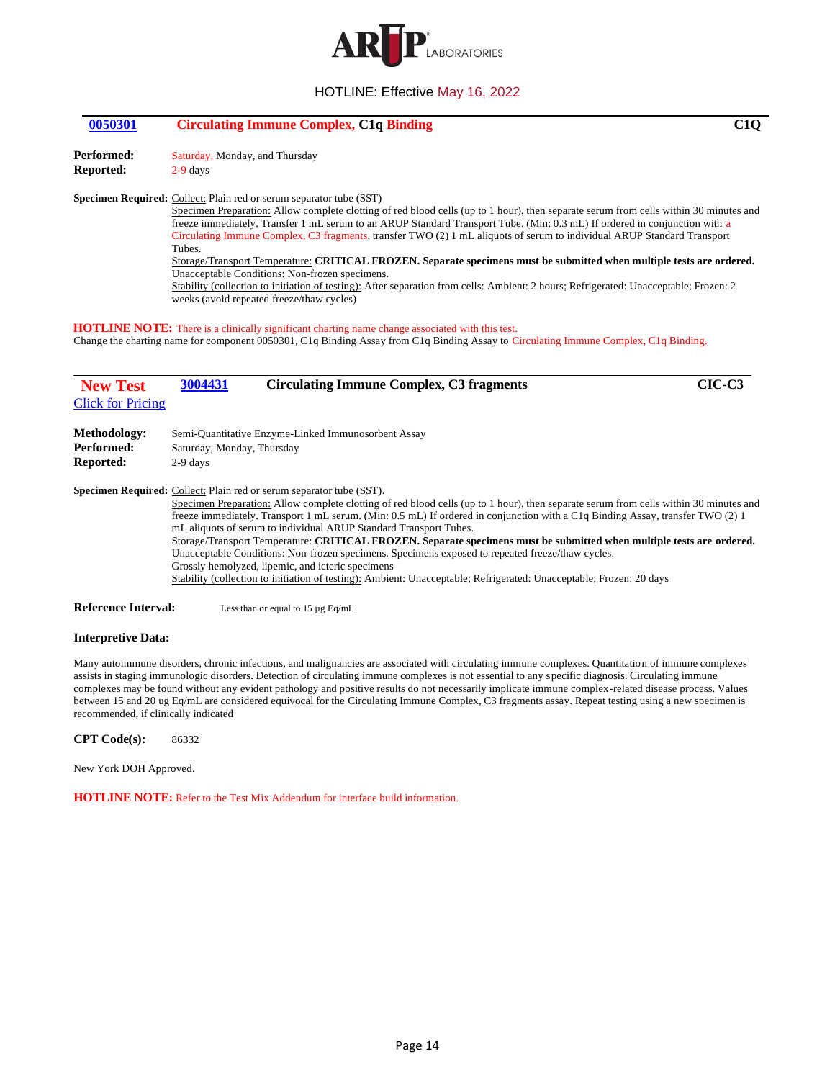

## <span id="page-13-0"></span>**[0050301](#page-1-12) Circulating Immune Complex, C1q Binding C1Q**

Performed: Saturday, Monday, and Thursday

**Reported:** 2-9 days

#### **Specimen Required:** Collect: Plain red or serum separator tube (SST)

Specimen Preparation: Allow complete clotting of red blood cells (up to 1 hour), then separate serum from cells within 30 minutes and freeze immediately. Transfer 1 mL serum to an ARUP Standard Transport Tube. (Min: 0.3 mL) If ordered in conjunction with a Circulating Immune Complex, C3 fragments, transfer TWO (2) 1 mL aliquots of serum to individual ARUP Standard Transport Tubes.

Storage/Transport Temperature: **CRITICAL FROZEN. Separate specimens must be submitted when multiple tests are ordered.** Unacceptable Conditions: Non-frozen specimens.

<span id="page-13-1"></span>Stability (collection to initiation of testing): After separation from cells: Ambient: 2 hours; Refrigerated: Unacceptable; Frozen: 2 weeks (avoid repeated freeze/thaw cycles)

## **HOTLINE NOTE:** There is a clinically significant charting name change associated with this test.

Change the charting name for component 0050301, C1q Binding Assay from C1q Binding Assay to Circulating Immune Complex, C1q Binding.

| <b>New Test</b>          | 3004431                    |                                                                             | <b>Circulating Immune Complex, C3 fragments</b>                                                                     | CIC-C3                                                                                                                                |
|--------------------------|----------------------------|-----------------------------------------------------------------------------|---------------------------------------------------------------------------------------------------------------------|---------------------------------------------------------------------------------------------------------------------------------------|
| <b>Click for Pricing</b> |                            |                                                                             |                                                                                                                     |                                                                                                                                       |
| Methodology:             |                            | Semi-Quantitative Enzyme-Linked Immunosorbent Assay                         |                                                                                                                     |                                                                                                                                       |
| Performed:               | Saturday, Monday, Thursday |                                                                             |                                                                                                                     |                                                                                                                                       |
| <b>Reported:</b>         | $2-9$ days                 |                                                                             |                                                                                                                     |                                                                                                                                       |
|                          |                            | <b>Specimen Required:</b> Collect: Plain red or serum separator tube (SST). |                                                                                                                     |                                                                                                                                       |
|                          |                            |                                                                             |                                                                                                                     | Specimen Preparation: Allow complete clotting of red blood cells (up to 1 hour), then separate serum from cells within 30 minutes and |
|                          |                            |                                                                             |                                                                                                                     | freeze immediately. Transport 1 mL serum. (Min: 0.5 mL) If ordered in conjunction with a C1q Binding Assay, transfer TWO (2) 1        |
|                          |                            |                                                                             | mL aliquots of serum to individual ARUP Standard Transport Tubes.                                                   |                                                                                                                                       |
|                          |                            |                                                                             |                                                                                                                     | Storage/Transport Temperature: CRITICAL FROZEN. Separate specimens must be submitted when multiple tests are ordered.                 |
|                          |                            |                                                                             | Unacceptable Conditions: Non-frozen specimens. Specimens exposed to repeated freeze/thaw cycles.                    |                                                                                                                                       |
|                          |                            | Grossly hemolyzed, lipemic, and icteric specimens                           |                                                                                                                     |                                                                                                                                       |
|                          |                            |                                                                             | Stability (collection to initiation of testing): Ambient: Unacceptable; Refrigerated: Unacceptable; Frozen: 20 days |                                                                                                                                       |
|                          |                            |                                                                             |                                                                                                                     |                                                                                                                                       |

**Reference Interval:** Less than or equal to 15 µg Eq/mL

#### **Interpretive Data:**

Many autoimmune disorders, chronic infections, and malignancies are associated with circulating immune complexes. Quantitation of immune complexes assists in staging immunologic disorders. Detection of circulating immune complexes is not essential to any specific diagnosis. Circulating immune complexes may be found without any evident pathology and positive results do not necessarily implicate immune complex-related disease process. Values between 15 and 20 ug Eq/mL are considered equivocal for the Circulating Immune Complex, C3 fragments assay. Repeat testing using a new specimen is recommended, if clinically indicated

**CPT Code(s):** 86332

New York DOH Approved.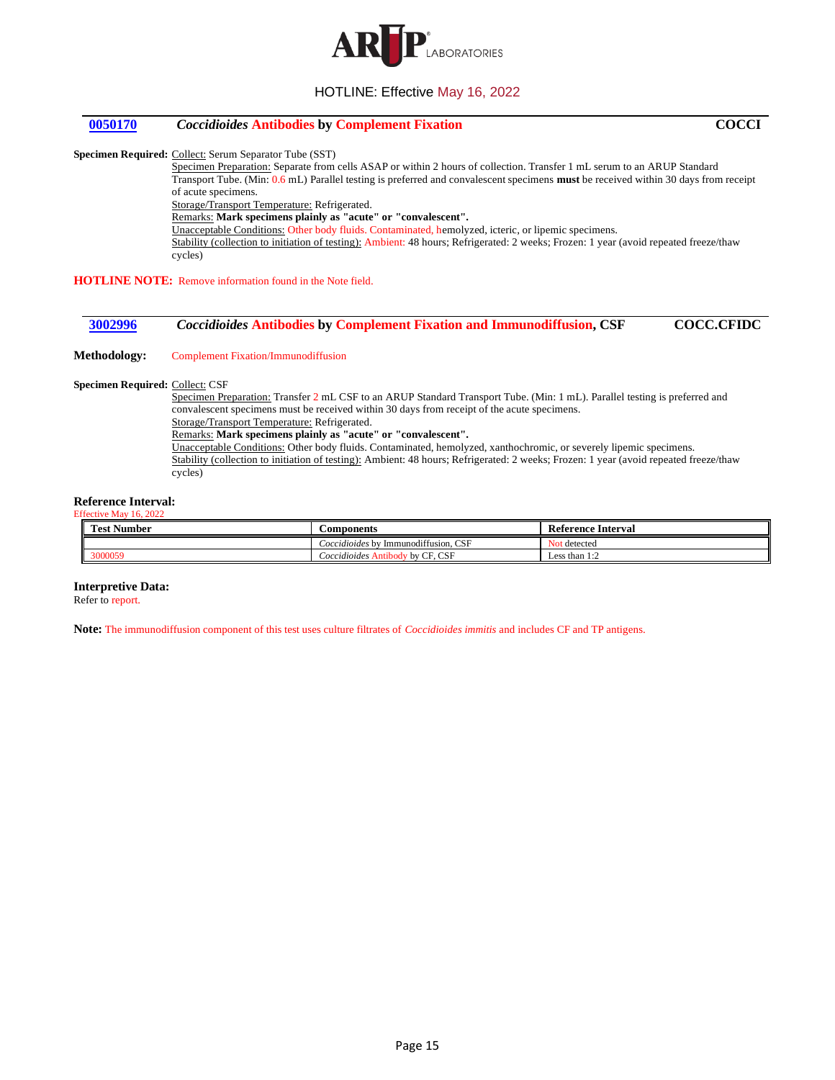

## <span id="page-14-0"></span>**[0050170](#page-1-14)** *Coccidioides* **Antibodies by Complement Fixation COCCI**

**Specimen Required:** Collect: Serum Separator Tube (SST)

Specimen Preparation: Separate from cells ASAP or within 2 hours of collection. Transfer 1 mL serum to an ARUP Standard Transport Tube. (Min: 0.6 mL) Parallel testing is preferred and convalescent specimens **must** be received within 30 days from receipt of acute specimens.

Storage/Transport Temperature: Refrigerated.

Remarks: **Mark specimens plainly as "acute" or "convalescent".**

Unacceptable Conditions: Other body fluids. Contaminated, hemolyzed, icteric, or lipemic specimens.

Stability (collection to initiation of testing): Ambient: 48 hours; Refrigerated: 2 weeks; Frozen: 1 year (avoid repeated freeze/thaw cycles)

**HOTLINE NOTE:** Remove information found in the Note field.

## <span id="page-14-1"></span>**[3002996](#page-1-15)** *Coccidioides* **Antibodies by Complement Fixation and Immunodiffusion, CSF COCC.CFIDC**

**Methodology:** Complement Fixation/Immunodiffusion

cycles)

**Specimen Required:** Collect: CSF

Specimen Preparation: Transfer 2 mL CSF to an ARUP Standard Transport Tube. (Min: 1 mL). Parallel testing is preferred and convalescent specimens must be received within 30 days from receipt of the acute specimens. Storage/Transport Temperature: Refrigerated. Remarks: **Mark specimens plainly as "acute" or "convalescent".** Unacceptable Conditions: Other body fluids. Contaminated, hemolyzed, xanthochromic, or severely lipemic specimens. Stability (collection to initiation of testing): Ambient: 48 hours; Refrigerated: 2 weeks; Frozen: 1 year (avoid repeated freeze/thaw

#### **Reference Interval:** Effective May 16, 2022

| m.<br>Test Number | ' <i>∶</i> omponents                                 | : Interval<br>Reference     |
|-------------------|------------------------------------------------------|-----------------------------|
|                   | J Immunodiffusion, CSF<br>$\triangle$ occidioides by | N <sub>O1</sub><br>detected |
| 3000059           | CF, CSF<br>coccidioides<br>/ hv                      | Less than $1:2$             |

#### **Interpretive Data:**

Refer to report.

**Note:** The immunodiffusion component of this test uses culture filtrates of *Coccidioides immitis* and includes CF and TP antigens.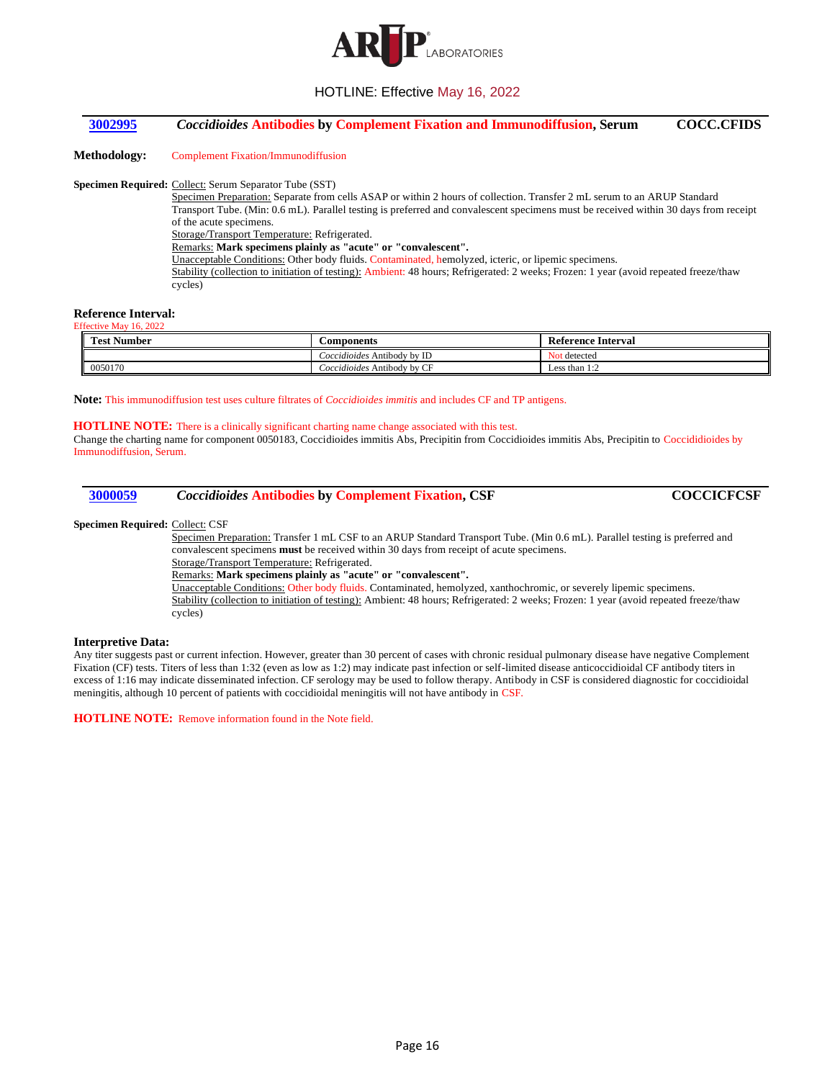

## <span id="page-15-0"></span>**[3002995](#page-1-16)** *Coccidioides* **Antibodies by Complement Fixation and Immunodiffusion, Serum COCC.CFIDS**

**Methodology:** Complement Fixation/Immunodiffusion

#### **Specimen Required:** Collect: Serum Separator Tube (SST)

Specimen Preparation: Separate from cells ASAP or within 2 hours of collection. Transfer 2 mL serum to an ARUP Standard Transport Tube. (Min: 0.6 mL). Parallel testing is preferred and convalescent specimens must be received within 30 days from receipt of the acute specimens. Storage/Transport Temperature: Refrigerated. Remarks: **Mark specimens plainly as "acute" or "convalescent".** Unacceptable Conditions: Other body fluids. Contaminated, hemolyzed, icteric, or lipemic specimens. Stability (collection to initiation of testing): Ambient: 48 hours; Refrigerated: 2 weeks; Frozen: 1 year (avoid repeated freeze/thaw cycles)

#### **Reference Interval:** Effective May 16, 2022

| <b>Test Number</b> | <b>Components</b>           | Reference Interval |
|--------------------|-----------------------------|--------------------|
|                    | Coccidioides Antibody by ID | : detected         |
| 0050170            | Coccidioides Antibody by CF | Less than $1:2$    |

**Note:** This immunodiffusion test uses culture filtrates of *Coccidioides immitis* and includes CF and TP antigens.

#### **HOTLINE NOTE:** There is a clinically significant charting name change associated with this test.

Change the charting name for component 0050183, Coccidioides immitis Abs, Precipitin from Coccidioides immitis Abs, Precipitin to Coccididioides by Immunodiffusion, Serum.

<span id="page-15-1"></span>

| 3000059 | <i>Coccidioides</i> Antibodies by Complement Fixation, CSF | <b>COCCICFCSF</b> |
|---------|------------------------------------------------------------|-------------------|
|---------|------------------------------------------------------------|-------------------|

#### **Specimen Required:** Collect: CSF

Specimen Preparation: Transfer 1 mL CSF to an ARUP Standard Transport Tube. (Min 0.6 mL). Parallel testing is preferred and convalescent specimens **must** be received within 30 days from receipt of acute specimens. Storage/Transport Temperature: Refrigerated.

Remarks: **Mark specimens plainly as "acute" or "convalescent".**

Unacceptable Conditions: Other body fluids. Contaminated, hemolyzed, xanthochromic, or severely lipemic specimens. Stability (collection to initiation of testing): Ambient: 48 hours; Refrigerated: 2 weeks; Frozen: 1 year (avoid repeated freeze/thaw cycles)

#### **Interpretive Data:**

Any titer suggests past or current infection. However, greater than 30 percent of cases with chronic residual pulmonary disease have negative Complement Fixation (CF) tests. Titers of less than 1:32 (even as low as 1:2) may indicate past infection or self-limited disease anticoccidioidal CF antibody titers in excess of 1:16 may indicate disseminated infection. CF serology may be used to follow therapy. Antibody in CSF is considered diagnostic for coccidioidal meningitis, although 10 percent of patients with coccidioidal meningitis will not have antibody in CSF.

**HOTLINE NOTE:** Remove information found in the Note field.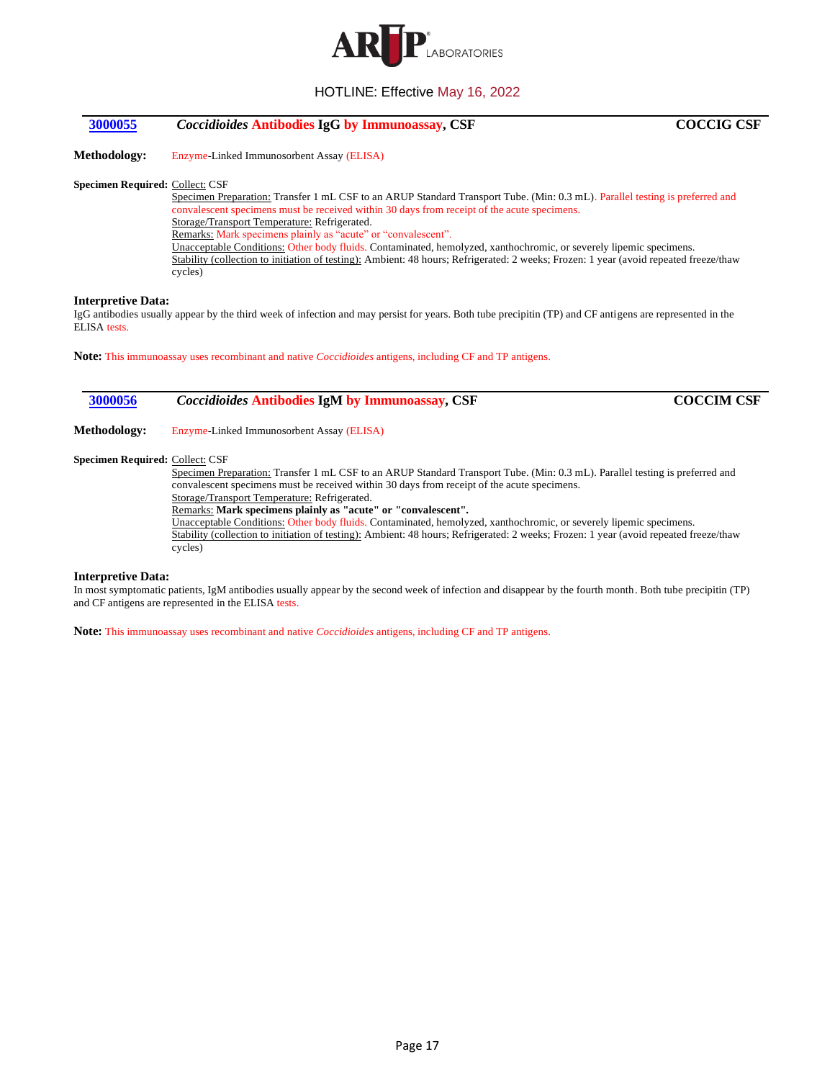

## <span id="page-16-0"></span>**[3000055](#page-1-18)** *Coccidioides* **Antibodies IgG by Immunoassay, CSF COCCIG CSF**

**Methodology:** Enzyme-Linked Immunosorbent Assay (ELISA)

#### **Specimen Required:** Collect: CSF

Specimen Preparation: Transfer 1 mL CSF to an ARUP Standard Transport Tube. (Min: 0.3 mL). Parallel testing is preferred and convalescent specimens must be received within 30 days from receipt of the acute specimens. Storage/Transport Temperature: Refrigerated. Remarks: Mark specimens plainly as "acute" or "convalescent". Unacceptable Conditions: Other body fluids. Contaminated, hemolyzed, xanthochromic, or severely lipemic specimens. Stability (collection to initiation of testing): Ambient: 48 hours; Refrigerated: 2 weeks; Frozen: 1 year (avoid repeated freeze/thaw cycles)

#### **Interpretive Data:**

IgG antibodies usually appear by the third week of infection and may persist for years. Both tube precipitin (TP) and CF antigens are represented in the ELISA tests.

**Note:** This immunoassay uses recombinant and native *Coccidioides* antigens, including CF and TP antigens.

## <span id="page-16-1"></span>**[3000056](#page-1-19)** *Coccidioides* **Antibodies IgM by Immunoassay, CSF COCCIM CSF**

**Methodology:** Enzyme-Linked Immunosorbent Assay (ELISA)

#### **Specimen Required:** Collect: CSF

Specimen Preparation: Transfer 1 mL CSF to an ARUP Standard Transport Tube. (Min: 0.3 mL). Parallel testing is preferred and convalescent specimens must be received within 30 days from receipt of the acute specimens. Storage/Transport Temperature: Refrigerated.

Remarks: **Mark specimens plainly as "acute" or "convalescent".**

Unacceptable Conditions: Other body fluids. Contaminated, hemolyzed, xanthochromic, or severely lipemic specimens. Stability (collection to initiation of testing): Ambient: 48 hours; Refrigerated: 2 weeks; Frozen: 1 year (avoid repeated freeze/thaw cycles)

#### **Interpretive Data:**

In most symptomatic patients, IgM antibodies usually appear by the second week of infection and disappear by the fourth month. Both tube precipitin (TP) and CF antigens are represented in the ELISA tests.

**Note:** This immunoassay uses recombinant and native *Coccidioides* antigens, including CF and TP antigens.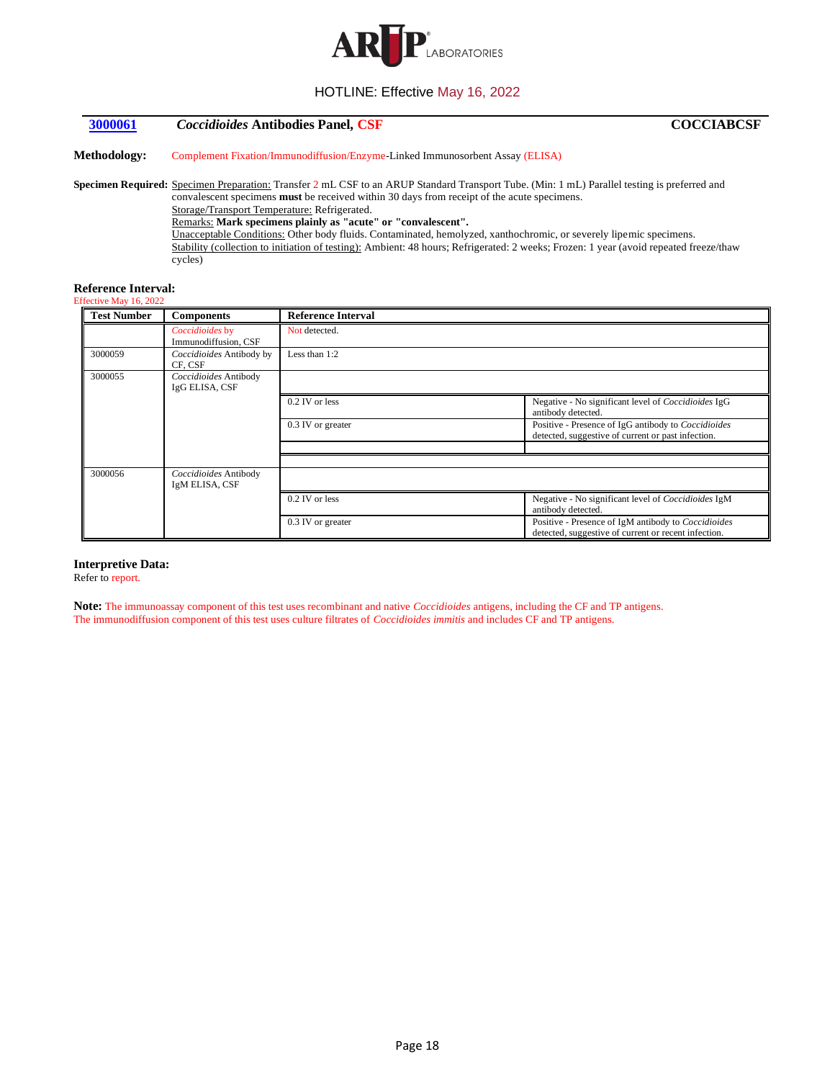

## <span id="page-17-0"></span>**[3000061](#page-1-20)** *Coccidioides* **Antibodies Panel, CSF COCCIABCSF**

**Methodology:** Complement Fixation/Immunodiffusion/Enzyme-Linked Immunosorbent Assay (ELISA)

**Specimen Required:** Specimen Preparation: Transfer 2 mL CSF to an ARUP Standard Transport Tube. (Min: 1 mL) Parallel testing is preferred and convalescent specimens **must** be received within 30 days from receipt of the acute specimens. Storage/Transport Temperature: Refrigerated.

Remarks: **Mark specimens plainly as "acute" or "convalescent".**

Unacceptable Conditions: Other body fluids. Contaminated, hemolyzed, xanthochromic, or severely lipemic specimens. Stability (collection to initiation of testing): Ambient: 48 hours; Refrigerated: 2 weeks; Frozen: 1 year (avoid repeated freeze/thaw cycles)

## **Reference Interval:**

| Effective May 16, 2022 |  |  |
|------------------------|--|--|

| <b>Test Number</b> | <b>Components</b>                       | <b>Reference Interval</b> |                                                                                                             |
|--------------------|-----------------------------------------|---------------------------|-------------------------------------------------------------------------------------------------------------|
|                    | Coccidioides by<br>Immunodiffusion, CSF | Not detected.             |                                                                                                             |
| 3000059            | Coccidioides Antibody by<br>CF. CSF     | Less than $1:2$           |                                                                                                             |
| 3000055            | Coccidioides Antibody<br>IgG ELISA, CSF |                           |                                                                                                             |
|                    |                                         | 0.2 IV or less            | Negative - No significant level of Coccidioides IgG<br>antibody detected.                                   |
|                    |                                         | 0.3 IV or greater         | Positive - Presence of IgG antibody to Coccidioides<br>detected, suggestive of current or past infection.   |
|                    |                                         |                           |                                                                                                             |
| 3000056            | Coccidioides Antibody<br>IgM ELISA, CSF |                           |                                                                                                             |
|                    |                                         | 0.2 IV or less            | Negative - No significant level of Coccidioides IgM<br>antibody detected.                                   |
|                    |                                         | 0.3 IV or greater         | Positive - Presence of IgM antibody to Coccidioides<br>detected, suggestive of current or recent infection. |

#### **Interpretive Data:**

Refer to report.

**Note:** The immunoassay component of this test uses recombinant and native *Coccidioides* antigens, including the CF and TP antigens. The immunodiffusion component of this test uses culture filtrates of *Coccidioides immitis* and includes CF and TP antigens.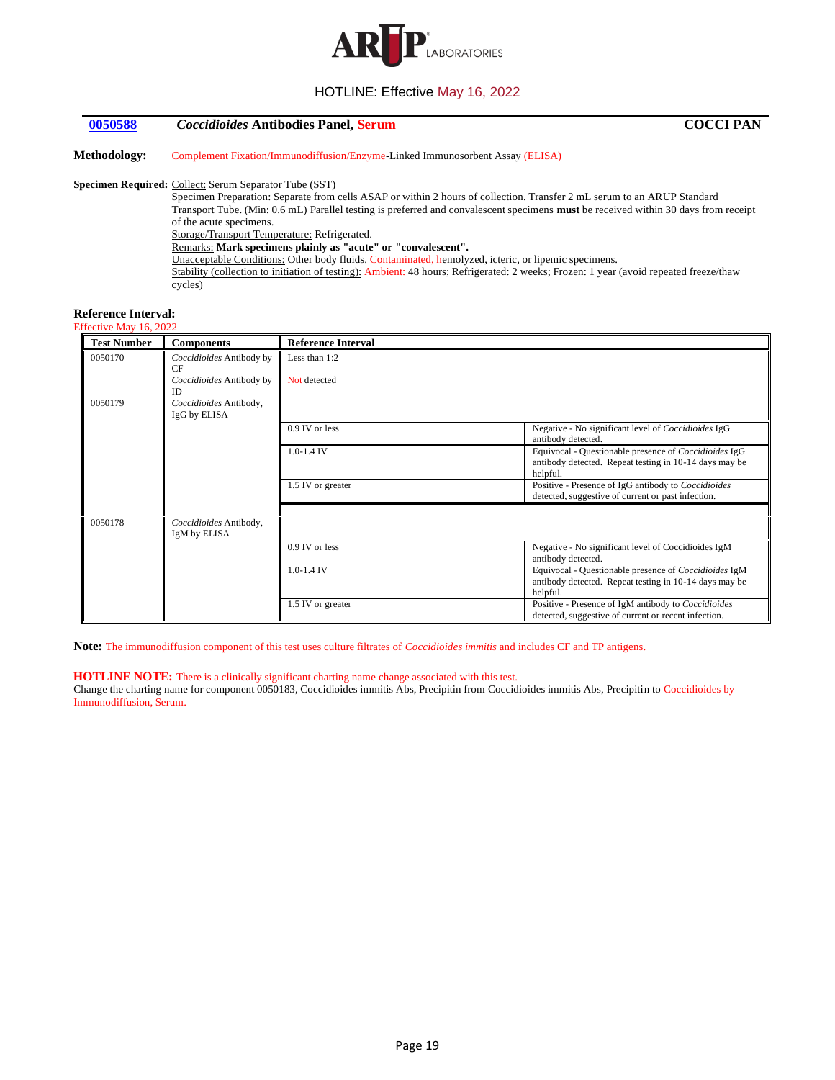

## <span id="page-18-0"></span>**[0050588](#page-1-21)** *Coccidioides* **Antibodies Panel, Serum COCCI PAN**

**Methodology:** Complement Fixation/Immunodiffusion/Enzyme-Linked Immunosorbent Assay (ELISA)

#### **Specimen Required:** Collect: Serum Separator Tube (SST)

Specimen Preparation: Separate from cells ASAP or within 2 hours of collection. Transfer 2 mL serum to an ARUP Standard Transport Tube. (Min: 0.6 mL) Parallel testing is preferred and convalescent specimens **must** be received within 30 days from receipt of the acute specimens. Storage/Transport Temperature: Refrigerated. Remarks: **Mark specimens plainly as "acute" or "convalescent".** Unacceptable Conditions: Other body fluids. Contaminated, hemolyzed, icteric, or lipemic specimens. Stability (collection to initiation of testing): Ambient: 48 hours; Refrigerated: 2 weeks; Frozen: 1 year (avoid repeated freeze/thaw cycles)

#### **Reference Interval:**

| <b>Test Number</b> | <b>Components</b>                      | <b>Reference Interval</b> |                                                                                                                             |
|--------------------|----------------------------------------|---------------------------|-----------------------------------------------------------------------------------------------------------------------------|
|                    |                                        |                           |                                                                                                                             |
| 0050170            | Coccidioides Antibody by<br>CF         | Less than $1:2$           |                                                                                                                             |
|                    | Coccidioides Antibody by<br><b>ID</b>  | Not detected              |                                                                                                                             |
| 0050179            | Coccidioides Antibody,<br>IgG by ELISA |                           |                                                                                                                             |
|                    |                                        | 0.9 IV or less            | Negative - No significant level of Coccidioides IgG<br>antibody detected.                                                   |
|                    |                                        | $1.0 - 1.4$ IV            | Equivocal - Questionable presence of Coccidioides IgG<br>antibody detected. Repeat testing in 10-14 days may be<br>helpful. |
|                    |                                        | 1.5 IV or greater         | Positive - Presence of IgG antibody to Coccidioides<br>detected, suggestive of current or past infection.                   |
|                    |                                        |                           |                                                                                                                             |
| 0050178            | Coccidioides Antibody,<br>IgM by ELISA |                           |                                                                                                                             |
|                    |                                        | $0.9$ IV or less          | Negative - No significant level of Coccidioides IgM<br>antibody detected.                                                   |
|                    |                                        | $1.0 - 1.4$ IV            | Equivocal - Questionable presence of Coccidioides IgM<br>antibody detected. Repeat testing in 10-14 days may be<br>helpful. |
|                    |                                        | 1.5 IV or greater         | Positive - Presence of IgM antibody to Coccidioides<br>detected, suggestive of current or recent infection.                 |

**Note:** The immunodiffusion component of this test uses culture filtrates of *Coccidioides immitis* and includes CF and TP antigens.

#### **HOTLINE NOTE:** There is a clinically significant charting name change associated with this test.

Change the charting name for component 0050183, Coccidioides immitis Abs, Precipitin from Coccidioides immitis Abs, Precipitin to Coccidioides by Immunodiffusion, Serum.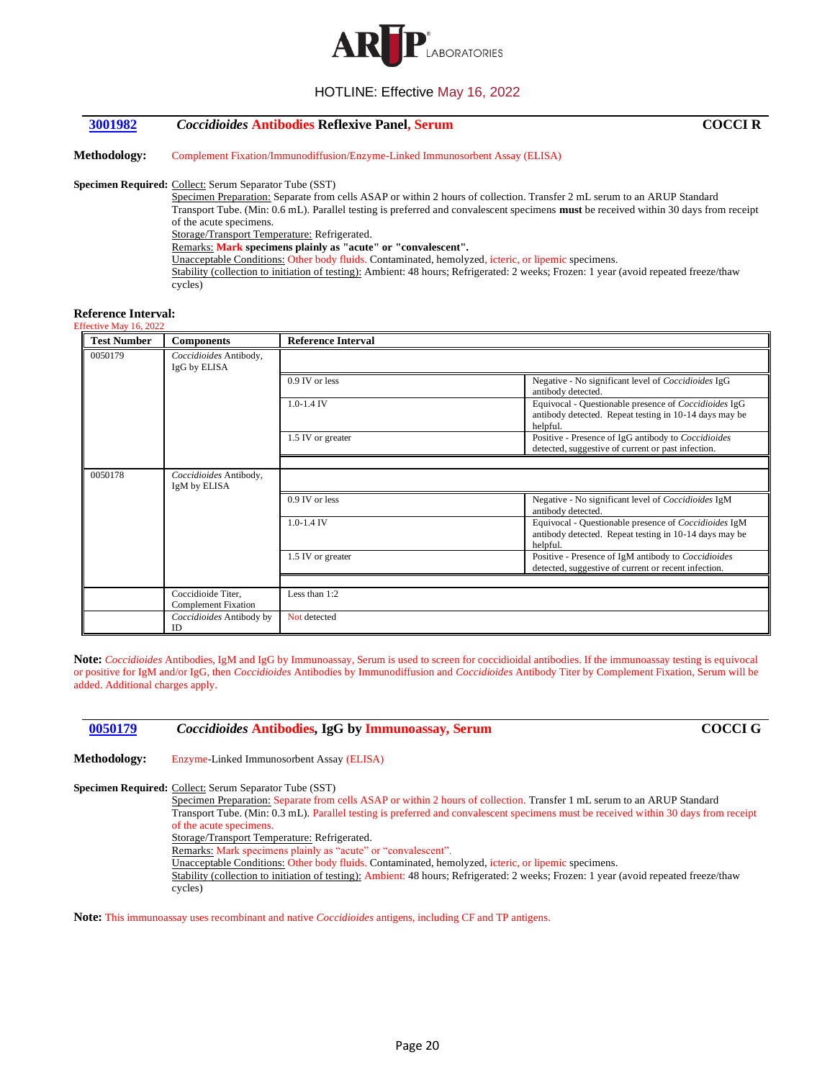

## <span id="page-19-0"></span>**[3001982](#page-1-22)** *Coccidioides* **Antibodies Reflexive Panel, Serum COCCI R**

**Methodology:** Complement Fixation/Immunodiffusion/Enzyme-Linked Immunosorbent Assay (ELISA)

#### **Specimen Required:** Collect: Serum Separator Tube (SST)

Specimen Preparation: Separate from cells ASAP or within 2 hours of collection. Transfer 2 mL serum to an ARUP Standard Transport Tube. (Min: 0.6 mL). Parallel testing is preferred and convalescent specimens **must** be received within 30 days from receipt of the acute specimens. Storage/Transport Temperature: Refrigerated. Remarks: **Mark specimens plainly as "acute" or "convalescent".** Unacceptable Conditions: Other body fluids. Contaminated, hemolyzed, icteric, or lipemic specimens.

Stability (collection to initiation of testing): Ambient: 48 hours; Refrigerated: 2 weeks; Frozen: 1 year (avoid repeated freeze/thaw cycles)

#### **Reference Interval:** Effective May 16, 2022

| <b>Test Number</b> | <b>Components</b>                                | <b>Reference Interval</b> |                                                                                                                                    |
|--------------------|--------------------------------------------------|---------------------------|------------------------------------------------------------------------------------------------------------------------------------|
| 0050179            | Coccidioides Antibody,<br>IgG by ELISA           |                           |                                                                                                                                    |
|                    |                                                  | 0.9 IV or less            | Negative - No significant level of Coccidioides IgG<br>antibody detected.                                                          |
|                    |                                                  | $1.0 - 1.4$ IV            | Equivocal - Questionable presence of <i>Coccidioides</i> IgG<br>antibody detected. Repeat testing in 10-14 days may be<br>helpful. |
|                    |                                                  | 1.5 IV or greater         | Positive - Presence of IgG antibody to Coccidioides<br>detected, suggestive of current or past infection.                          |
| 0050178            | Coccidioides Antibody,<br>IgM by ELISA           |                           |                                                                                                                                    |
|                    |                                                  | 0.9 IV or less            | Negative - No significant level of Coccidioides IgM<br>antibody detected.                                                          |
|                    |                                                  | $1.0 - 1.4$ IV            | Equivocal - Questionable presence of Coccidioides IgM<br>antibody detected. Repeat testing in 10-14 days may be<br>helpful.        |
|                    |                                                  | 1.5 IV or greater         | Positive - Presence of IgM antibody to Coccidioides<br>detected, suggestive of current or recent infection.                        |
|                    |                                                  |                           |                                                                                                                                    |
|                    | Coccidioide Titer,<br><b>Complement Fixation</b> | Less than $1:2$           |                                                                                                                                    |
|                    | Coccidioides Antibody by<br>ID                   | Not detected              |                                                                                                                                    |

**Note:** *Coccidioides* Antibodies, IgM and IgG by Immunoassay, Serum is used to screen for coccidioidal antibodies. If the immunoassay testing is equivocal or positive for IgM and/or IgG, then *Coccidioides* Antibodies by Immunodiffusion and *Coccidioides* Antibody Titer by Complement Fixation, Serum will be added. Additional charges apply.

## <span id="page-19-1"></span>**[0050179](#page-2-0)** *Coccidioides* **Antibodies, IgG by Immunoassay, Serum COCCI G**

**Methodology:** Enzyme-Linked Immunosorbent Assay (ELISA)

**Specimen Required:** Collect: Serum Separator Tube (SST)

Specimen Preparation: Separate from cells ASAP or within 2 hours of collection. Transfer 1 mL serum to an ARUP Standard Transport Tube. (Min: 0.3 mL). Parallel testing is preferred and convalescent specimens must be received within 30 days from receipt of the acute specimens. Storage/Transport Temperature: Refrigerated.

Remarks: Mark specimens plainly as "acute" or "convalescent".

Unacceptable Conditions: Other body fluids. Contaminated, hemolyzed, icteric, or lipemic specimens.

Stability (collection to initiation of testing): Ambient: 48 hours; Refrigerated: 2 weeks; Frozen: 1 year (avoid repeated freeze/thaw cycles)

**Note:** This immunoassay uses recombinant and native *Coccidioides* antigens, including CF and TP antigens.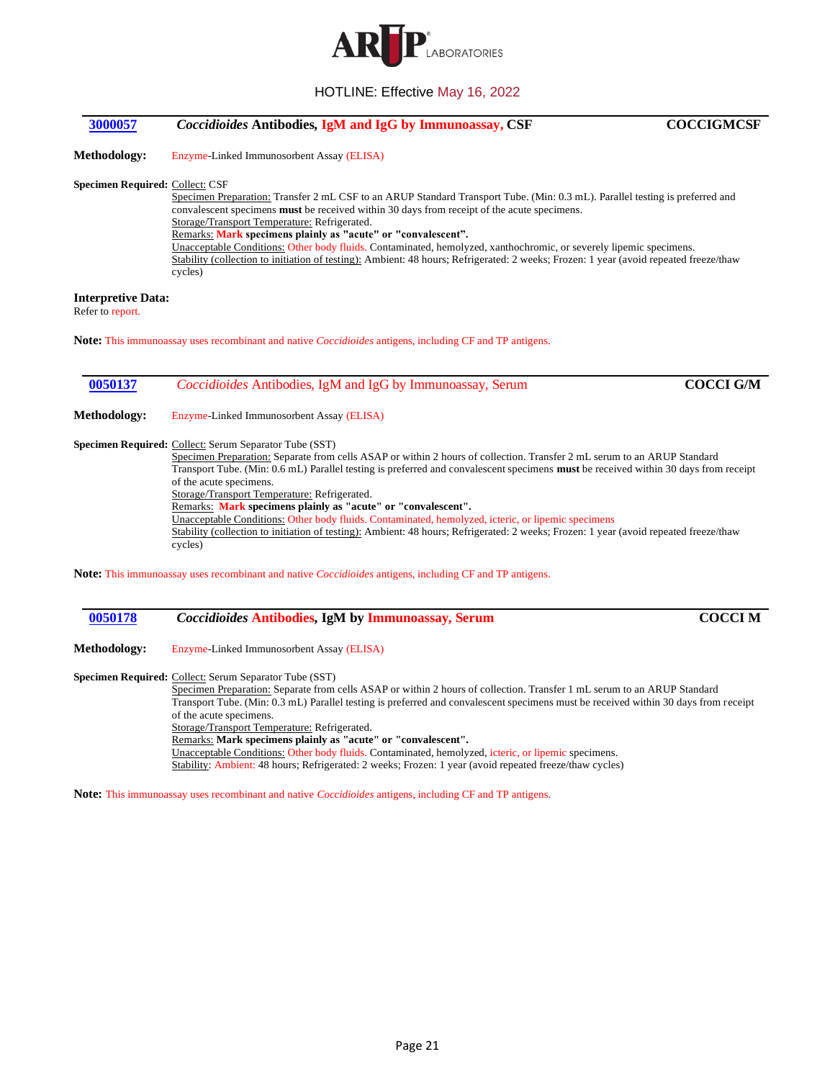

<span id="page-20-0"></span>

| 3000057                                       | <b>Coccidioides Antibodies, IgM and IgG by Immunoassay, CSF</b>                                                                                                                                                                                                                                                                                                                                                                                                                                                                                                                                                               | <b>COCCIGMCSF</b> |
|-----------------------------------------------|-------------------------------------------------------------------------------------------------------------------------------------------------------------------------------------------------------------------------------------------------------------------------------------------------------------------------------------------------------------------------------------------------------------------------------------------------------------------------------------------------------------------------------------------------------------------------------------------------------------------------------|-------------------|
| <b>Methodology:</b>                           | Enzyme-Linked Immunosorbent Assay (ELISA)                                                                                                                                                                                                                                                                                                                                                                                                                                                                                                                                                                                     |                   |
| <b>Specimen Required: Collect: CSF</b>        | Specimen Preparation: Transfer 2 mL CSF to an ARUP Standard Transport Tube. (Min: 0.3 mL). Parallel testing is preferred and<br>convalescent specimens <b>must</b> be received within 30 days from receipt of the acute specimens.<br>Storage/Transport Temperature: Refrigerated.<br>Remarks: Mark specimens plainly as "acute" or "convalescent".<br>Unacceptable Conditions: Other body fluids. Contaminated, hemolyzed, xanthochromic, or severely lipemic specimens.<br>Stability (collection to initiation of testing): Ambient: 48 hours; Refrigerated: 2 weeks; Frozen: 1 year (avoid repeated freeze/thaw<br>cycles) |                   |
| <b>Interpretive Data:</b><br>Refer to report. |                                                                                                                                                                                                                                                                                                                                                                                                                                                                                                                                                                                                                               |                   |
|                                               | <b>Note:</b> This immunoassay uses recombinant and native <i>Coccidioides</i> antigens, including CF and TP antigens.                                                                                                                                                                                                                                                                                                                                                                                                                                                                                                         |                   |
| 0050137                                       | <i>Coccidioides</i> Antibodies, IgM and IgG by Immunoassay, Serum                                                                                                                                                                                                                                                                                                                                                                                                                                                                                                                                                             | <b>COCCI G/M</b>  |

<span id="page-20-1"></span>**Methodology:** Enzyme-Linked Immunosorbent Assay (ELISA)

**Specimen Required:** Collect: Serum Separator Tube (SST)

Specimen Preparation: Separate from cells ASAP or within 2 hours of collection. Transfer 2 mL serum to an ARUP Standard Transport Tube. (Min: 0.6 mL) Parallel testing is preferred and convalescent specimens **must** be received within 30 days from receipt of the acute specimens. Storage/Transport Temperature: Refrigerated. Remarks: **Mark specimens plainly as "acute" or "convalescent".**

Unacceptable Conditions: Other body fluids. Contaminated, hemolyzed, icteric, or lipemic specimens Stability (collection to initiation of testing): Ambient: 48 hours; Refrigerated: 2 weeks; Frozen: 1 year (avoid repeated freeze/thaw cycles)

**Note:** This immunoassay uses recombinant and native *Coccidioides* antigens, including CF and TP antigens.

<span id="page-20-2"></span>

| 0050178<br><b>Coccidioides Antibodies, IgM by Immunoassay, Serum</b> | <b>COCCI M</b> |
|----------------------------------------------------------------------|----------------|
|----------------------------------------------------------------------|----------------|

**Methodology:** Enzyme-Linked Immunosorbent Assay (ELISA)

**Specimen Required:** Collect: Serum Separator Tube (SST)

Specimen Preparation: Separate from cells ASAP or within 2 hours of collection. Transfer 1 mL serum to an ARUP Standard Transport Tube. (Min: 0.3 mL) Parallel testing is preferred and convalescent specimens must be received within 30 days from receipt of the acute specimens. Storage/Transport Temperature: Refrigerated. Remarks: **Mark specimens plainly as "acute" or "convalescent".** Unacceptable Conditions: Other body fluids. Contaminated, hemolyzed, icteric, or lipemic specimens.

Stability: Ambient: 48 hours; Refrigerated: 2 weeks; Frozen: 1 year (avoid repeated freeze/thaw cycles)

**Note:** This immunoassay uses recombinant and native *Coccidioides* antigens, including CF and TP antigens.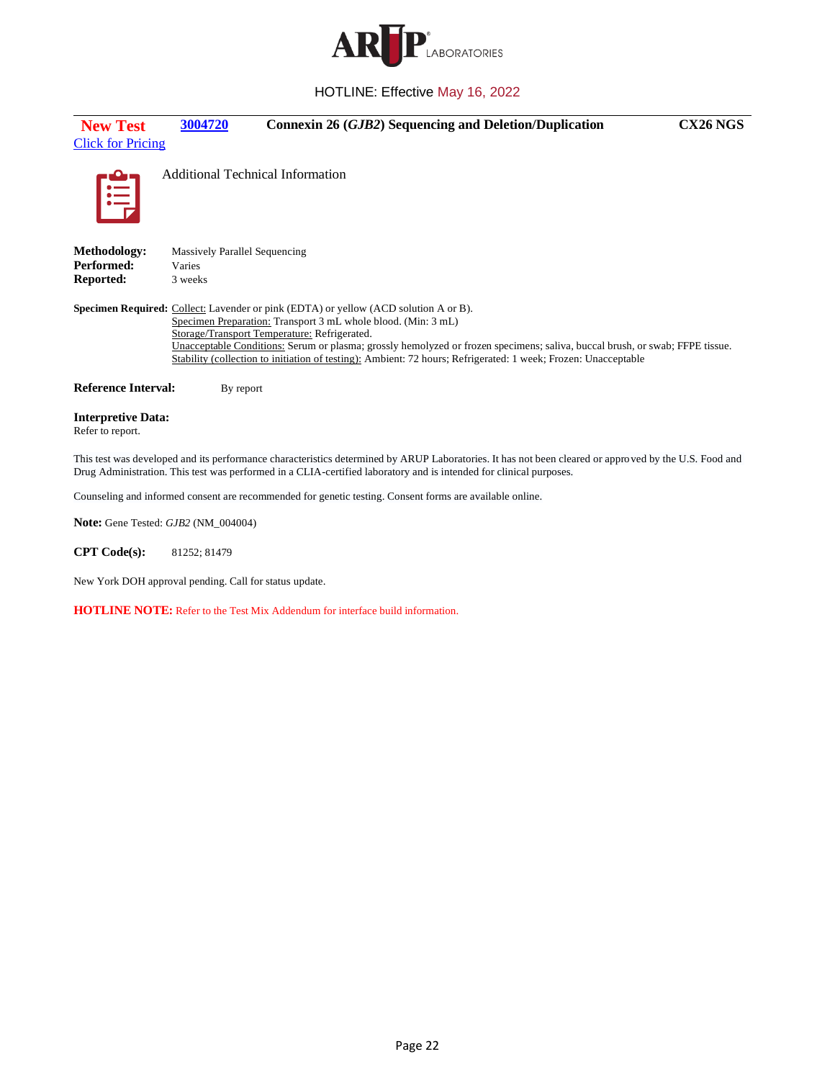

<span id="page-21-0"></span>

| <b>New Test</b>                                   | 3004720                              | Connexin 26 (GJB2) Sequencing and Deletion/Duplication                                                                                                                                                                                                                                                                                                                                                                                                         | CX26 NGS |
|---------------------------------------------------|--------------------------------------|----------------------------------------------------------------------------------------------------------------------------------------------------------------------------------------------------------------------------------------------------------------------------------------------------------------------------------------------------------------------------------------------------------------------------------------------------------------|----------|
| <b>Click for Pricing</b>                          |                                      |                                                                                                                                                                                                                                                                                                                                                                                                                                                                |          |
| E                                                 |                                      | <b>Additional Technical Information</b>                                                                                                                                                                                                                                                                                                                                                                                                                        |          |
| Methodology:                                      | <b>Massively Parallel Sequencing</b> |                                                                                                                                                                                                                                                                                                                                                                                                                                                                |          |
| Performed:                                        | Varies                               |                                                                                                                                                                                                                                                                                                                                                                                                                                                                |          |
| Reported:                                         | 3 weeks                              |                                                                                                                                                                                                                                                                                                                                                                                                                                                                |          |
|                                                   |                                      | <b>Specimen Required:</b> Collect: Lavender or pink (EDTA) or yellow (ACD solution A or B).<br>Specimen Preparation: Transport 3 mL whole blood. (Min: 3 mL)<br>Storage/Transport Temperature: Refrigerated.<br>Unacceptable Conditions: Serum or plasma; grossly hemolyzed or frozen specimens; saliva, buccal brush, or swab; FFPE tissue.<br>Stability (collection to initiation of testing): Ambient: 72 hours; Refrigerated: 1 week; Frozen: Unacceptable |          |
| <b>Reference Interval:</b>                        | By report                            |                                                                                                                                                                                                                                                                                                                                                                                                                                                                |          |
| <b>Interpretive Data:</b><br>Refer to report.     |                                      |                                                                                                                                                                                                                                                                                                                                                                                                                                                                |          |
|                                                   |                                      | This test was developed and its performance characteristics determined by ARUP Laboratories. It has not been cleared or approved by the U.S. Food and<br>Drug Administration. This test was performed in a CLIA-certified laboratory and is intended for clinical purposes.                                                                                                                                                                                    |          |
|                                                   |                                      | Counseling and informed consent are recommended for genetic testing. Consent forms are available online.                                                                                                                                                                                                                                                                                                                                                       |          |
| <b>Note:</b> Gene Tested: <i>GJB2</i> (NM 004004) |                                      |                                                                                                                                                                                                                                                                                                                                                                                                                                                                |          |

**CPT Code(s):** 81252; 81479

New York DOH approval pending. Call for status update.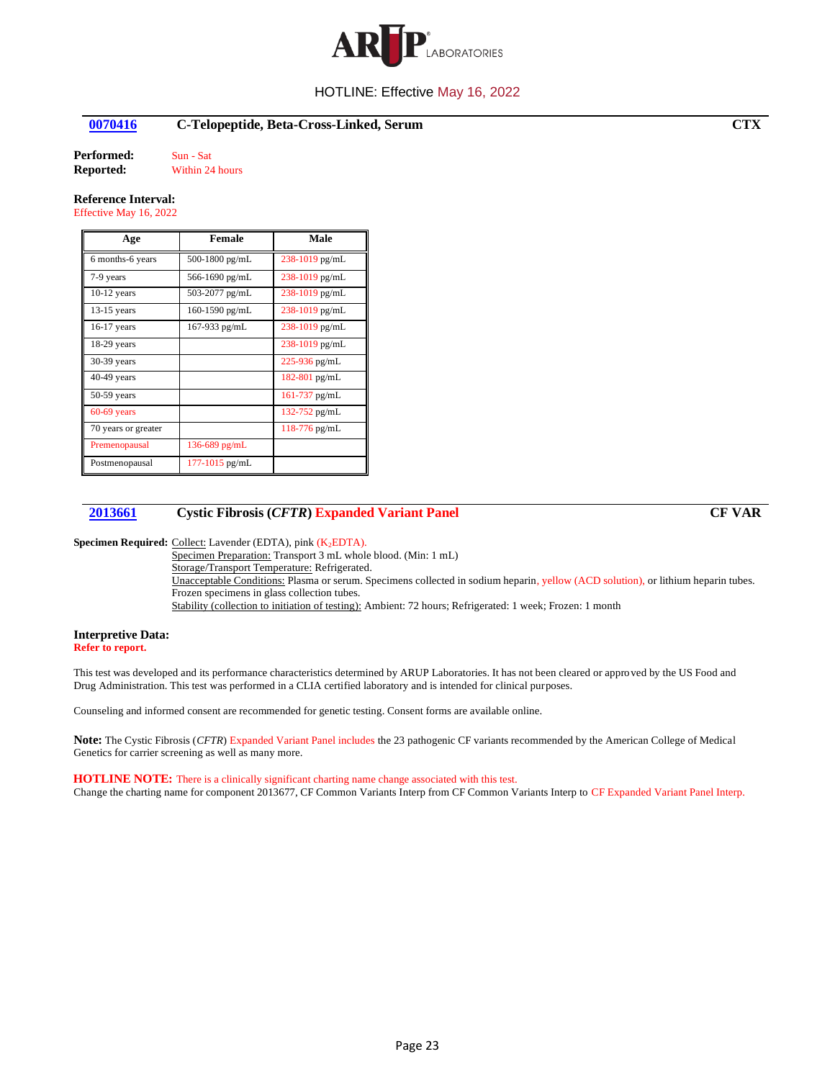

## <span id="page-22-0"></span>**[0070416](#page-2-5) C-Telopeptide, Beta-Cross-Linked, Serum CTX**

**Performed:** Sun - Sat<br>**Reported:** Within 24

**Within 24 hours** 

## **Reference Interval:**

Effective May 16, 2022

| Age                 | <b>Female</b>      | Male               |
|---------------------|--------------------|--------------------|
| 6 months-6 years    | 500-1800 pg/mL     | 238-1019 pg/mL     |
| 7-9 years           | 566-1690 pg/mL     | 238-1019 pg/mL     |
| $10-12$ years       | 503-2077 pg/mL     | 238-1019 pg/mL     |
| $13-15$ years       | 160-1590 pg/mL     | $238 - 1019$ pg/mL |
| 16-17 years         | 167-933 $pg/mL$    | 238-1019 pg/mL     |
| $18-29$ years       |                    | 238-1019 pg/mL     |
| 30-39 years         |                    | $225 - 936$ pg/mL  |
| 40-49 years         |                    | 182-801 pg/mL      |
| 50-59 years         |                    | $161-737$ pg/mL    |
| $60-69$ years       |                    | 132-752 pg/mL      |
| 70 years or greater |                    | $118-776$ pg/mL    |
| Premenopausal       | 136-689 $pg/mL$    |                    |
| Postmenopausal      | $177 - 1015$ pg/mL |                    |

## <span id="page-22-1"></span>**[2013661](#page-2-6) Cystic Fibrosis (***CFTR***) Expanded Variant Panel CF VAR**

**Specimen Required:** Collect: Lavender (EDTA), pink (K<sub>2</sub>EDTA).

Specimen Preparation: Transport 3 mL whole blood. (Min: 1 mL) Storage/Transport Temperature: Refrigerated. Unacceptable Conditions: Plasma or serum. Specimens collected in sodium heparin, yellow (ACD solution), or lithium heparin tubes. Frozen specimens in glass collection tubes. Stability (collection to initiation of testing): Ambient: 72 hours; Refrigerated: 1 week; Frozen: 1 month

#### **Interpretive Data: Refer to report.**

This test was developed and its performance characteristics determined by ARUP Laboratories. It has not been cleared or approved by the US Food and Drug Administration. This test was performed in a CLIA certified laboratory and is intended for clinical purposes.

Counseling and informed consent are recommended for genetic testing. Consent forms are available online.

**Note:** The Cystic Fibrosis (*CFTR*) Expanded Variant Panel includes the 23 pathogenic CF variants recommended by the American College of Medical Genetics for carrier screening as well as many more.

## **HOTLINE NOTE:** There is a clinically significant charting name change associated with this test.

Change the charting name for component 2013677, CF Common Variants Interp from CF Common Variants Interp to CF Expanded Variant Panel Interp.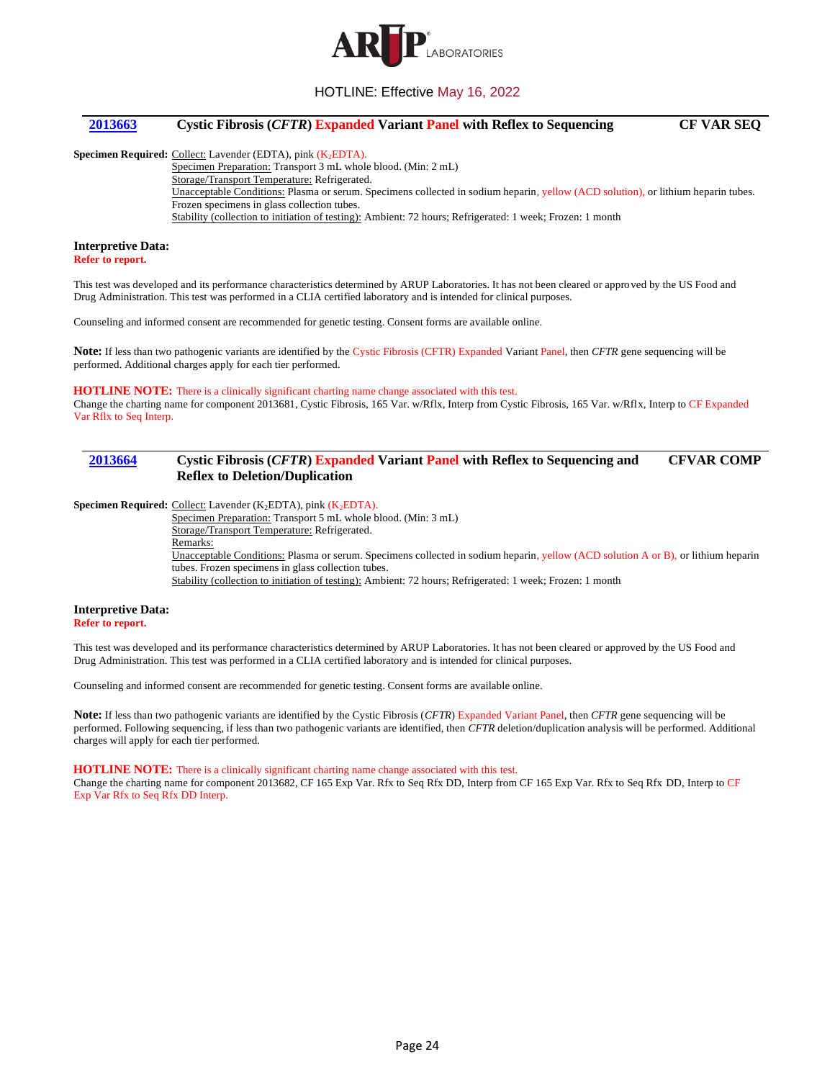

## <span id="page-23-0"></span>**[2013663](#page-2-7) Cystic Fibrosis (***CFTR***) Expanded Variant Panel with Reflex to Sequencing CF VAR SEQ**

Specimen Required: Collect: Lavender (EDTA), pink (K<sub>2</sub>EDTA).

Specimen Preparation: Transport 3 mL whole blood. (Min: 2 mL) Storage/Transport Temperature: Refrigerated. Unacceptable Conditions: Plasma or serum. Specimens collected in sodium heparin, yellow (ACD solution), or lithium heparin tubes. Frozen specimens in glass collection tubes. Stability (collection to initiation of testing): Ambient: 72 hours; Refrigerated: 1 week; Frozen: 1 month

# **Interpretive Data:**

**Refer to report.**

This test was developed and its performance characteristics determined by ARUP Laboratories. It has not been cleared or approved by the US Food and Drug Administration. This test was performed in a CLIA certified laboratory and is intended for clinical purposes.

Counseling and informed consent are recommended for genetic testing. Consent forms are available online.

**Note:** If less than two pathogenic variants are identified by the Cystic Fibrosis (CFTR) Expanded Variant Panel, then *CFTR* gene sequencing will be performed. Additional charges apply for each tier performed.

#### **HOTLINE NOTE:** There is a clinically significant charting name change associated with this test.

Change the charting name for component 2013681, Cystic Fibrosis, 165 Var. w/Rflx, Interp from Cystic Fibrosis, 165 Var. w/Rflx, Interp to CF Expanded Var Rflx to Seq Interp.

#### <span id="page-23-1"></span>**[2013664](#page-2-8) Cystic Fibrosis (***CFTR***) Expanded Variant Panel with Reflex to Sequencing and Reflex to Deletion/Duplication CFVAR COMP**

**Specimen Required:** Collect: Lavender (K<sub>2</sub>EDTA), pink (K<sub>2</sub>EDTA).

Specimen Preparation: Transport 5 mL whole blood. (Min: 3 mL) Storage/Transport Temperature: Refrigerated. Remarks: Unacceptable Conditions: Plasma or serum. Specimens collected in sodium heparin, yellow (ACD solution A or B), or lithium heparin tubes. Frozen specimens in glass collection tubes. Stability (collection to initiation of testing): Ambient: 72 hours; Refrigerated: 1 week; Frozen: 1 month

#### **Interpretive Data: Refer to report.**

This test was developed and its performance characteristics determined by ARUP Laboratories. It has not been cleared or approved by the US Food and Drug Administration. This test was performed in a CLIA certified laboratory and is intended for clinical purposes.

Counseling and informed consent are recommended for genetic testing. Consent forms are available online.

**Note:** If less than two pathogenic variants are identified by the Cystic Fibrosis (*CFTR*) Expanded Variant Panel, then *CFTR* gene sequencing will be performed. Following sequencing, if less than two pathogenic variants are identified, then *CFTR* deletion/duplication analysis will be performed. Additional charges will apply for each tier performed.

#### **HOTLINE NOTE:** There is a clinically significant charting name change associated with this test.

Change the charting name for component 2013682, CF 165 Exp Var. Rfx to Seq Rfx DD, Interp from CF 165 Exp Var. Rfx to Seq Rfx DD, Interp to CF Exp Var Rfx to Seq Rfx DD Interp.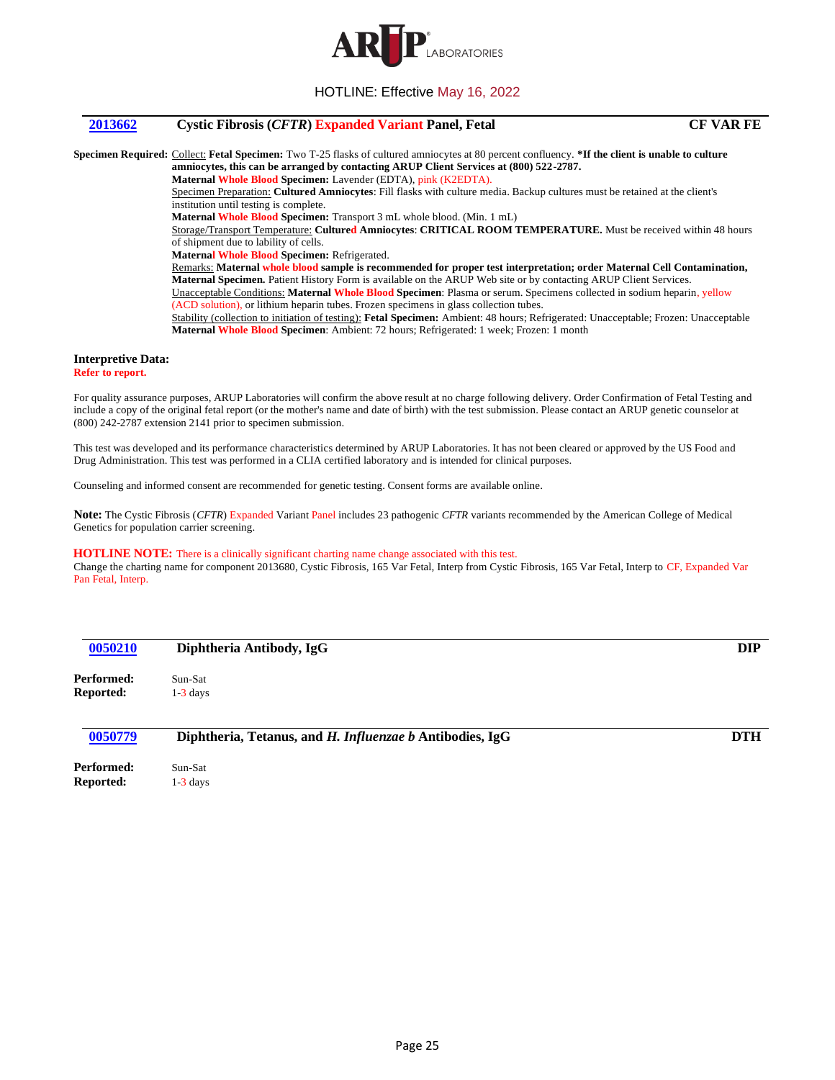

## <span id="page-24-0"></span>**[2013662](#page-2-9) Cystic Fibrosis (***CFTR***) Expanded Variant Panel, Fetal CF VAR FE**

**Specimen Required:** Collect: **Fetal Specimen:** Two T-25 flasks of cultured amniocytes at 80 percent confluency. **\*If the client is unable to culture amniocytes, this can be arranged by contacting ARUP Client Services at (800) 522-2787. Maternal Whole Blood Specimen:** Lavender (EDTA), pink (K2EDTA). Specimen Preparation: **Cultured Amniocytes**: Fill flasks with culture media. Backup cultures must be retained at the client's institution until testing is complete. **Maternal Whole Blood Specimen:** Transport 3 mL whole blood. (Min. 1 mL) Storage/Transport Temperature: **Cultured Amniocytes**: **CRITICAL ROOM TEMPERATURE.** Must be received within 48 hours of shipment due to lability of cells. **Maternal Whole Blood Specimen:** Refrigerated. Remarks: **Maternal whole blood sample is recommended for proper test interpretation; order Maternal Cell Contamination, Maternal Specimen.** Patient History Form is available on the ARUP Web site or by contacting ARUP Client Services. Unacceptable Conditions: **Maternal Whole Blood Specimen**: Plasma or serum. Specimens collected in sodium heparin, yellow (ACD solution), or lithium heparin tubes. Frozen specimens in glass collection tubes. Stability (collection to initiation of testing): **Fetal Specimen:** Ambient: 48 hours; Refrigerated: Unacceptable; Frozen: Unacceptable **Maternal Whole Blood Specimen**: Ambient: 72 hours; Refrigerated: 1 week; Frozen: 1 month

## **Interpretive Data:**

**Refer to report.**

For quality assurance purposes, ARUP Laboratories will confirm the above result at no charge following delivery. Order Confirmation of Fetal Testing and include a copy of the original fetal report (or the mother's name and date of birth) with the test submission. Please contact an ARUP genetic counselor at (800) 242-2787 extension 2141 prior to specimen submission.

This test was developed and its performance characteristics determined by ARUP Laboratories. It has not been cleared or approved by the US Food and Drug Administration. This test was performed in a CLIA certified laboratory and is intended for clinical purposes.

Counseling and informed consent are recommended for genetic testing. Consent forms are available online.

**Note:** The Cystic Fibrosis (*CFTR*) Expanded Variant Panel includes 23 pathogenic *CFTR* variants recommended by the American College of Medical Genetics for population carrier screening.

#### **HOTLINE NOTE:** There is a clinically significant charting name change associated with this test.

Change the charting name for component 2013680, Cystic Fibrosis, 165 Var Fetal, Interp from Cystic Fibrosis, 165 Var Fetal, Interp to CF, Expanded Var Pan Fetal, Interp.

<span id="page-24-1"></span>

| 0050210                        | Diphtheria Antibody, IgG                                 | <b>DIP</b> |
|--------------------------------|----------------------------------------------------------|------------|
| Performed:                     | Sun-Sat                                                  |            |
| <b>Reported:</b>               | $1-3$ days                                               |            |
| 0050779                        | Diphtheria, Tetanus, and H. Influenzae b Antibodies, IgG | <b>DTH</b> |
| $\mathbf{n}$ . $\mathbf{e}$ 1. | $\alpha$ $\alpha$ .                                      |            |

<span id="page-24-2"></span>**Performed:** Sun-Sat **Reported:** 1-3 days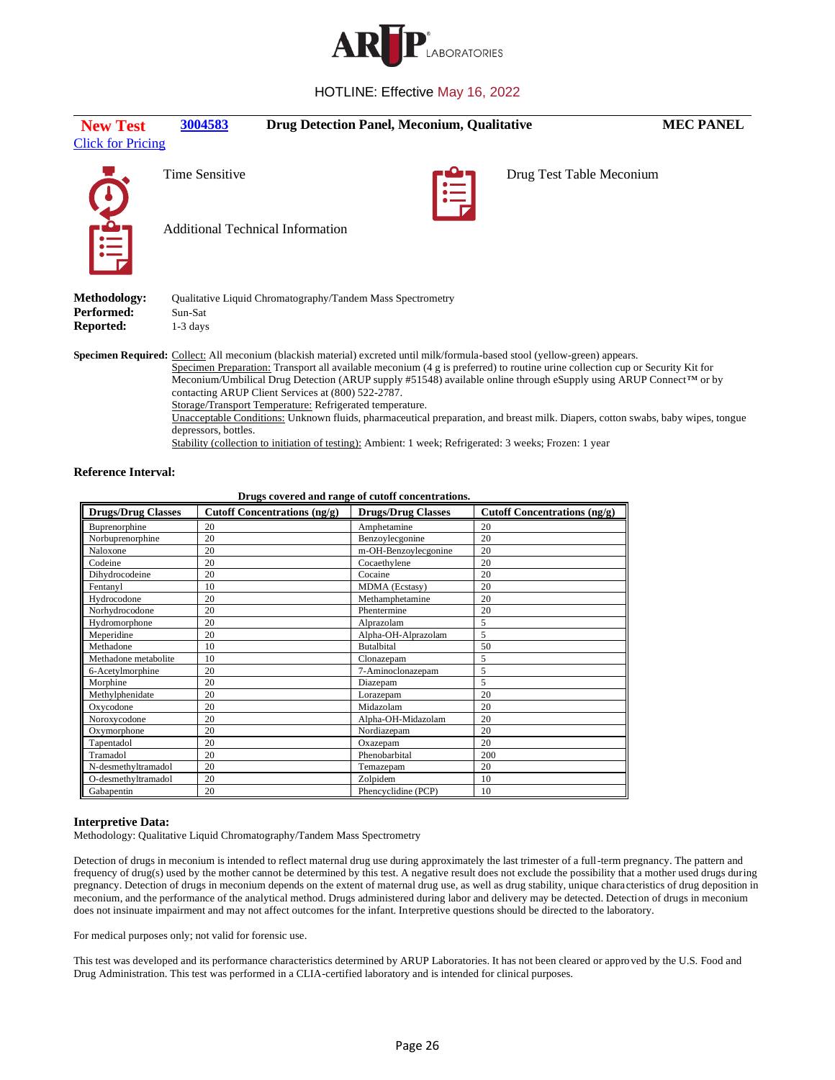

<span id="page-25-0"></span>

| <b>New Test</b>                | 3004583                                 | <b>Drug Detection Panel, Meconium, Qualitative</b>                                                                                                                                                                        |                                                |                                                                                                                                                                                                                                                                                                                                                                                                                                                                                                                              | <b>MEC PANEL</b> |
|--------------------------------|-----------------------------------------|---------------------------------------------------------------------------------------------------------------------------------------------------------------------------------------------------------------------------|------------------------------------------------|------------------------------------------------------------------------------------------------------------------------------------------------------------------------------------------------------------------------------------------------------------------------------------------------------------------------------------------------------------------------------------------------------------------------------------------------------------------------------------------------------------------------------|------------------|
| <b>Click for Pricing</b>       |                                         |                                                                                                                                                                                                                           |                                                |                                                                                                                                                                                                                                                                                                                                                                                                                                                                                                                              |                  |
|                                | <b>Time Sensitive</b>                   |                                                                                                                                                                                                                           | $\mathop{:=}\limits_{\mathop{\longleftarrow}}$ | Drug Test Table Meconium                                                                                                                                                                                                                                                                                                                                                                                                                                                                                                     |                  |
| Crail                          | <b>Additional Technical Information</b> |                                                                                                                                                                                                                           |                                                |                                                                                                                                                                                                                                                                                                                                                                                                                                                                                                                              |                  |
| <b>Methodology:</b>            |                                         | Qualitative Liquid Chromatography/Tandem Mass Spectrometry                                                                                                                                                                |                                                |                                                                                                                                                                                                                                                                                                                                                                                                                                                                                                                              |                  |
| Performed:<br><b>Reported:</b> | Sun-Sat<br>$1-3$ days                   |                                                                                                                                                                                                                           |                                                |                                                                                                                                                                                                                                                                                                                                                                                                                                                                                                                              |                  |
|                                | depressors, bottles.                    | contacting ARUP Client Services at (800) 522-2787.<br>Storage/Transport Temperature: Refrigerated temperature.<br>Stability (collection to initiation of testing): Ambient: 1 week; Refrigerated: 3 weeks; Frozen: 1 year |                                                | <b>Specimen Required:</b> Collect: All meconium (blackish material) excreted until milk/formula-based stool (yellow-green) appears.<br>Specimen Preparation: Transport all available meconium (4 g is preferred) to routine urine collection cup or Security Kit for<br>Meconium/Umbilical Drug Detection (ARUP supply #51548) available online through eSupply using ARUP Connect™ or by<br>Unacceptable Conditions: Unknown fluids, pharmaceutical preparation, and breast milk. Diapers, cotton swabs, baby wipes, tongue |                  |
| <b>Reference Interval:</b>     |                                         |                                                                                                                                                                                                                           |                                                |                                                                                                                                                                                                                                                                                                                                                                                                                                                                                                                              |                  |

| Drugs covered and range of cutoff concentrations. |                                                                                                         |                      |     |  |  |
|---------------------------------------------------|---------------------------------------------------------------------------------------------------------|----------------------|-----|--|--|
| <b>Drugs/Drug Classes</b>                         | <b>Drugs/Drug Classes</b><br><b>Cutoff Concentrations (ng/g)</b><br><b>Cutoff Concentrations (ng/g)</b> |                      |     |  |  |
| Buprenorphine                                     | 20                                                                                                      | Amphetamine          | 20  |  |  |
| Norbuprenorphine                                  | 20                                                                                                      | Benzoylecgonine      | 20  |  |  |
| Naloxone                                          | 20                                                                                                      | m-OH-Benzoylecgonine | 20  |  |  |
| Codeine                                           | 20                                                                                                      | Cocaethylene         | 20  |  |  |
| Dihydrocodeine                                    | 20                                                                                                      | Cocaine              | 20  |  |  |
| Fentanyl                                          | 10                                                                                                      | MDMA (Ecstasy)       | 20  |  |  |
| Hydrocodone                                       | 20                                                                                                      | Methamphetamine      | 20  |  |  |
| Norhydrocodone                                    | 20                                                                                                      | Phentermine          | 20  |  |  |
| Hydromorphone                                     | 20                                                                                                      | Alprazolam           | 5   |  |  |
| Meperidine                                        | 20                                                                                                      | Alpha-OH-Alprazolam  | 5   |  |  |
| Methadone                                         | 10                                                                                                      | <b>Butalbital</b>    | 50  |  |  |
| Methadone metabolite                              | 10                                                                                                      | Clonazepam           | 5   |  |  |
| 6-Acetylmorphine                                  | 20                                                                                                      | 7-Aminoclonazepam    | 5   |  |  |
| Morphine                                          | 20                                                                                                      | Diazepam             | 5   |  |  |
| Methylphenidate                                   | 20                                                                                                      | Lorazepam            | 20  |  |  |
| Oxycodone                                         | 20                                                                                                      | Midazolam            | 20  |  |  |
| Noroxycodone                                      | 20                                                                                                      | Alpha-OH-Midazolam   | 20  |  |  |
| Oxymorphone                                       | 20                                                                                                      | Nordiazepam          | 20  |  |  |
| Tapentadol                                        | 20                                                                                                      | Oxazepam             | 20  |  |  |
| Tramadol                                          | 20                                                                                                      | Phenobarbital        | 200 |  |  |
| N-desmethyltramadol                               | 20                                                                                                      | Temazepam            | 20  |  |  |
| O-desmethyltramadol                               | 20                                                                                                      | Zolpidem             | 10  |  |  |
| Gabapentin                                        | 20                                                                                                      | Phencyclidine (PCP)  | 10  |  |  |

#### **Interpretive Data:**

Methodology: Qualitative Liquid Chromatography/Tandem Mass Spectrometry

Detection of drugs in meconium is intended to reflect maternal drug use during approximately the last trimester of a full-term pregnancy. The pattern and frequency of drug(s) used by the mother cannot be determined by this test. A negative result does not exclude the possibility that a mother used drugs during pregnancy. Detection of drugs in meconium depends on the extent of maternal drug use, as well as drug stability, unique characteristics of drug deposition in meconium, and the performance of the analytical method. Drugs administered during labor and delivery may be detected. Detection of drugs in meconium does not insinuate impairment and may not affect outcomes for the infant. Interpretive questions should be directed to the laboratory.

For medical purposes only; not valid for forensic use.

This test was developed and its performance characteristics determined by ARUP Laboratories. It has not been cleared or approved by the U.S. Food and Drug Administration. This test was performed in a CLIA-certified laboratory and is intended for clinical purposes.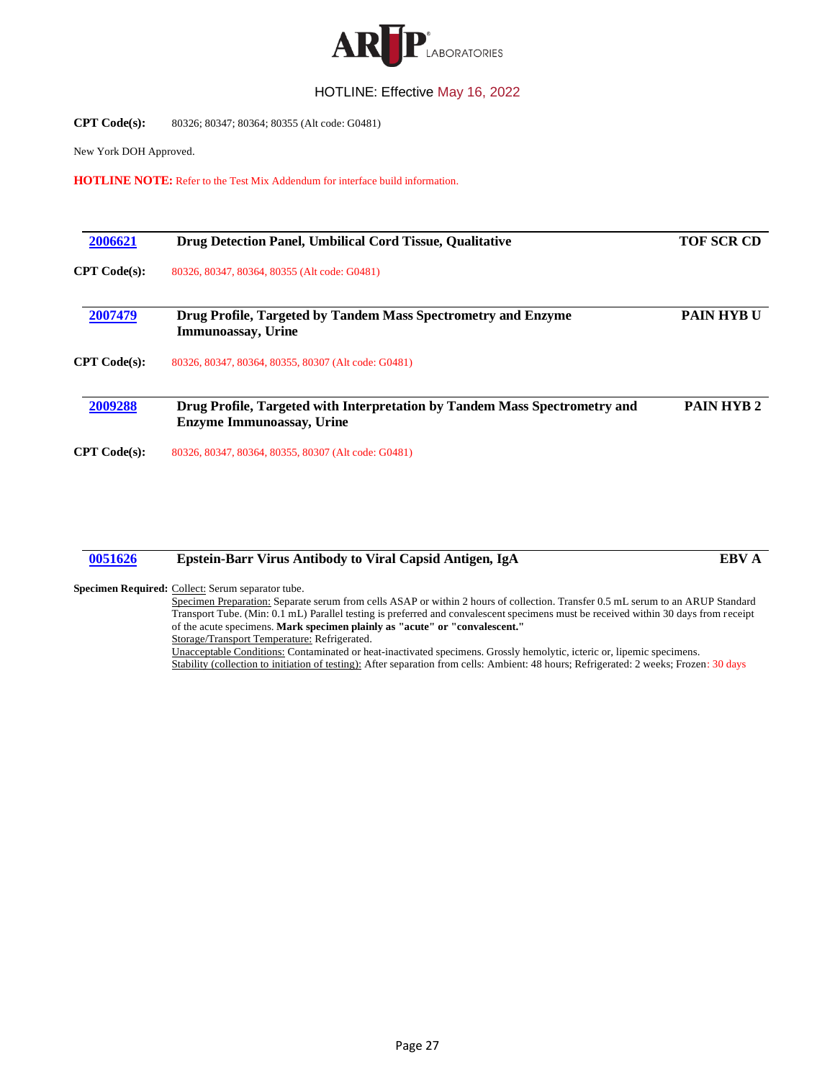

#### **CPT Code(s):** 80326; 80347; 80364; 80355 (Alt code: G0481)

New York DOH Approved.

**HOTLINE NOTE:** Refer to the Test Mix Addendum for interface build information.

<span id="page-26-1"></span><span id="page-26-0"></span>

| 2006621      | Drug Detection Panel, Umbilical Cord Tissue, Qualitative                                                       | <b>TOF SCR CD</b> |
|--------------|----------------------------------------------------------------------------------------------------------------|-------------------|
| CPT Code(s): | 80326, 80347, 80364, 80355 (Alt code: G0481)                                                                   |                   |
| 2007479      | Drug Profile, Targeted by Tandem Mass Spectrometry and Enzyme<br><b>Immunoassay</b> , Urine                    | <b>PAIN HYBU</b>  |
| CPT Code(s): | 80326, 80347, 80364, 80355, 80307 (Alt code: G0481)                                                            |                   |
| 2009288      | Drug Profile, Targeted with Interpretation by Tandem Mass Spectrometry and<br><b>Enzyme Immunoassay, Urine</b> | <b>PAIN HYB2</b>  |
| CPT Code(s): | 80326, 80347, 80364, 80355, 80307 (Alt code: G0481)                                                            |                   |

## <span id="page-26-3"></span><span id="page-26-2"></span>**[0051626](#page-3-0) Epstein-Barr Virus Antibody to Viral Capsid Antigen, IgA EBV A**

#### Specimen Required: Collect: Serum separator tube.

Specimen Preparation: Separate serum from cells ASAP or within 2 hours of collection. Transfer 0.5 mL serum to an ARUP Standard Transport Tube. (Min: 0.1 mL) Parallel testing is preferred and convalescent specimens must be received within 30 days from receipt of the acute specimens. **Mark specimen plainly as "acute" or "convalescent."** Storage/Transport Temperature: Refrigerated.

Unacceptable Conditions: Contaminated or heat-inactivated specimens. Grossly hemolytic, icteric or, lipemic specimens. Stability (collection to initiation of testing): After separation from cells: Ambient: 48 hours; Refrigerated: 2 weeks; Frozen: 30 days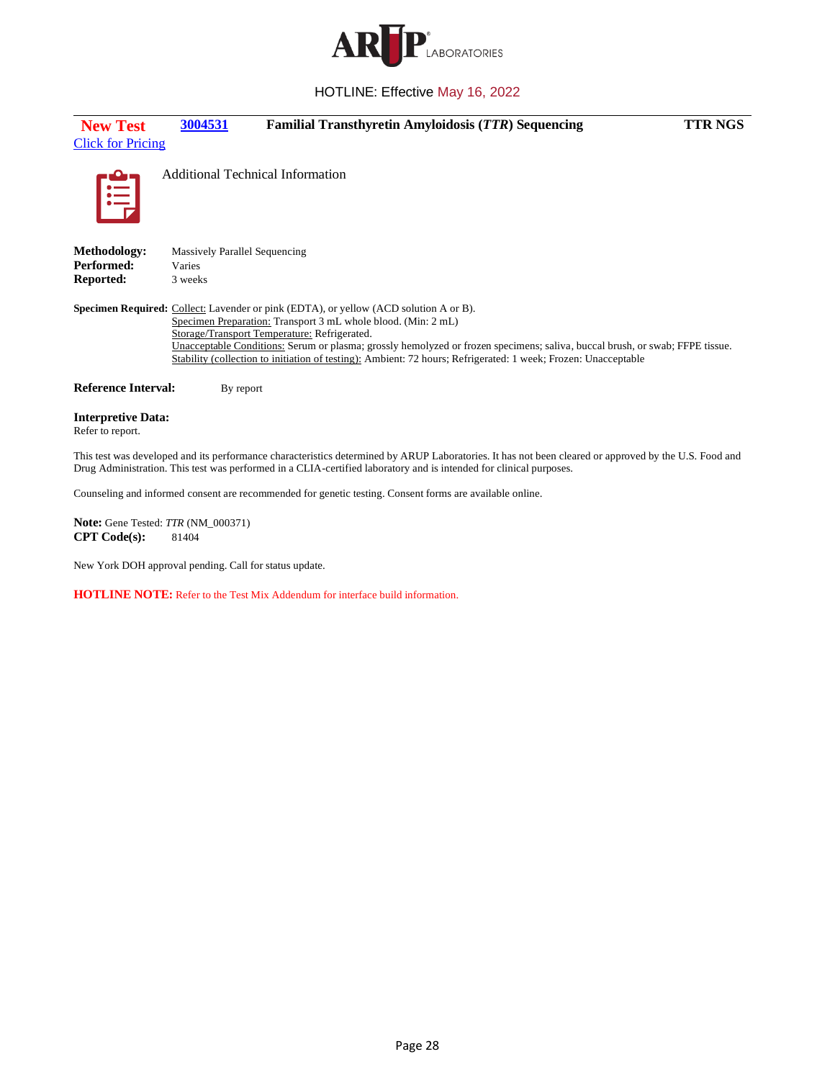

<span id="page-27-0"></span>

| <b>New Test</b><br><b>Click for Pricing</b>                  | 3004531                                                                                                                                                                                                       | <b>Familial Transthyretin Amyloidosis (TTR) Sequencing</b>                                                                                                                                                                                     | <b>TTR NGS</b> |
|--------------------------------------------------------------|---------------------------------------------------------------------------------------------------------------------------------------------------------------------------------------------------------------|------------------------------------------------------------------------------------------------------------------------------------------------------------------------------------------------------------------------------------------------|----------------|
| Ę                                                            | <b>Additional Technical Information</b>                                                                                                                                                                       |                                                                                                                                                                                                                                                |                |
| <b>Methodology:</b><br><b>Performed:</b><br><b>Reported:</b> | <b>Massively Parallel Sequencing</b><br>Varies<br>3 weeks                                                                                                                                                     |                                                                                                                                                                                                                                                |                |
|                                                              | <b>Specimen Required:</b> Collect: Lavender or pink (EDTA), or yellow (ACD solution A or B).<br>Specimen Preparation: Transport 3 mL whole blood. (Min: 2 mL)<br>Storage/Transport Temperature: Refrigerated. | Unacceptable Conditions: Serum or plasma; grossly hemolyzed or frozen specimens; saliva, buccal brush, or swab; FFPE tissue.<br>Stability (collection to initiation of testing): Ambient: 72 hours; Refrigerated: 1 week; Frozen: Unacceptable |                |
| <b>Reference Interval:</b>                                   | By report                                                                                                                                                                                                     |                                                                                                                                                                                                                                                |                |
| <b>Interpretive Data:</b><br>Refer to report.                |                                                                                                                                                                                                               |                                                                                                                                                                                                                                                |                |

This test was developed and its performance characteristics determined by ARUP Laboratories. It has not been cleared or approved by the U.S. Food and Drug Administration. This test was performed in a CLIA-certified laboratory and is intended for clinical purposes.

Counseling and informed consent are recommended for genetic testing. Consent forms are available online.

**Note:** Gene Tested: *TTR* (NM\_000371) **CPT Code(s):** 81404

New York DOH approval pending. Call for status update.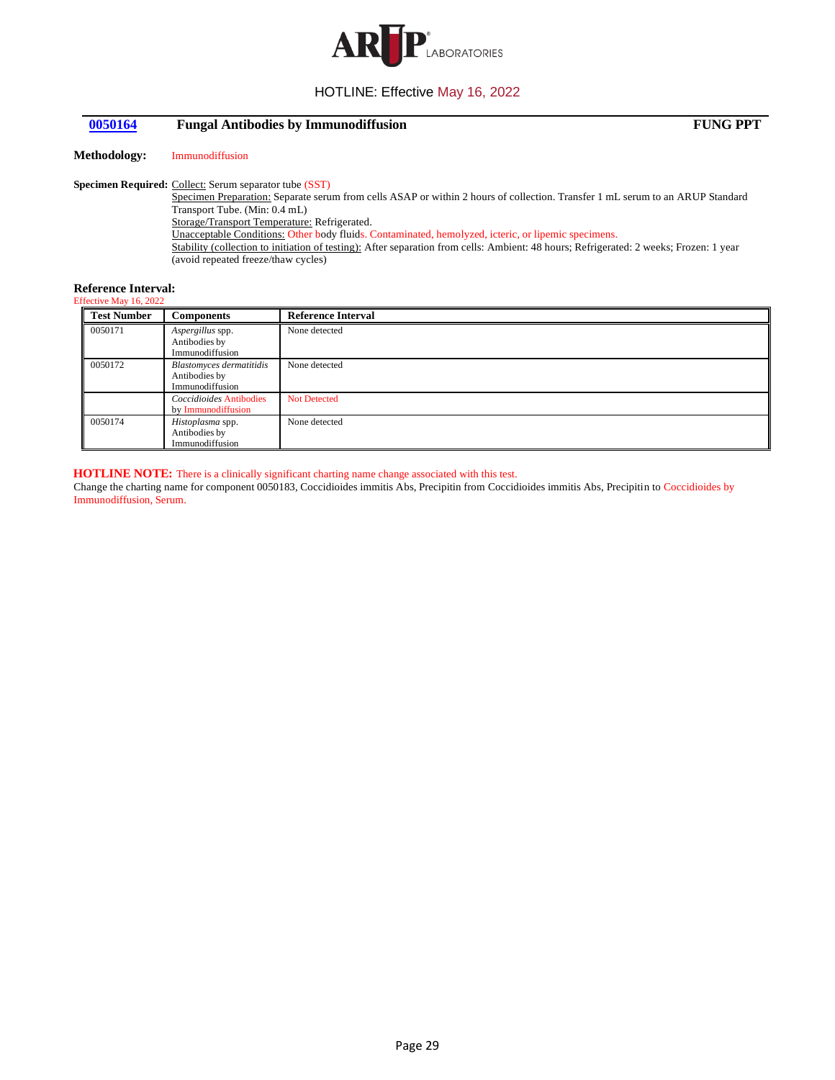

## <span id="page-28-0"></span>**[0050164](#page-3-2) Fungal Antibodies by Immunodiffusion FUNG PPT**

**Methodology:** Immunodiffusion

#### Specimen Required: Collect: Serum separator tube (SST)

Specimen Preparation: Separate serum from cells ASAP or within 2 hours of collection. Transfer 1 mL serum to an ARUP Standard Transport Tube. (Min: 0.4 mL) Storage/Transport Temperature: Refrigerated. Unacceptable Conditions: Other body fluids. Contaminated, hemolyzed, icteric, or lipemic specimens. Stability (collection to initiation of testing): After separation from cells: Ambient: 48 hours; Refrigerated: 2 weeks; Frozen: 1 year (avoid repeated freeze/thaw cycles)

#### **Reference Interval:**

## Effective May 16, 2022

| <b>Test Number</b> | <b>Components</b>                                                   | <b>Reference Interval</b> |
|--------------------|---------------------------------------------------------------------|---------------------------|
| 0050171            | Aspergillus spp.<br>Antibodies by<br>Immunodiffusion                | None detected             |
| 0050172            | <b>Blastomyces dermatitidis</b><br>Antibodies by<br>Immunodiffusion | None detected             |
|                    | Coccidioides Antibodies<br>by Immunodiffusion                       | <b>Not Detected</b>       |
| 0050174            | Histoplasma spp.<br>Antibodies by<br>Immunodiffusion                | None detected             |

#### **HOTLINE NOTE:** There is a clinically significant charting name change associated with this test.

Change the charting name for component 0050183, Coccidioides immitis Abs, Precipitin from Coccidioides immitis Abs, Precipitin to Coccidioides by Immunodiffusion, Serum.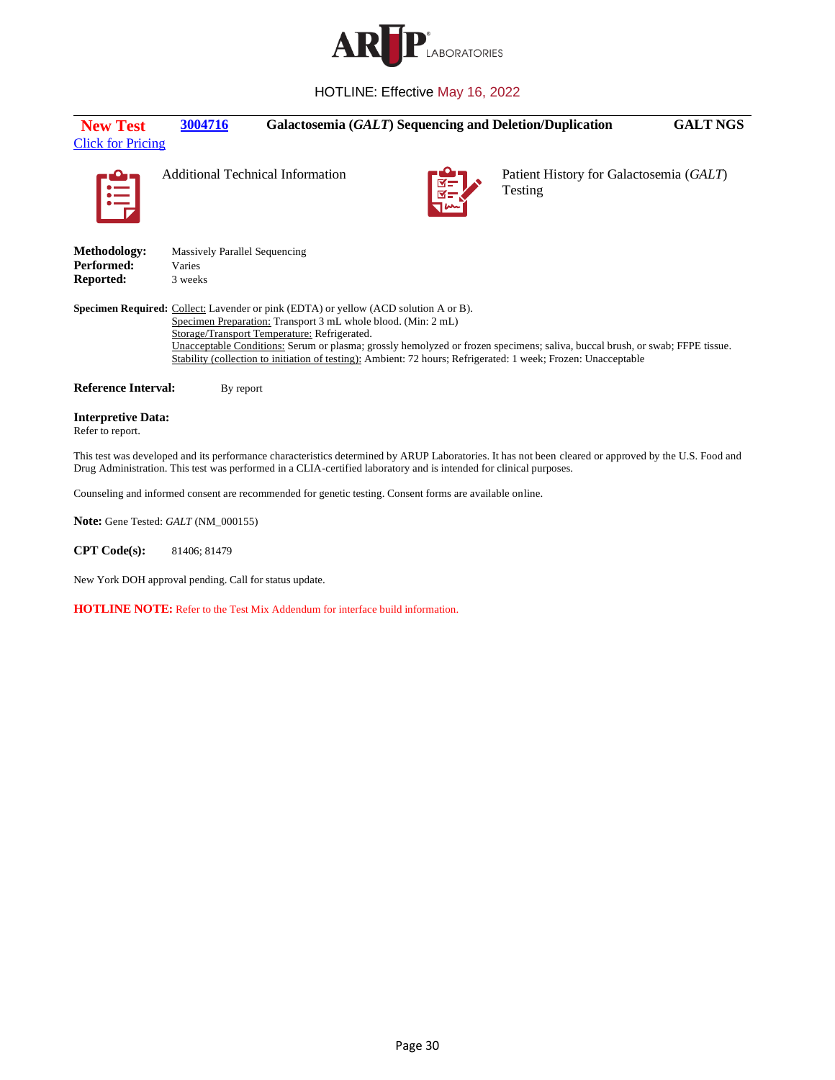

<span id="page-29-0"></span>

| <b>New Test</b><br><b>Click for Pricing</b>                                                              | 3004716                                                   |                                                                                                                                                                                                              |  | Galactosemia (GALT) Sequencing and Deletion/Duplication                                                                                                                                                                                        | <b>GALT NGS</b> |
|----------------------------------------------------------------------------------------------------------|-----------------------------------------------------------|--------------------------------------------------------------------------------------------------------------------------------------------------------------------------------------------------------------|--|------------------------------------------------------------------------------------------------------------------------------------------------------------------------------------------------------------------------------------------------|-----------------|
| 眉                                                                                                        |                                                           | <b>Additional Technical Information</b>                                                                                                                                                                      |  | Patient History for Galactosemia (GALT)<br>Testing                                                                                                                                                                                             |                 |
| Methodology:<br>Performed:<br>Reported:                                                                  | <b>Massively Parallel Sequencing</b><br>Varies<br>3 weeks |                                                                                                                                                                                                              |  |                                                                                                                                                                                                                                                |                 |
|                                                                                                          |                                                           | <b>Specimen Required:</b> Collect: Lavender or pink (EDTA) or yellow (ACD solution A or B).<br>Specimen Preparation: Transport 3 mL whole blood. (Min: 2 mL)<br>Storage/Transport Temperature: Refrigerated. |  | Unacceptable Conditions: Serum or plasma; grossly hemolyzed or frozen specimens; saliva, buccal brush, or swab; FFPE tissue.<br>Stability (collection to initiation of testing): Ambient: 72 hours; Refrigerated: 1 week; Frozen: Unacceptable |                 |
| <b>Reference Interval:</b>                                                                               | By report                                                 |                                                                                                                                                                                                              |  |                                                                                                                                                                                                                                                |                 |
| <b>Interpretive Data:</b><br>Refer to report.                                                            |                                                           |                                                                                                                                                                                                              |  |                                                                                                                                                                                                                                                |                 |
|                                                                                                          |                                                           | Drug Administration. This test was performed in a CLIA-certified laboratory and is intended for clinical purposes.                                                                                           |  | This test was developed and its performance characteristics determined by ARUP Laboratories. It has not been cleared or approved by the U.S. Food and                                                                                          |                 |
| Counseling and informed consent are recommended for genetic testing. Consent forms are available online. |                                                           |                                                                                                                                                                                                              |  |                                                                                                                                                                                                                                                |                 |
|                                                                                                          |                                                           |                                                                                                                                                                                                              |  |                                                                                                                                                                                                                                                |                 |

**Note:** Gene Tested: *GALT* (NM\_000155)

**CPT Code(s):** 81406; 81479

New York DOH approval pending. Call for status update.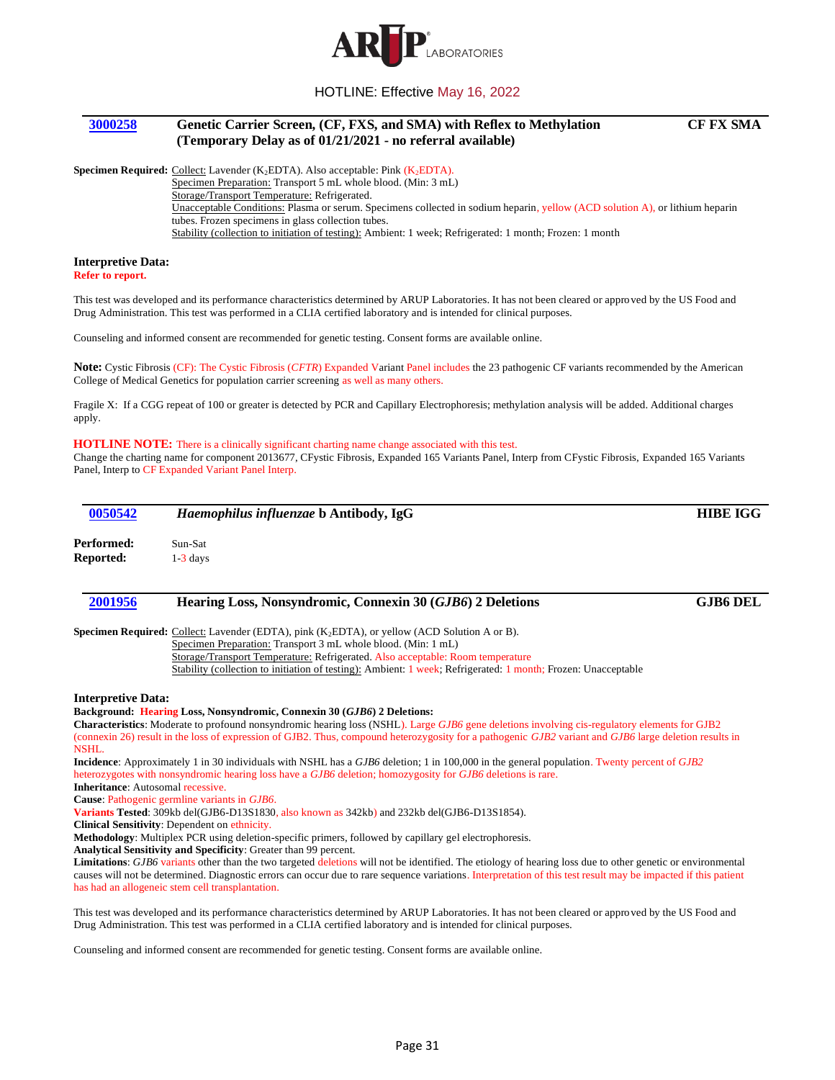

## <span id="page-30-0"></span>**[3000258](#page-3-4) Genetic Carrier Screen, (CF, FXS, and SMA) with Reflex to Methylation (Temporary Delay as of 01/21/2021 - no referral available)**

### **Specimen Required:** Collect: Lavender (K<sub>2</sub>EDTA). Also acceptable: Pink (K<sub>2</sub>EDTA).

Specimen Preparation: Transport 5 mL whole blood. (Min: 3 mL)

Storage/Transport Temperature: Refrigerated.

Unacceptable Conditions: Plasma or serum. Specimens collected in sodium heparin, yellow (ACD solution A), or lithium heparin tubes. Frozen specimens in glass collection tubes.

Stability (collection to initiation of testing): Ambient: 1 week; Refrigerated: 1 month; Frozen: 1 month

#### **Interpretive Data:**

**Refer to report.**

This test was developed and its performance characteristics determined by ARUP Laboratories. It has not been cleared or approved by the US Food and Drug Administration. This test was performed in a CLIA certified laboratory and is intended for clinical purposes.

Counseling and informed consent are recommended for genetic testing. Consent forms are available online.

**Note:** Cystic Fibrosis (CF): The Cystic Fibrosis (*CFTR*) Expanded Variant Panel includes the 23 pathogenic CF variants recommended by the American College of Medical Genetics for population carrier screening as well as many others.

Fragile X: If a CGG repeat of 100 or greater is detected by PCR and Capillary Electrophoresis; methylation analysis will be added. Additional charges apply.

#### **HOTLINE NOTE:** There is a clinically significant charting name change associated with this test.

Change the charting name for component 2013677, CFystic Fibrosis, Expanded 165 Variants Panel, Interp from CFystic Fibrosis, Expanded 165 Variants Panel, Interp to CF Expanded Variant Panel Interp.

<span id="page-30-2"></span><span id="page-30-1"></span>

| 0050542                                  | Haemophilus influenzae b Antibody, IgG                                                                                                                                                                                                                                                                         | <b>HIBE IGG</b> |
|------------------------------------------|----------------------------------------------------------------------------------------------------------------------------------------------------------------------------------------------------------------------------------------------------------------------------------------------------------------|-----------------|
| Performed:                               | Sun-Sat                                                                                                                                                                                                                                                                                                        |                 |
| Reported:                                | $1-3$ days                                                                                                                                                                                                                                                                                                     |                 |
| 2001956                                  | Hearing Loss, Nonsyndromic, Connexin 30 (GJB6) 2 Deletions                                                                                                                                                                                                                                                     | <b>GJB6 DEL</b> |
|                                          | <b>Specimen Required:</b> Collect: Lavender (EDTA), pink $(K_2EDTA)$ , or yellow (ACD Solution A or B).<br>Specimen Preparation: Transport 3 mL whole blood. (Min: 1 mL)                                                                                                                                       |                 |
|                                          | Storage/Transport Temperature: Refrigerated. Also acceptable: Room temperature<br>Stability (collection to initiation of testing): Ambient: 1 week; Refrigerated: 1 month; Frozen: Unacceptable                                                                                                                |                 |
| <b>Interpretive Data:</b>                |                                                                                                                                                                                                                                                                                                                |                 |
|                                          | Background: Hearing Loss, Nonsyndromic, Connexin 30 (GJB6) 2 Deletions:                                                                                                                                                                                                                                        |                 |
| NSHL.                                    | <b>Characteristics</b> : Moderate to profound nonsyndromic hearing loss (NSHL). Large GJB6 gene deletions involving cis-regulatory elements for GJB2<br>(connexin 26) result in the loss of expression of GJB2. Thus, compound heterozygosity for a pathogenic GJB2 variant and GJB6 large deletion results in |                 |
|                                          | Incidence: Approximately 1 in 30 individuals with NSHL has a GJB6 deletion; 1 in 100,000 in the general population. Twenty percent of GJB2                                                                                                                                                                     |                 |
|                                          | heterozygotes with nonsyndromic hearing loss have a GJB6 deletion; homozygosity for GJB6 deletions is rare.                                                                                                                                                                                                    |                 |
| <b>Inheritance:</b> Autosomal recessive. |                                                                                                                                                                                                                                                                                                                |                 |
|                                          | Cause: Pathogenic germline variants in GJB6.                                                                                                                                                                                                                                                                   |                 |
|                                          | Variants Tested: 309kb del(GJB6-D13S1830, also known as 342kb) and 232kb del(GJB6-D13S1854).                                                                                                                                                                                                                   |                 |
|                                          | Clinical Sensitivity: Dependent on ethnicity.                                                                                                                                                                                                                                                                  |                 |
|                                          | $M$ at $M$ and $M$ and $M$ and $M$ and $M$ and $M$ and $M$ and $M$ and $M$ and $M$ and $M$ and $M$ and $M$ and $M$ and $M$ and $M$ and $M$ and $M$ and $M$ and $M$ and $M$ and $M$ and $M$ and $M$ and $M$ and $M$ and $M$ an                                                                                  |                 |

**Methodology**: Multiplex PCR using deletion-specific primers, followed by capillary gel electrophoresis.

**Analytical Sensitivity and Specificity**: Greater than 99 percent.

Limitations: *GJB6* variants other than the two targeted deletions will not be identified. The etiology of hearing loss due to other genetic or environmental causes will not be determined. Diagnostic errors can occur due to rare sequence variations. Interpretation of this test result may be impacted if this patient has had an allogeneic stem cell transplantation.

This test was developed and its performance characteristics determined by ARUP Laboratories. It has not been cleared or approved by the US Food and Drug Administration. This test was performed in a CLIA certified laboratory and is intended for clinical purposes.

Counseling and informed consent are recommended for genetic testing. Consent forms are available online.

## **CF FX SMA**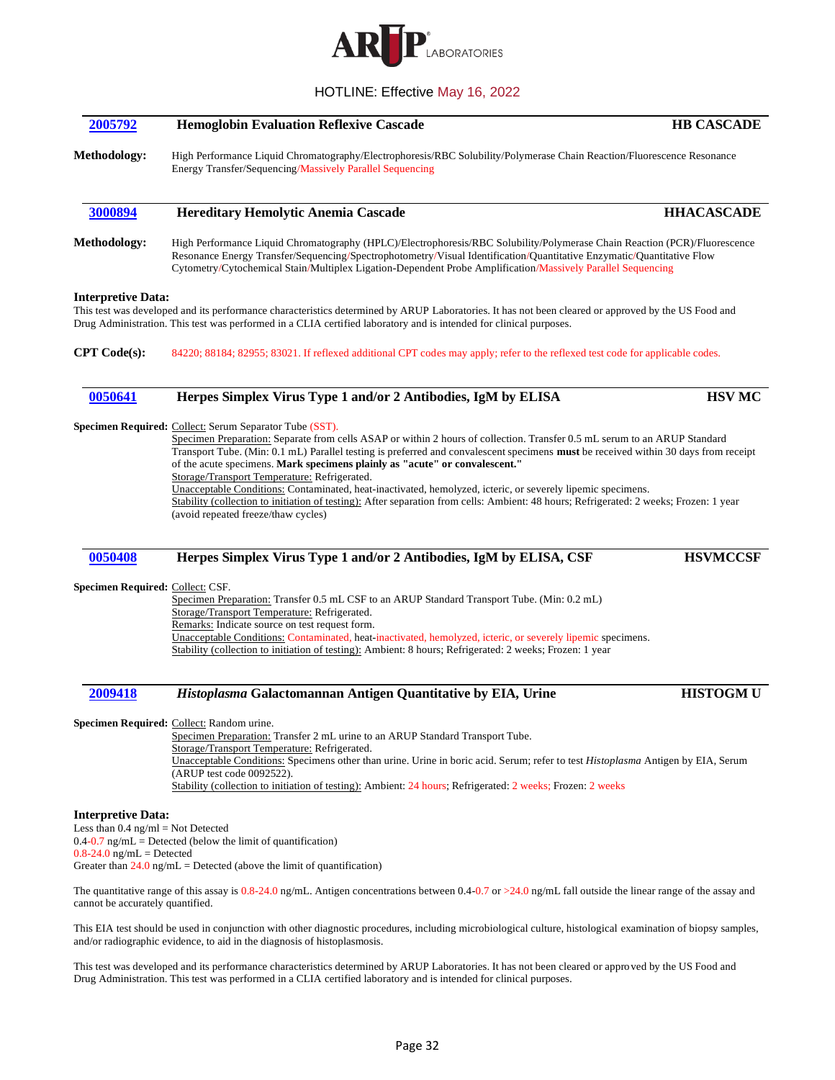

<span id="page-31-2"></span><span id="page-31-1"></span><span id="page-31-0"></span>

| 2005792                                                                                          | <b>Hemoglobin Evaluation Reflexive Cascade</b>                                                                                                                                                                                                                                                                                                                                                                                                                                                                                                                                                                                                                                                                                                             | <b>HB CASCADE</b> |  |
|--------------------------------------------------------------------------------------------------|------------------------------------------------------------------------------------------------------------------------------------------------------------------------------------------------------------------------------------------------------------------------------------------------------------------------------------------------------------------------------------------------------------------------------------------------------------------------------------------------------------------------------------------------------------------------------------------------------------------------------------------------------------------------------------------------------------------------------------------------------------|-------------------|--|
| Methodology:                                                                                     | High Performance Liquid Chromatography/Electrophoresis/RBC Solubility/Polymerase Chain Reaction/Fluorescence Resonance<br>Energy Transfer/Sequencing/Massively Parallel Sequencing                                                                                                                                                                                                                                                                                                                                                                                                                                                                                                                                                                         |                   |  |
| 3000894                                                                                          | <b>Hereditary Hemolytic Anemia Cascade</b>                                                                                                                                                                                                                                                                                                                                                                                                                                                                                                                                                                                                                                                                                                                 | <b>HHACASCADE</b> |  |
| Methodology:                                                                                     | High Performance Liquid Chromatography (HPLC)/Electrophoresis/RBC Solubility/Polymerase Chain Reaction (PCR)/Fluorescence<br>Resonance Energy Transfer/Sequencing/Spectrophotometry/Visual Identification/Quantitative Enzymatic/Quantitative Flow<br>Cytometry/Cytochemical Stain/Multiplex Ligation-Dependent Probe Amplification/Massively Parallel Sequencing                                                                                                                                                                                                                                                                                                                                                                                          |                   |  |
| <b>Interpretive Data:</b>                                                                        | This test was developed and its performance characteristics determined by ARUP Laboratories. It has not been cleared or approved by the US Food and<br>Drug Administration. This test was performed in a CLIA certified laboratory and is intended for clinical purposes.                                                                                                                                                                                                                                                                                                                                                                                                                                                                                  |                   |  |
| <b>CPT</b> Code(s):                                                                              | 84220; 88184; 82955; 83021. If reflexed additional CPT codes may apply; refer to the reflexed test code for applicable codes.                                                                                                                                                                                                                                                                                                                                                                                                                                                                                                                                                                                                                              |                   |  |
| 0050641                                                                                          | Herpes Simplex Virus Type 1 and/or 2 Antibodies, IgM by ELISA                                                                                                                                                                                                                                                                                                                                                                                                                                                                                                                                                                                                                                                                                              | <b>HSV MC</b>     |  |
|                                                                                                  | Specimen Required: Collect: Serum Separator Tube (SST).<br>Specimen Preparation: Separate from cells ASAP or within 2 hours of collection. Transfer 0.5 mL serum to an ARUP Standard<br>Transport Tube. (Min: 0.1 mL) Parallel testing is preferred and convalescent specimens must be received within 30 days from receipt<br>of the acute specimens. Mark specimens plainly as "acute" or convalescent."<br>Storage/Transport Temperature: Refrigerated.<br>Unacceptable Conditions: Contaminated, heat-inactivated, hemolyzed, icteric, or severely lipemic specimens.<br>Stability (collection to initiation of testing): After separation from cells: Ambient: 48 hours; Refrigerated: 2 weeks; Frozen: 1 year<br>(avoid repeated freeze/thaw cycles) |                   |  |
| 0050408                                                                                          | Herpes Simplex Virus Type 1 and/or 2 Antibodies, IgM by ELISA, CSF                                                                                                                                                                                                                                                                                                                                                                                                                                                                                                                                                                                                                                                                                         | <b>HSVMCCSF</b>   |  |
| Specimen Required: Collect: CSF.                                                                 | Specimen Preparation: Transfer 0.5 mL CSF to an ARUP Standard Transport Tube. (Min: 0.2 mL)<br>Storage/Transport Temperature: Refrigerated.<br>Remarks: Indicate source on test request form.<br>Unacceptable Conditions: Contaminated, heat-inactivated, hemolyzed, icteric, or severely lipemic specimens.<br>Stability (collection to initiation of testing): Ambient: 8 hours; Refrigerated: 2 weeks; Frozen: 1 year                                                                                                                                                                                                                                                                                                                                   |                   |  |
| 2009418                                                                                          | Histoplasma Galactomannan Antigen Quantitative by EIA, Urine                                                                                                                                                                                                                                                                                                                                                                                                                                                                                                                                                                                                                                                                                               | <b>HISTOGMU</b>   |  |
|                                                                                                  | Specimen Required: Collect: Random urine.<br>Specimen Preparation: Transfer 2 mL urine to an ARUP Standard Transport Tube.<br>Storage/Transport Temperature: Refrigerated.<br>Unacceptable Conditions: Specimens other than urine. Urine in boric acid. Serum; refer to test Histoplasma Antigen by EIA, Serum<br>(ARUP test code 0092522).<br>Stability (collection to initiation of testing): Ambient: 24 hours; Refrigerated: 2 weeks; Frozen: 2 weeks                                                                                                                                                                                                                                                                                                  |                   |  |
| <b>Interpretive Data:</b><br>Less than $0.4$ ng/ml = Not Detected<br>$0.8-24.0$ ng/mL = Detected | $0.4$ -0.7 ng/mL = Detected (below the limit of quantification)<br>Greater than $24.0 \text{ ng/mL}$ = Detected (above the limit of quantification)                                                                                                                                                                                                                                                                                                                                                                                                                                                                                                                                                                                                        |                   |  |
| cannot be accurately quantified.                                                                 | The quantitative range of this assay is $0.8-24.0$ ng/mL. Antigen concentrations between $0.4-0.7$ or $>24.0$ ng/mL fall outside the linear range of the assay and                                                                                                                                                                                                                                                                                                                                                                                                                                                                                                                                                                                         |                   |  |

<span id="page-31-4"></span><span id="page-31-3"></span>This EIA test should be used in conjunction with other diagnostic procedures, including microbiological culture, histological examination of biopsy samples, and/or radiographic evidence, to aid in the diagnosis of histoplasmosis.

This test was developed and its performance characteristics determined by ARUP Laboratories. It has not been cleared or approved by the US Food and Drug Administration. This test was performed in a CLIA certified laboratory and is intended for clinical purposes.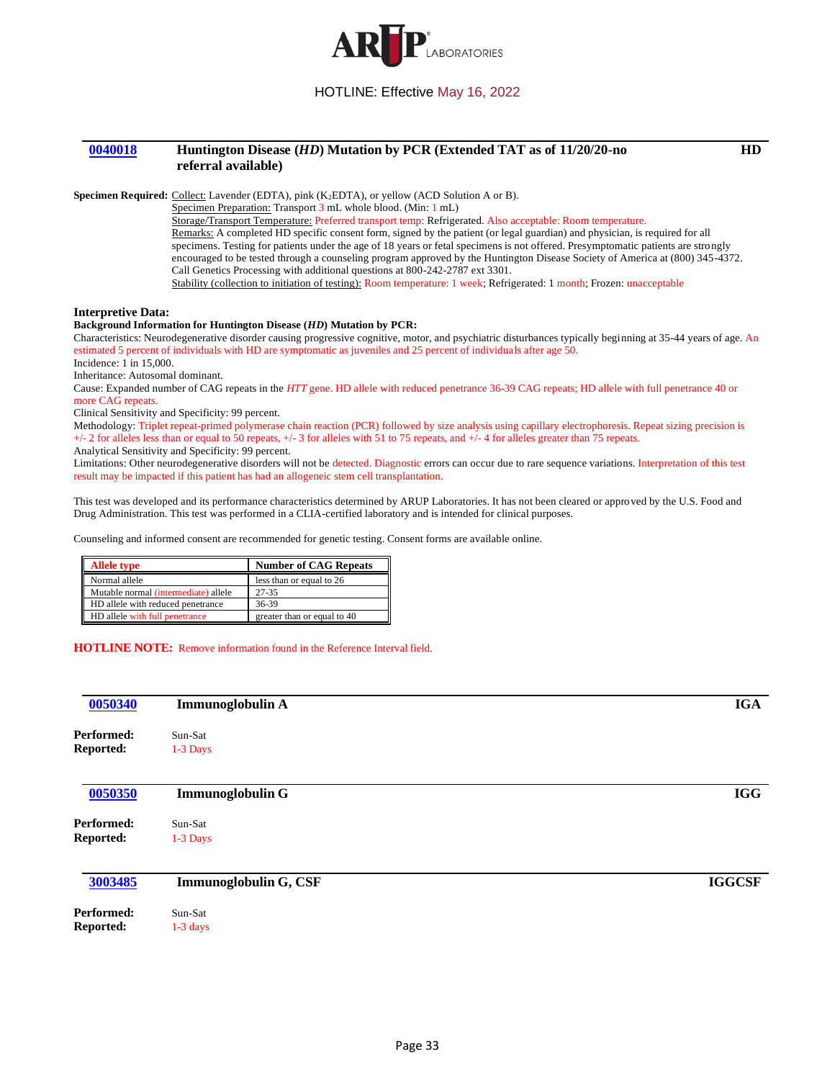

## <span id="page-32-0"></span>**[0040018](#page-3-12) Huntington Disease (***HD***) Mutation by PCR (Extended TAT as of 11/20/20-no referral available)**

**HD**

**Specimen Required:** Collect: Lavender (EDTA), pink (K2EDTA), or yellow (ACD Solution A or B).

Specimen Preparation: Transport 3 mL whole blood. (Min: 1 mL)

Storage/Transport Temperature: Preferred transport temp: Refrigerated. Also acceptable: Room temperature. Remarks: A completed HD specific consent form, signed by the patient (or legal guardian) and physician, is required for all specimens. Testing for patients under the age of 18 years or fetal specimens is not offered. Presymptomatic patients are strongly encouraged to be tested through a counseling program approved by the Huntington Disease Society of America at (800) 345-4372. Call Genetics Processing with additional questions at 800-242-2787 ext 3301. Stability (collection to initiation of testing): Room temperature: 1 week; Refrigerated: 1 month; Frozen: unacceptable

**Interpretive Data:**

#### **Background Information for Huntington Disease (***HD***) Mutation by PCR:**

Characteristics: Neurodegenerative disorder causing progressive cognitive, motor, and psychiatric disturbances typically beginning at 35-44 years of age. An estimated 5 percent of individuals with HD are symptomatic as juveniles and 25 percent of individuals after age 50.

Incidence: 1 in 15,000.

Inheritance: Autosomal dominant.

Cause: Expanded number of CAG repeats in the *HTT* gene. HD allele with reduced penetrance 36-39 CAG repeats; HD allele with full penetrance 40 or more CAG repeats.

Clinical Sensitivity and Specificity: 99 percent.

Methodology: Triplet repeat-primed polymerase chain reaction (PCR) followed by size analysis using capillary electrophoresis. Repeat sizing precision is +/- 2 for alleles less than or equal to 50 repeats, +/- 3 for alleles with 51 to 75 repeats, and +/- 4 for alleles greater than 75 repeats.

Analytical Sensitivity and Specificity: 99 percent.

Limitations: Other neurodegenerative disorders will not be detected. Diagnostic errors can occur due to rare sequence variations. Interpretation of this test result may be impacted if this patient has had an allogeneic stem cell transplantation.

This test was developed and its performance characteristics determined by ARUP Laboratories. It has not been cleared or approved by the U.S. Food and Drug Administration. This test was performed in a CLIA-certified laboratory and is intended for clinical purposes.

Counseling and informed consent are recommended for genetic testing. Consent forms are available online.

| <b>Allele type</b>                   | <b>Number of CAG Repeats</b> |  |
|--------------------------------------|------------------------------|--|
| Normal allele                        | less than or equal to 26     |  |
| Mutable normal (intermediate) allele | 27-35                        |  |
| HD allele with reduced penetrance    | 36-39                        |  |
| HD allele with full penetrance       | greater than or equal to 40  |  |

#### **HOTLINE NOTE:** Remove information found in the Reference Interval field.

<span id="page-32-3"></span><span id="page-32-2"></span><span id="page-32-1"></span>

| 0050340          | Immunoglobulin A        | <b>IGA</b>    |
|------------------|-------------------------|---------------|
| Performed:       | Sun-Sat                 |               |
| Reported:        | 1-3 Days                |               |
| 0050350          | <b>Immunoglobulin G</b> | <b>IGG</b>    |
| Performed:       | Sun-Sat                 |               |
| <b>Reported:</b> | 1-3 Days                |               |
| 3003485          | Immunoglobulin G, CSF   | <b>IGGCSF</b> |
| Performed:       | Sun-Sat                 |               |
| Reported:        | $1-3$ days              |               |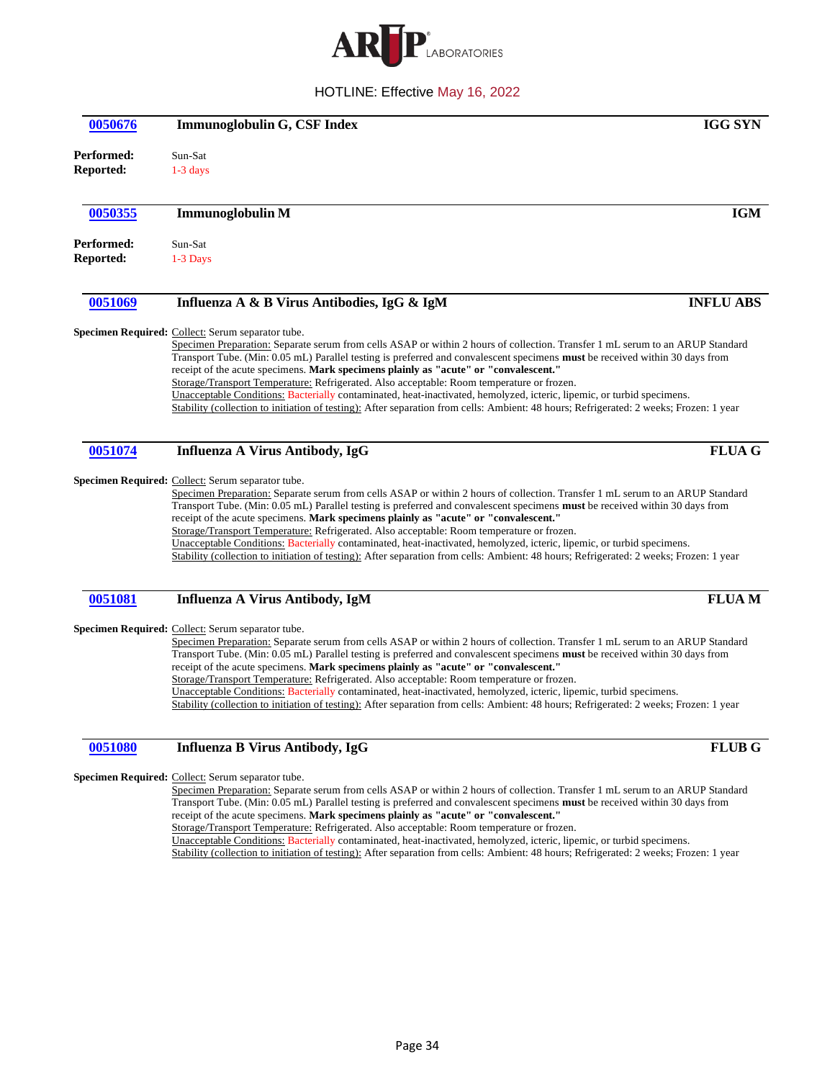

<span id="page-33-5"></span><span id="page-33-4"></span><span id="page-33-3"></span><span id="page-33-2"></span><span id="page-33-1"></span><span id="page-33-0"></span>

| 0050676                        | Immunoglobulin G, CSF Index                                                                                                                                                                                                                                                                                                                                                                                                                                                                                                                                                                                                                                                                                                                                                        | <b>IGG SYN</b>   |
|--------------------------------|------------------------------------------------------------------------------------------------------------------------------------------------------------------------------------------------------------------------------------------------------------------------------------------------------------------------------------------------------------------------------------------------------------------------------------------------------------------------------------------------------------------------------------------------------------------------------------------------------------------------------------------------------------------------------------------------------------------------------------------------------------------------------------|------------------|
| Performed:<br><b>Reported:</b> | Sun-Sat<br>$1-3$ days                                                                                                                                                                                                                                                                                                                                                                                                                                                                                                                                                                                                                                                                                                                                                              |                  |
| 0050355                        | <b>Immunoglobulin M</b>                                                                                                                                                                                                                                                                                                                                                                                                                                                                                                                                                                                                                                                                                                                                                            | <b>IGM</b>       |
| Performed:<br><b>Reported:</b> | Sun-Sat<br>1-3 Days                                                                                                                                                                                                                                                                                                                                                                                                                                                                                                                                                                                                                                                                                                                                                                |                  |
| 0051069                        | Influenza A & B Virus Antibodies, IgG & IgM                                                                                                                                                                                                                                                                                                                                                                                                                                                                                                                                                                                                                                                                                                                                        | <b>INFLU ABS</b> |
|                                | Specimen Required: Collect: Serum separator tube.<br>Specimen Preparation: Separate serum from cells ASAP or within 2 hours of collection. Transfer 1 mL serum to an ARUP Standard<br>Transport Tube. (Min: 0.05 mL) Parallel testing is preferred and convalescent specimens must be received within 30 days from<br>receipt of the acute specimens. Mark specimens plainly as "acute" or "convalescent."<br>Storage/Transport Temperature: Refrigerated. Also acceptable: Room temperature or frozen.<br>Unacceptable Conditions: Bacterially contaminated, heat-inactivated, hemolyzed, icteric, lipemic, or turbid specimens.<br>Stability (collection to initiation of testing): After separation from cells: Ambient: 48 hours; Refrigerated: 2 weeks; Frozen: 1 year        |                  |
| 0051074                        | <b>Influenza A Virus Antibody, IgG</b>                                                                                                                                                                                                                                                                                                                                                                                                                                                                                                                                                                                                                                                                                                                                             | $FLUA$ $G$       |
|                                | Specimen Required: Collect: Serum separator tube.<br>Specimen Preparation: Separate serum from cells ASAP or within 2 hours of collection. Transfer 1 mL serum to an ARUP Standard<br>Transport Tube. (Min: 0.05 mL) Parallel testing is preferred and convalescent specimens must be received within 30 days from<br>receipt of the acute specimens. Mark specimens plainly as "acute" or "convalescent."<br>Storage/Transport Temperature: Refrigerated. Also acceptable: Room temperature or frozen.<br>Unacceptable Conditions: Bacterially contaminated, heat-inactivated, hemolyzed, icteric, lipemic, or turbid specimens.<br>Stability (collection to initiation of testing): After separation from cells: Ambient: 48 hours; Refrigerated: 2 weeks; Frozen: 1 year        |                  |
| 0051081                        | <b>Influenza A Virus Antibody, IgM</b>                                                                                                                                                                                                                                                                                                                                                                                                                                                                                                                                                                                                                                                                                                                                             | <b>FLUAM</b>     |
|                                | Specimen Required: Collect: Serum separator tube.<br>Specimen Preparation: Separate serum from cells ASAP or within 2 hours of collection. Transfer 1 mL serum to an ARUP Standard<br>Transport Tube. (Min: 0.05 mL) Parallel testing is preferred and convalescent specimens must be received within 30 days from<br>receipt of the acute specimens. Mark specimens plainly as "acute" or "convalescent."<br>Storage/Transport Temperature: Refrigerated. Also acceptable: Room temperature or frozen.<br>Unacceptable Conditions: Bacterially contaminated, heat-inactivated, hemolyzed, icteric, lipemic, turbid specimens.<br>Stability (collection to initiation of testing): After separation from cells: Ambient: 48 hours; Refrigerated: 2 weeks; Frozen: 1 year           |                  |
| 0051080                        | <b>Influenza B Virus Antibody, IgG</b>                                                                                                                                                                                                                                                                                                                                                                                                                                                                                                                                                                                                                                                                                                                                             | <b>FLUB G</b>    |
|                                | <b>Specimen Required:</b> Collect: Serum separator tube.<br>Specimen Preparation: Separate serum from cells ASAP or within 2 hours of collection. Transfer 1 mL serum to an ARUP Standard<br>Transport Tube. (Min: 0.05 mL) Parallel testing is preferred and convalescent specimens must be received within 30 days from<br>receipt of the acute specimens. Mark specimens plainly as "acute" or "convalescent."<br>Storage/Transport Temperature: Refrigerated. Also acceptable: Room temperature or frozen.<br>Unacceptable Conditions: Bacterially contaminated, heat-inactivated, hemolyzed, icteric, lipemic, or turbid specimens.<br>Stability (collection to initiation of testing): After separation from cells: Ambient: 48 hours; Refrigerated: 2 weeks; Frozen: 1 year |                  |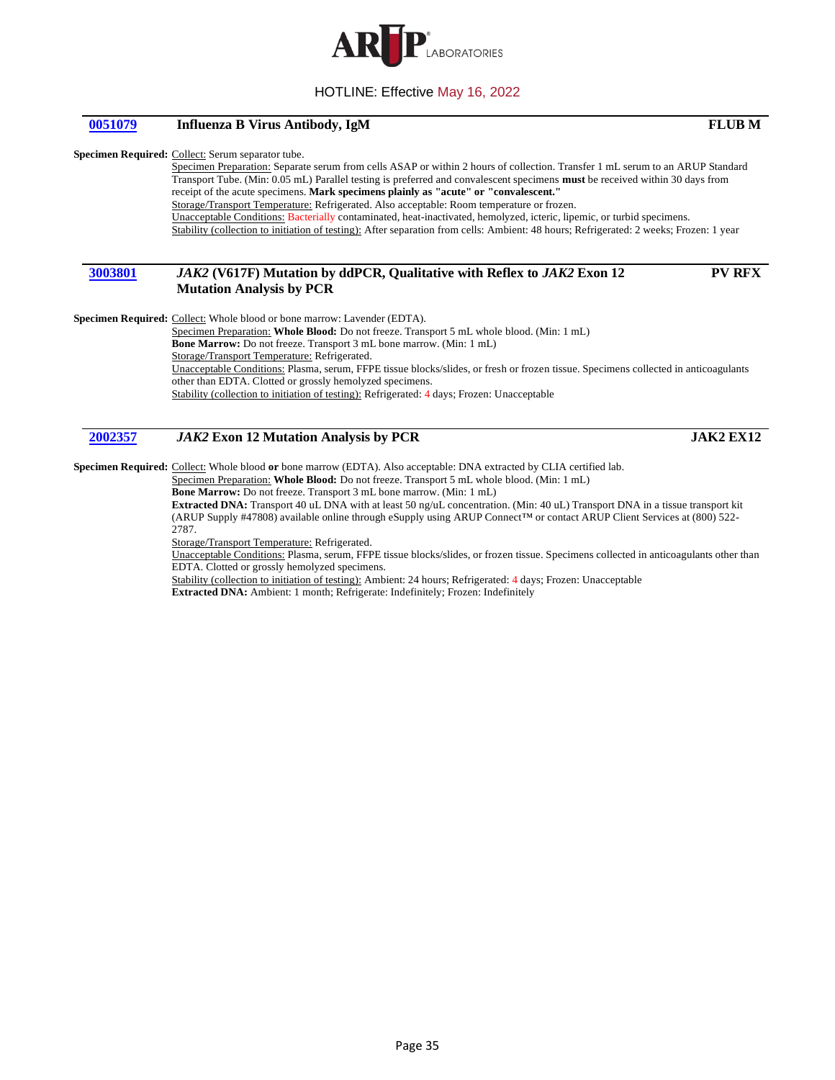

## <span id="page-34-0"></span>**[0051079](#page-4-4) Influenza B Virus Antibody, IgM FLUB M**

#### **Specimen Required:** Collect: Serum separator tube.

Specimen Preparation: Separate serum from cells ASAP or within 2 hours of collection. Transfer 1 mL serum to an ARUP Standard Transport Tube. (Min: 0.05 mL) Parallel testing is preferred and convalescent specimens **must** be received within 30 days from receipt of the acute specimens. **Mark specimens plainly as "acute" or "convalescent."** Storage/Transport Temperature: Refrigerated. Also acceptable: Room temperature or frozen. Unacceptable Conditions: Bacterially contaminated, heat-inactivated, hemolyzed, icteric, lipemic, or turbid specimens. Stability (collection to initiation of testing): After separation from cells: Ambient: 48 hours; Refrigerated: 2 weeks; Frozen: 1 year

## <span id="page-34-1"></span>**[3003801](#page-4-5)** *JAK2* **(V617F) Mutation by ddPCR, Qualitative with Reflex to** *JAK2* **Exon 12 Mutation Analysis by PCR**

Specimen Required: Collect: Whole blood or bone marrow: Lavender (EDTA).

Specimen Preparation: **Whole Blood:** Do not freeze. Transport 5 mL whole blood. (Min: 1 mL) **Bone Marrow:** Do not freeze. Transport 3 mL bone marrow. (Min: 1 mL) Storage/Transport Temperature: Refrigerated. Unacceptable Conditions: Plasma, serum, FFPE tissue blocks/slides, or fresh or frozen tissue. Specimens collected in anticoagulants other than EDTA. Clotted or grossly hemolyzed specimens. Stability (collection to initiation of testing): Refrigerated: 4 days; Frozen: Unacceptable

## <span id="page-34-2"></span>**[2002357](#page-4-6)** *JAK2* **Exon 12 Mutation Analysis by PCR JAK2 EX12**

**Specimen Required:** Collect: Whole blood **or** bone marrow (EDTA). Also acceptable: DNA extracted by CLIA certified lab.

Specimen Preparation: **Whole Blood:** Do not freeze. Transport 5 mL whole blood. (Min: 1 mL)

**Bone Marrow:** Do not freeze. Transport 3 mL bone marrow. (Min: 1 mL)

**Extracted DNA:** Transport 40 uL DNA with at least 50 ng/uL concentration. (Min: 40 uL) Transport DNA in a tissue transport kit (ARUP Supply #47808) available online through eSupply using ARUP Connect™ or contact ARUP Client Services at (800) 522- 2787.

Storage/Transport Temperature: Refrigerated.

Unacceptable Conditions: Plasma, serum, FFPE tissue blocks/slides, or frozen tissue. Specimens collected in anticoagulants other than EDTA. Clotted or grossly hemolyzed specimens.

Stability (collection to initiation of testing): Ambient: 24 hours; Refrigerated: 4 days; Frozen: Unacceptable

**Extracted DNA:** Ambient: 1 month; Refrigerate: Indefinitely; Frozen: Indefinitely

**PV RFX**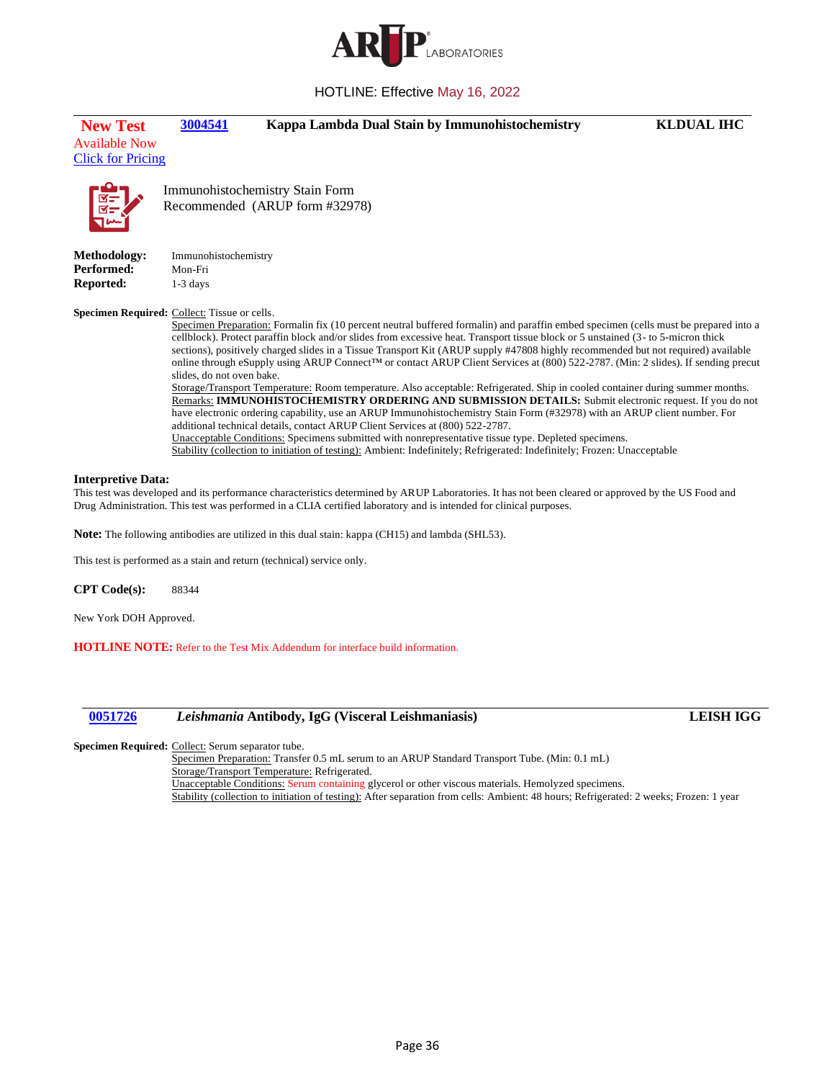

<span id="page-35-0"></span>

| <b>New Test</b><br><b>Available Now</b><br><b>Click for Pricing</b> | 3004541                                       |                                                                               | Kappa Lambda Dual Stain by Immunohistochemistry |                                                                                                                                                                                                                                  | <b>KLDUAL IHC</b>                                                                                                                                                                                                                                                                                                                                                                                                                                                                                                                                                                                                                                                                                                                                                                                                                                                                                                            |
|---------------------------------------------------------------------|-----------------------------------------------|-------------------------------------------------------------------------------|-------------------------------------------------|----------------------------------------------------------------------------------------------------------------------------------------------------------------------------------------------------------------------------------|------------------------------------------------------------------------------------------------------------------------------------------------------------------------------------------------------------------------------------------------------------------------------------------------------------------------------------------------------------------------------------------------------------------------------------------------------------------------------------------------------------------------------------------------------------------------------------------------------------------------------------------------------------------------------------------------------------------------------------------------------------------------------------------------------------------------------------------------------------------------------------------------------------------------------|
| <b>REL</b>                                                          |                                               | Immunohistochemistry Stain Form<br>Recommended (ARUP form #32978)             |                                                 |                                                                                                                                                                                                                                  |                                                                                                                                                                                                                                                                                                                                                                                                                                                                                                                                                                                                                                                                                                                                                                                                                                                                                                                              |
| <b>Methodology:</b><br><b>Performed:</b><br><b>Reported:</b>        | Immunohistochemistry<br>Mon-Fri<br>$1-3$ days |                                                                               |                                                 |                                                                                                                                                                                                                                  |                                                                                                                                                                                                                                                                                                                                                                                                                                                                                                                                                                                                                                                                                                                                                                                                                                                                                                                              |
| Specimen Required: Collect: Tissue or cells.                        | slides, do not oven bake.                     | additional technical details, contact ARUP Client Services at (800) 522-2787. |                                                 | Unacceptable Conditions: Specimens submitted with nonrepresentative tissue type. Depleted specimens.<br>Stability (collection to initiation of testing): Ambient: Indefinitely; Refrigerated: Indefinitely; Frozen: Unacceptable | Specimen Preparation: Formalin fix (10 percent neutral buffered formalin) and paraffin embed specimen (cells must be prepared into a<br>cellblock). Protect paraffin block and/or slides from excessive heat. Transport tissue block or 5 unstained (3- to 5-micron thick<br>sections), positively charged slides in a Tissue Transport Kit (ARUP supply #47808 highly recommended but not required) available<br>online through eSupply using ARUP Connect™ or contact ARUP Client Services at (800) 522-2787. (Min: 2 slides). If sending precut<br>Storage/Transport Temperature: Room temperature. Also acceptable: Refrigerated. Ship in cooled container during summer months.<br>Remarks: IMMUNOHISTOCHEMISTRY ORDERING AND SUBMISSION DETAILS: Submit electronic request. If you do not<br>have electronic ordering capability, use an ARUP Immunohistochemistry Stain Form (#32978) with an ARUP client number. For |

#### **Interpretive Data:**

This test was developed and its performance characteristics determined by ARUP Laboratories. It has not been cleared or approved by the US Food and Drug Administration. This test was performed in a CLIA certified laboratory and is intended for clinical purposes.

**Note:** The following antibodies are utilized in this dual stain: kappa (CH15) and lambda (SHL53).

This test is performed as a stain and return (technical) service only.

**CPT Code(s):** 88344

New York DOH Approved.

**HOTLINE NOTE:** Refer to the Test Mix Addendum for interface build information.

<span id="page-35-1"></span>

# **[0051726](#page-4-8)** *Leishmania* **Antibody, IgG (Visceral Leishmaniasis) LEISH IGG**

Specimen Required: Collect: Serum separator tube.

Specimen Preparation: Transfer 0.5 mL serum to an ARUP Standard Transport Tube. (Min: 0.1 mL) Storage/Transport Temperature: Refrigerated. Unacceptable Conditions: Serum containing glycerol or other viscous materials. Hemolyzed specimens.

Stability (collection to initiation of testing): After separation from cells: Ambient: 48 hours; Refrigerated: 2 weeks; Frozen: 1 year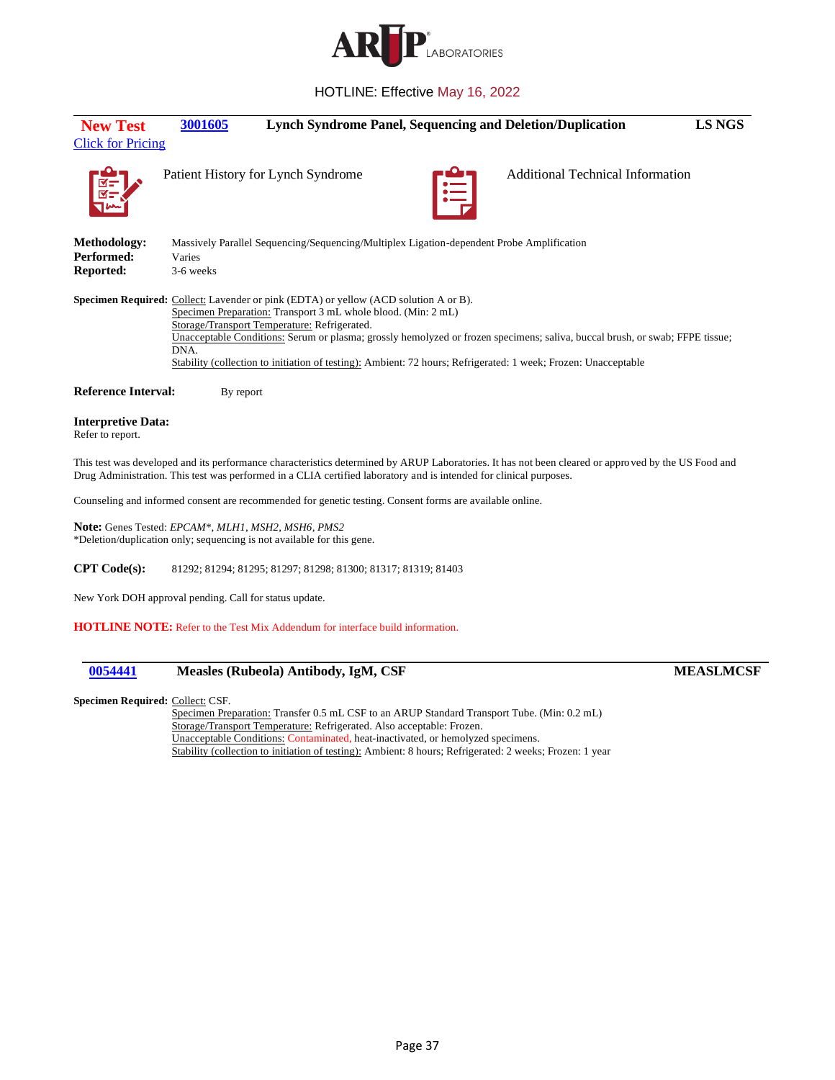

<span id="page-36-0"></span>

| <b>New Test</b>                               | 3001605                                                                                                                                                                                                              |          | <b>Lynch Syndrome Panel, Sequencing and Deletion/Duplication</b>                                                                                                                                                                               | LS NGS |
|-----------------------------------------------|----------------------------------------------------------------------------------------------------------------------------------------------------------------------------------------------------------------------|----------|------------------------------------------------------------------------------------------------------------------------------------------------------------------------------------------------------------------------------------------------|--------|
| <b>Click for Pricing</b>                      |                                                                                                                                                                                                                      |          |                                                                                                                                                                                                                                                |        |
|                                               | Patient History for Lynch Syndrome                                                                                                                                                                                   | $\equiv$ | <b>Additional Technical Information</b>                                                                                                                                                                                                        |        |
| Methodology:                                  | Massively Parallel Sequencing/Sequencing/Multiplex Ligation-dependent Probe Amplification                                                                                                                            |          |                                                                                                                                                                                                                                                |        |
| Performed:                                    | Varies                                                                                                                                                                                                               |          |                                                                                                                                                                                                                                                |        |
| <b>Reported:</b>                              | 3-6 weeks                                                                                                                                                                                                            |          |                                                                                                                                                                                                                                                |        |
|                                               | <b>Specimen Required:</b> Collect: Lavender or pink (EDTA) or yellow (ACD solution A or B).<br>Specimen Preparation: Transport 3 mL whole blood. (Min: 2 mL)<br>Storage/Transport Temperature: Refrigerated.<br>DNA. |          | Unacceptable Conditions: Serum or plasma; grossly hemolyzed or frozen specimens; saliva, buccal brush, or swab; FFPE tissue;<br>Stability (collection to initiation of testing): Ambient: 72 hours; Refrigerated: 1 week; Frozen: Unacceptable |        |
| <b>Reference Interval:</b>                    | By report                                                                                                                                                                                                            |          |                                                                                                                                                                                                                                                |        |
| <b>Interpretive Data:</b><br>Refer to report. |                                                                                                                                                                                                                      |          |                                                                                                                                                                                                                                                |        |

This test was developed and its performance characteristics determined by ARUP Laboratories. It has not been cleared or approved by the US Food and Drug Administration. This test was performed in a CLIA certified laboratory and is intended for clinical purposes.

Counseling and informed consent are recommended for genetic testing. Consent forms are available online.

**Note:** Genes Tested: *EPCAM*\*, *MLH1*, *MSH2*, *MSH6*, *PMS2* \*Deletion/duplication only; sequencing is not available for this gene.

**CPT Code(s):** 81292; 81294; 81295; 81297; 81298; 81300; 81317; 81319; 81403

New York DOH approval pending. Call for status update.

**HOTLINE NOTE:** Refer to the Test Mix Addendum for interface build information.

## <span id="page-36-1"></span>**[0054441](#page-4-10) Measles (Rubeola) Antibody, IgM, CSF MEASLMCSF**

#### **Specimen Required:** Collect: CSF.

Specimen Preparation: Transfer 0.5 mL CSF to an ARUP Standard Transport Tube. (Min: 0.2 mL) Storage/Transport Temperature: Refrigerated. Also acceptable: Frozen. Unacceptable Conditions: Contaminated, heat-inactivated, or hemolyzed specimens. Stability (collection to initiation of testing): Ambient: 8 hours; Refrigerated: 2 weeks; Frozen: 1 year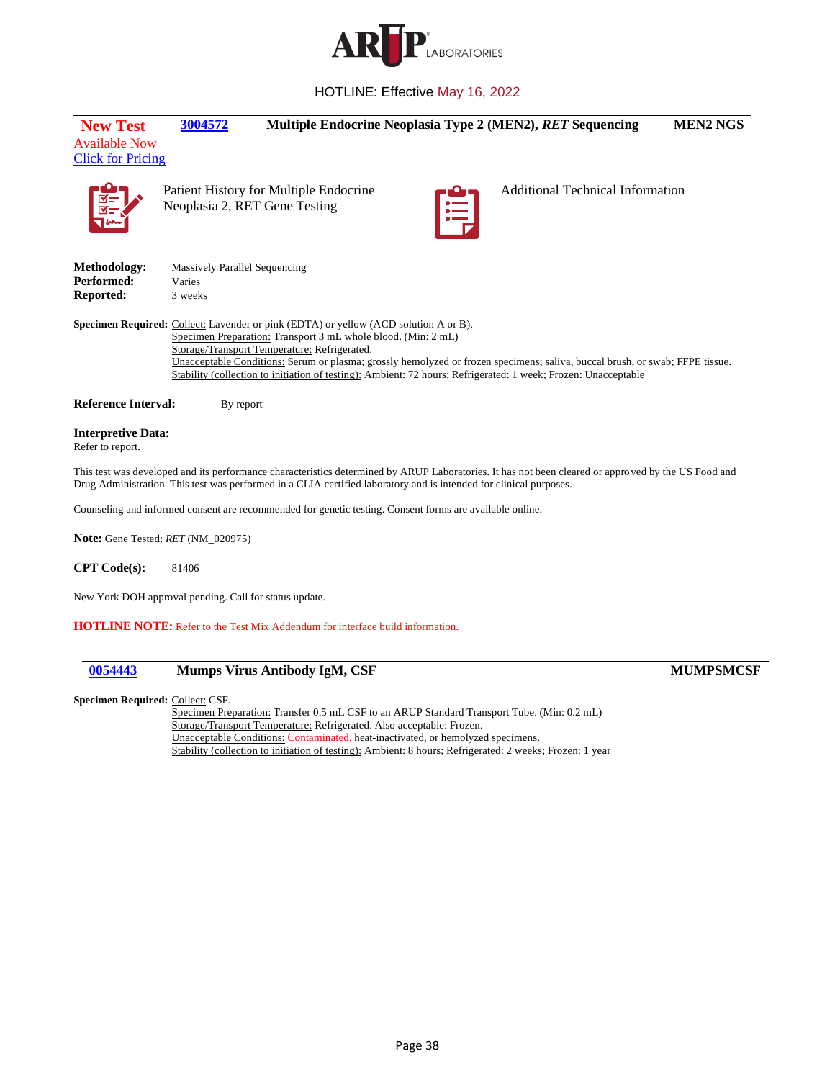

<span id="page-37-0"></span>

| <b>New Test</b><br><b>Available Now</b><br><b>Click for Pricing</b> | 3004572                                                   |                                                                                                                                                                                                       |          | Multiple Endocrine Neoplasia Type 2 (MEN2), RET Sequencing                                                                                                                                                                                     | <b>MEN2 NGS</b> |
|---------------------------------------------------------------------|-----------------------------------------------------------|-------------------------------------------------------------------------------------------------------------------------------------------------------------------------------------------------------|----------|------------------------------------------------------------------------------------------------------------------------------------------------------------------------------------------------------------------------------------------------|-----------------|
|                                                                     |                                                           | Patient History for Multiple Endocrine<br>Neoplasia 2, RET Gene Testing                                                                                                                               | $\equiv$ | <b>Additional Technical Information</b>                                                                                                                                                                                                        |                 |
| <b>Methodology:</b><br>Performed:<br>Reported:                      | <b>Massively Parallel Sequencing</b><br>Varies<br>3 weeks |                                                                                                                                                                                                       |          |                                                                                                                                                                                                                                                |                 |
|                                                                     |                                                           | Specimen Required: Collect: Lavender or pink (EDTA) or yellow (ACD solution A or B).<br>Specimen Preparation: Transport 3 mL whole blood. (Min: 2 mL)<br>Storage/Transport Temperature: Refrigerated. |          | Unacceptable Conditions: Serum or plasma; grossly hemolyzed or frozen specimens; saliva, buccal brush, or swab; FFPE tissue.<br>Stability (collection to initiation of testing): Ambient: 72 hours; Refrigerated: 1 week; Frozen: Unacceptable |                 |
| <b>Reference Interval:</b>                                          | By report                                                 |                                                                                                                                                                                                       |          |                                                                                                                                                                                                                                                |                 |
| <b>Interpretive Data:</b><br>Refer to report.                       |                                                           |                                                                                                                                                                                                       |          |                                                                                                                                                                                                                                                |                 |
|                                                                     |                                                           | Drug Administration. This test was performed in a CLIA certified laboratory and is intended for clinical purposes.                                                                                    |          | This test was developed and its performance characteristics determined by ARUP Laboratories. It has not been cleared or approved by the US Food and                                                                                            |                 |

Counseling and informed consent are recommended for genetic testing. Consent forms are available online.

**Note:** Gene Tested: *RET* (NM\_020975)

**CPT Code(s):** 81406

New York DOH approval pending. Call for status update.

**HOTLINE NOTE:** Refer to the Test Mix Addendum for interface build information.

# <span id="page-37-1"></span>**[0054443](#page-4-12) Mumps Virus Antibody IgM, CSF MUMPSMCSF**

**Specimen Required:** Collect: CSF.

Specimen Preparation: Transfer 0.5 mL CSF to an ARUP Standard Transport Tube. (Min: 0.2 mL) Storage/Transport Temperature: Refrigerated. Also acceptable: Frozen. Unacceptable Conditions: Contaminated, heat-inactivated, or hemolyzed specimens. Stability (collection to initiation of testing): Ambient: 8 hours; Refrigerated: 2 weeks; Frozen: 1 year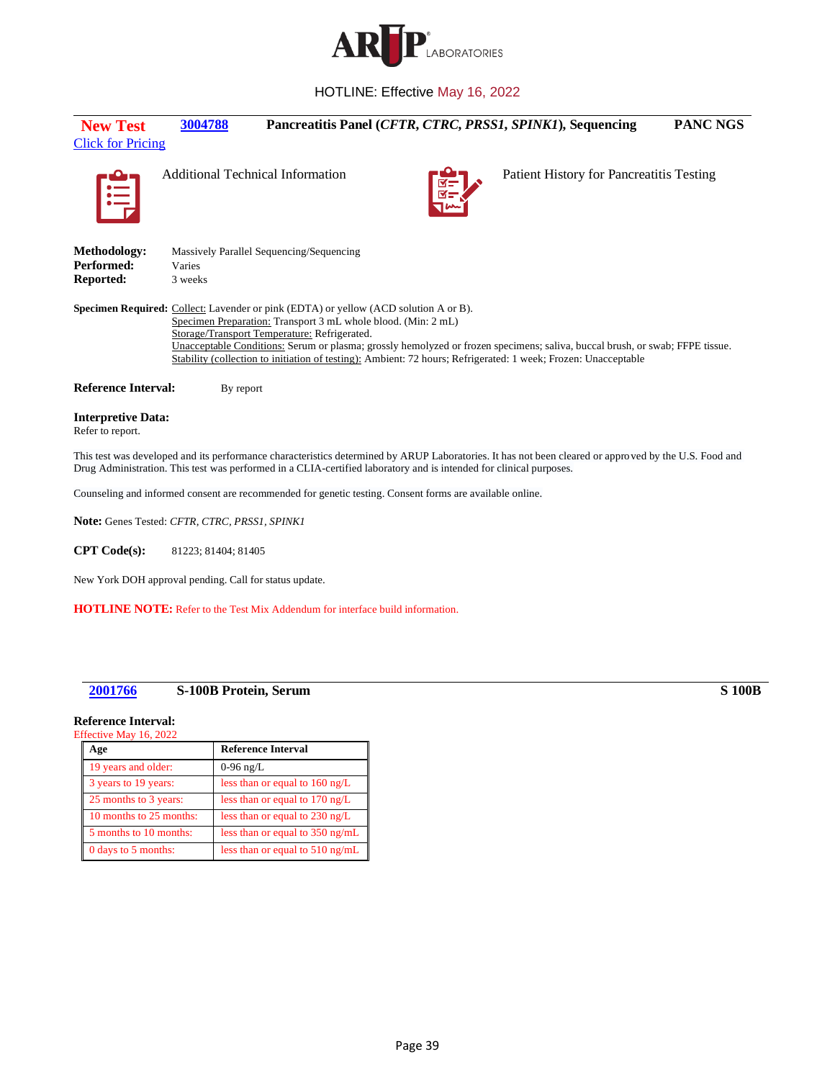

<span id="page-38-0"></span>

| <b>New Test</b><br><b>Click for Pricing</b>          | 3004788           |                                                                                                                                                                                                              | Pancreatitis Panel (CFTR, CTRC, PRSS1, SPINK1), Sequencing                                                                                                                                                                                     | PANC NGS |
|------------------------------------------------------|-------------------|--------------------------------------------------------------------------------------------------------------------------------------------------------------------------------------------------------------|------------------------------------------------------------------------------------------------------------------------------------------------------------------------------------------------------------------------------------------------|----------|
| E                                                    |                   | <b>Additional Technical Information</b>                                                                                                                                                                      | Patient History for Pancreatitis Testing                                                                                                                                                                                                       |          |
| Methodology:<br>Performed:<br>Reported:              | Varies<br>3 weeks | Massively Parallel Sequencing/Sequencing                                                                                                                                                                     |                                                                                                                                                                                                                                                |          |
|                                                      |                   | <b>Specimen Required:</b> Collect: Lavender or pink (EDTA) or yellow (ACD solution A or B).<br>Specimen Preparation: Transport 3 mL whole blood. (Min: 2 mL)<br>Storage/Transport Temperature: Refrigerated. | Unacceptable Conditions: Serum or plasma; grossly hemolyzed or frozen specimens; saliva, buccal brush, or swab; FFPE tissue.<br>Stability (collection to initiation of testing): Ambient: 72 hours; Refrigerated: 1 week; Frozen: Unacceptable |          |
| <b>Reference Interval:</b>                           | By report         |                                                                                                                                                                                                              |                                                                                                                                                                                                                                                |          |
| <b>Interpretive Data:</b><br>Refer to report.        |                   |                                                                                                                                                                                                              |                                                                                                                                                                                                                                                |          |
|                                                      |                   | Drug Administration. This test was performed in a CLIA-certified laboratory and is intended for clinical purposes.                                                                                           | This test was developed and its performance characteristics determined by ARUP Laboratories. It has not been cleared or approved by the U.S. Food and                                                                                          |          |
|                                                      |                   | Counseling and informed consent are recommended for genetic testing. Consent forms are available online.                                                                                                     |                                                                                                                                                                                                                                                |          |
| <b>Note:</b> Genes Tested: CFTR, CTRC, PRSS1, SPINK1 |                   |                                                                                                                                                                                                              |                                                                                                                                                                                                                                                |          |

**CPT Code(s):** 81223; 81404; 81405

New York DOH approval pending. Call for status update.

**HOTLINE NOTE:** Refer to the Test Mix Addendum for interface build information.

## <span id="page-38-1"></span>**[2001766](#page-4-14) S-100B Protein, Serum S 100B**

## **Reference Interval:**

## Effective May 16, 2022 **Age Reference Interval** 19 years and older: 0-96 ng/L 3 years to 19 years: less than or equal to 160 ng/L 25 months to 3 years: less than or equal to 170 ng/L 10 months to 25 months: less than or equal to 230 ng/L 5 months to 10 months: less than or equal to 350 ng/mL 0 days to 5 months: less than or equal to 510 ng/mL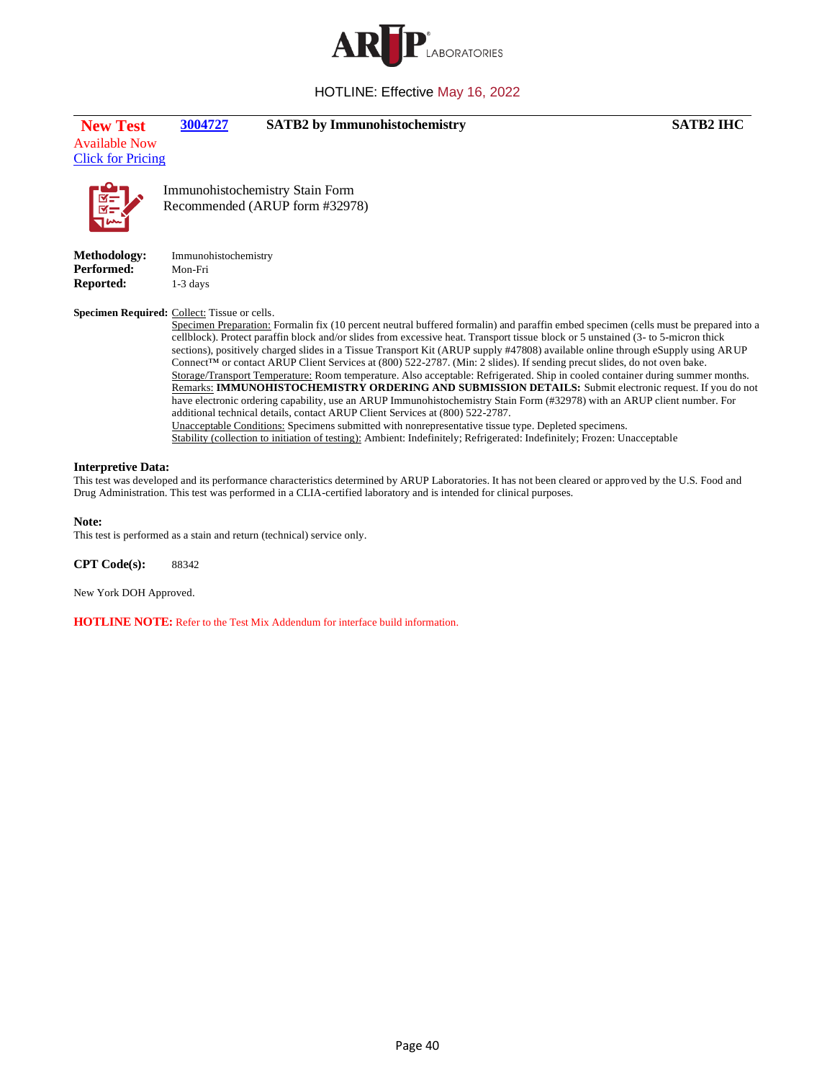

| <b>New Test</b> | 3004727 | <b>SATB2</b> by Immunohistochemistry | <b>SATB2 IHC</b> |
|-----------------|---------|--------------------------------------|------------------|

Available Now [Click for Pricing](https://connect.aruplab.com/Pricing/TestPrice/3004727)

<span id="page-39-0"></span>



Immunohistochemistry Stain Form Recommended (ARUP form #32978)

**Methodology:** Immunohistochemistry **Performed:** Mon-Fri **Reported:** 1-3 days

### **Specimen Required:** Collect: Tissue or cells.

Specimen Preparation: Formalin fix (10 percent neutral buffered formalin) and paraffin embed specimen (cells must be prepared into a cellblock). Protect paraffin block and/or slides from excessive heat. Transport tissue block or 5 unstained (3- to 5-micron thick sections), positively charged slides in a Tissue Transport Kit (ARUP supply #47808) available online through eSupply using ARUP Connect™ or contact ARUP Client Services at (800) 522-2787. (Min: 2 slides). If sending precut slides, do not oven bake. Storage/Transport Temperature: Room temperature. Also acceptable: Refrigerated. Ship in cooled container during summer months. Remarks: **IMMUNOHISTOCHEMISTRY ORDERING AND SUBMISSION DETAILS:** Submit electronic request. If you do not have electronic ordering capability, use an ARUP Immunohistochemistry Stain Form (#32978) with an ARUP client number. For additional technical details, contact ARUP Client Services at (800) 522-2787.

Unacceptable Conditions: Specimens submitted with nonrepresentative tissue type. Depleted specimens. Stability (collection to initiation of testing): Ambient: Indefinitely; Refrigerated: Indefinitely; Frozen: Unacceptable

#### **Interpretive Data:**

This test was developed and its performance characteristics determined by ARUP Laboratories. It has not been cleared or approved by the U.S. Food and Drug Administration. This test was performed in a CLIA-certified laboratory and is intended for clinical purposes.

#### **Note:**

This test is performed as a stain and return (technical) service only.

**CPT Code(s):** 88342

New York DOH Approved.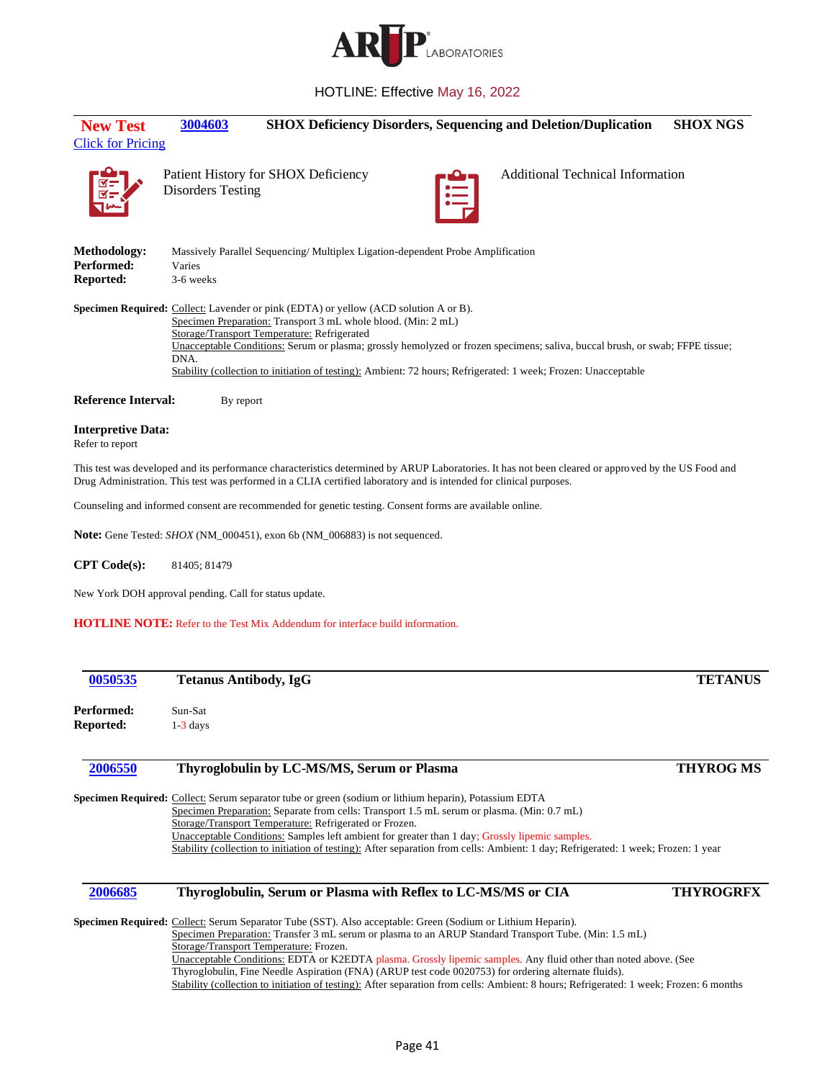

<span id="page-40-0"></span>

| <b>New Test</b>                                                                                                                                                                                                                                                                                                                                                                                                                                                       | 3004603                  |                                                                                |   | <b>SHOX Deficiency Disorders, Sequencing and Deletion/Duplication</b> | <b>SHOX NGS</b> |
|-----------------------------------------------------------------------------------------------------------------------------------------------------------------------------------------------------------------------------------------------------------------------------------------------------------------------------------------------------------------------------------------------------------------------------------------------------------------------|--------------------------|--------------------------------------------------------------------------------|---|-----------------------------------------------------------------------|-----------------|
| <b>Click for Pricing</b>                                                                                                                                                                                                                                                                                                                                                                                                                                              | <b>Disorders Testing</b> | Patient History for SHOX Deficiency                                            | E | <b>Additional Technical Information</b>                               |                 |
| <b>Methodology:</b><br>Performed:<br><b>Reported:</b>                                                                                                                                                                                                                                                                                                                                                                                                                 | Varies<br>3-6 weeks      | Massively Parallel Sequencing/Multiplex Ligation-dependent Probe Amplification |   |                                                                       |                 |
| <b>Specimen Required:</b> Collect: Lavender or pink (EDTA) or yellow (ACD solution A or B).<br>Specimen Preparation: Transport 3 mL whole blood. (Min: 2 mL)<br>Storage/Transport Temperature: Refrigerated<br>Unacceptable Conditions: Serum or plasma; grossly hemolyzed or frozen specimens; saliva, buccal brush, or swab; FFPE tissue;<br>DNA.<br>Stability (collection to initiation of testing): Ambient: 72 hours; Refrigerated: 1 week; Frozen: Unacceptable |                          |                                                                                |   |                                                                       |                 |
| <b>Reference Interval:</b>                                                                                                                                                                                                                                                                                                                                                                                                                                            | By report                |                                                                                |   |                                                                       |                 |
| <b>Interpretive Data:</b><br>Refer to report                                                                                                                                                                                                                                                                                                                                                                                                                          |                          |                                                                                |   |                                                                       |                 |

This test was developed and its performance characteristics determined by ARUP Laboratories. It has not been cleared or approved by the US Food and Drug Administration. This test was performed in a CLIA certified laboratory and is intended for clinical purposes.

Counseling and informed consent are recommended for genetic testing. Consent forms are available online.

**Note:** Gene Tested: *SHOX* (NM\_000451), exon 6b (NM\_006883) is not sequenced.

**CPT Code(s):** 81405; 81479

New York DOH approval pending. Call for status update.

**HOTLINE NOTE:** Refer to the Test Mix Addendum for interface build information.

<span id="page-40-2"></span><span id="page-40-1"></span>

| 0050535    | <b>Tetanus Antibody, IgG</b>                                                                                                                                                                                                                                                                   | <b>TETANUS</b>   |
|------------|------------------------------------------------------------------------------------------------------------------------------------------------------------------------------------------------------------------------------------------------------------------------------------------------|------------------|
| Performed: | Sun-Sat                                                                                                                                                                                                                                                                                        |                  |
| Reported:  | $1-3$ days                                                                                                                                                                                                                                                                                     |                  |
| 2006550    | Thyroglobulin by LC-MS/MS, Serum or Plasma                                                                                                                                                                                                                                                     | <b>THYROG MS</b> |
|            | Specimen Required: Collect: Serum separator tube or green (sodium or lithium heparin), Potassium EDTA<br>Specimen Preparation: Separate from cells: Transport 1.5 mL serum or plasma. (Min: 0.7 mL)                                                                                            |                  |
|            | Storage/Transport Temperature: Refrigerated or Frozen.<br>Unacceptable Conditions: Samples left ambient for greater than 1 day; Grossly lipemic samples.<br>Stability (collection to initiation of testing): After separation from cells: Ambient: 1 day; Refrigerated: 1 week; Frozen: 1 year |                  |
| 2006685    | Thyroglobulin, Serum or Plasma with Reflex to LC-MS/MS or CIA                                                                                                                                                                                                                                  | <b>THYROGRFX</b> |
|            | Specimen Required: Collect: Serum Separator Tube (SST). Also acceptable: Green (Sodium or Lithium Heparin).                                                                                                                                                                                    |                  |
|            | Specimen Preparation: Transfer 3 mL serum or plasma to an ARUP Standard Transport Tube. (Min: 1.5 mL)<br>Storage/Transport Temperature: Frozen.                                                                                                                                                |                  |
|            | Unacceptable Conditions: EDTA or K2EDTA plasma. Grossly lipemic samples. Any fluid other than noted above. (See                                                                                                                                                                                |                  |

<span id="page-40-3"></span>Thyroglobulin, Fine Needle Aspiration (FNA) (ARUP test code 0020753) for ordering alternate fluids).

Stability (collection to initiation of testing): After separation from cells: Ambient: 8 hours; Refrigerated: 1 week; Frozen: 6 months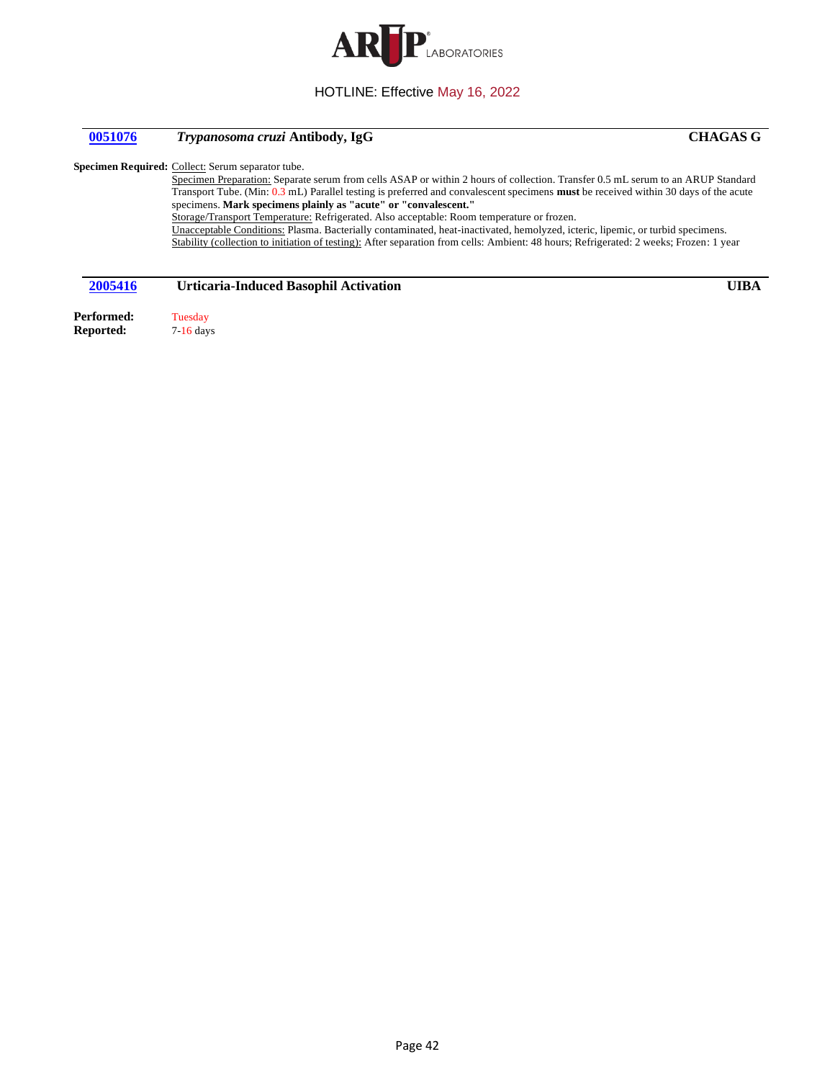

## <span id="page-41-0"></span>**[0051076](#page-5-3)** *Trypanosoma cruzi* **Antibody, IgG CHAGAS G**

Specimen Required: Collect: Serum separator tube.

Specimen Preparation: Separate serum from cells ASAP or within 2 hours of collection. Transfer 0.5 mL serum to an ARUP Standard Transport Tube. (Min: 0.3 mL) Parallel testing is preferred and convalescent specimens **must** be received within 30 days of the acute specimens. **Mark specimens plainly as "acute" or "convalescent."** Storage/Transport Temperature: Refrigerated. Also acceptable: Room temperature or frozen. Unacceptable Conditions: Plasma. Bacterially contaminated, heat-inactivated, hemolyzed, icteric, lipemic, or turbid specimens. Stability (collection to initiation of testing): After separation from cells: Ambient: 48 hours; Refrigerated: 2 weeks; Frozen: 1 year

## <span id="page-41-1"></span>**[2005416](#page-5-4) Urticaria-Induced Basophil Activation UIBA**

Performed: Tuesday **Reported:** 7-16 days